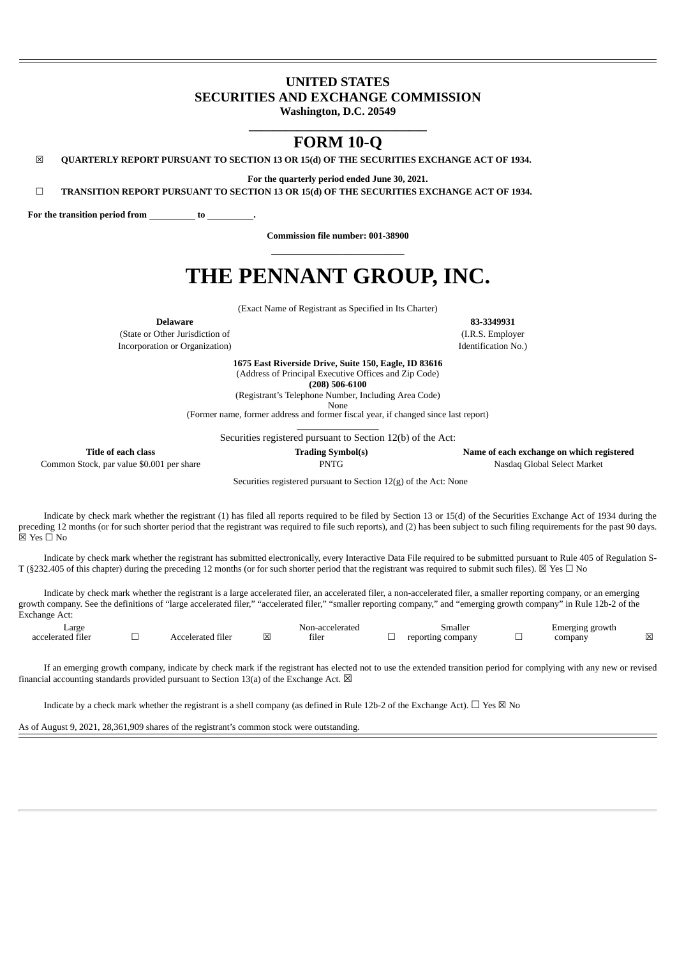## **UNITED STATES SECURITIES AND EXCHANGE COMMISSION**

**Washington, D.C. 20549 \_\_\_\_\_\_\_\_\_\_\_\_\_\_\_\_\_\_\_\_\_\_\_\_\_\_\_\_\_**

# **FORM 10-Q**

☒ **QUARTERLY REPORT PURSUANT TO SECTION 13 OR 15(d) OF THE SECURITIES EXCHANGE ACT OF 1934.**

**For the quarterly period ended June 30, 2021.**

☐ **TRANSITION REPORT PURSUANT TO SECTION 13 OR 15(d) OF THE SECURITIES EXCHANGE ACT OF 1934.**

For the transition period from \_\_\_\_\_\_\_\_\_\_ to \_

**Commission file number: 001-38900 \_\_\_\_\_\_\_\_\_\_\_\_\_\_\_\_\_\_\_\_\_\_\_\_\_\_**

# **THE PENNANT GROUP, INC.**

(Exact Name of Registrant as Specified in Its Charter)

(State or Other Jurisdiction of (I.R.S. Employer Incorporation or Organization) and Identification No.)

**Delaware 83-3349931**

**1675 East Riverside Drive, Suite 150, Eagle, ID 83616** (Address of Principal Executive Offices and Zip Code) **(208) 506-6100**

(Registrant's Telephone Number, Including Area Code) None

(Former name, former address and former fiscal year, if changed since last report)

\_\_\_\_\_\_\_\_\_\_\_\_\_\_\_\_ Securities registered pursuant to Section 12(b) of the Act:

Common Stock, par value \$0.001 per share  $PNTG$  PNTG Nasdaq Global Select Market

**Title of each class Trading Symbol(s) Name of each exchange on which registered**

Securities registered pursuant to Section 12(g) of the Act: None

Indicate by check mark whether the registrant (1) has filed all reports required to be filed by Section 13 or 15(d) of the Securities Exchange Act of 1934 during the preceding 12 months (or for such shorter period that the registrant was required to file such reports), and (2) has been subject to such filing requirements for the past 90 days.  $\boxtimes$  Yes  $\Box$  No

Indicate by check mark whether the registrant has submitted electronically, every Interactive Data File required to be submitted pursuant to Rule 405 of Regulation S-T (§232.405 of this chapter) during the preceding 12 months (or for such shorter period that the registrant was required to submit such files).  $\boxtimes$  Yes  $\Box$  No

Indicate by check mark whether the registrant is a large accelerated filer, an accelerated filer, a non-accelerated filer, a smaller reporting company, or an emerging growth company. See the definitions of "large accelerated filer," "accelerated filer," "smaller reporting company," and "emerging growth company" in Rule 12b-2 of the Exchange Act:

| Large<br>. .         |                                                      | acceleraten<br>Non-. | smaller                  | growth<br>:mers<br>gıng<br>. .<br>. |     |
|----------------------|------------------------------------------------------|----------------------|--------------------------|-------------------------------------|-----|
| accelerated<br>tilei | . tile<br>$\cdots$ $\cdots$<br>∵afe.<br>$\mathbf{a}$ | filei                | ™enor.<br>company<br>nnø | Jmpan.                              | ΙXΙ |

If an emerging growth company, indicate by check mark if the registrant has elected not to use the extended transition period for complying with any new or revised financial accounting standards provided pursuant to Section 13(a) of the Exchange Act.  $\boxtimes$ 

Indicate by a check mark whether the registrant is a shell company (as defined in Rule 12b-2 of the Exchange Act).  $\Box$  Yes  $\boxtimes$  No

<span id="page-0-0"></span>As of August 9, 2021, 28,361,909 shares of the registrant's common stock were outstanding.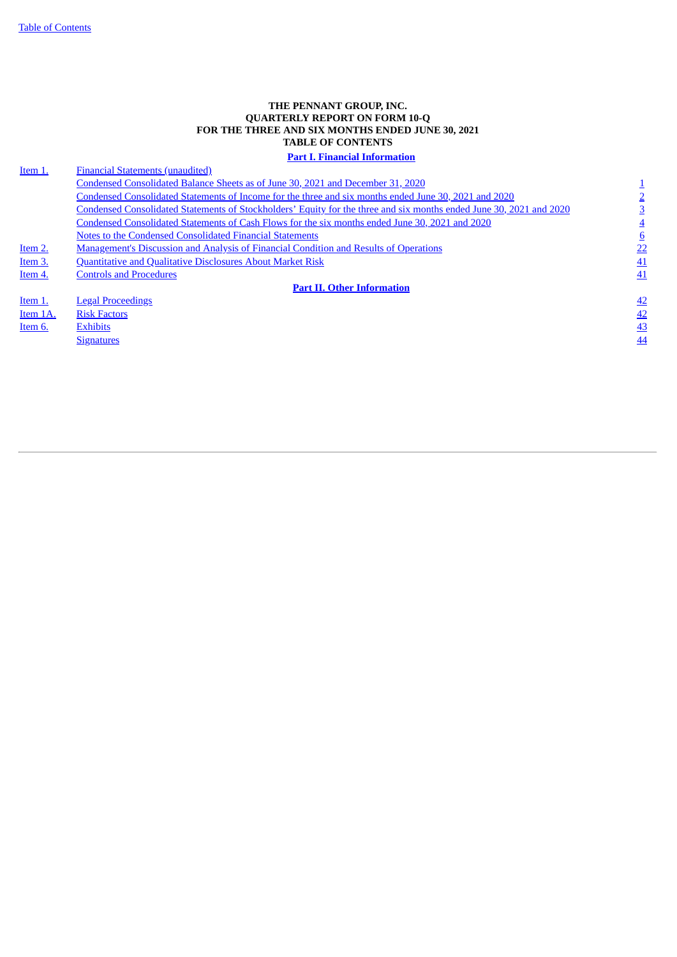## **THE PENNANT GROUP, INC. QUARTERLY REPORT ON FORM 10-Q FOR THE THREE AND SIX MONTHS ENDED JUNE 30, 2021 TABLE OF CONTENTS**

**Part I. Financial [Information](#page-1-0)**

<span id="page-1-0"></span>

| Item 1.        | <b>Financial Statements (unaudited)</b>                                                                             |                 |
|----------------|---------------------------------------------------------------------------------------------------------------------|-----------------|
|                | Condensed Consolidated Balance Sheets as of June 30, 2021 and December 31, 2020                                     |                 |
|                | Condensed Consolidated Statements of Income for the three and six months ended June 30, 2021 and 2020               | 2               |
|                | Condensed Consolidated Statements of Stockholders' Equity for the three and six months ended June 30, 2021 and 2020 | $\overline{3}$  |
|                | Condensed Consolidated Statements of Cash Flows for the six months ended June 30, 2021 and 2020                     | $\overline{4}$  |
|                | Notes to the Condensed Consolidated Financial Statements                                                            | $6\overline{6}$ |
| <u>Item 2.</u> | <b>Management's Discussion and Analysis of Financial Condition and Results of Operations</b>                        | 22              |
| Item 3.        | <b>Quantitative and Qualitative Disclosures About Market Risk</b>                                                   | 41              |
| Item 4.        | <b>Controls and Procedures</b>                                                                                      | 41              |
|                | <b>Part II. Other Information</b>                                                                                   |                 |
| Item 1.        | <b>Legal Proceedings</b>                                                                                            | <u>42</u>       |
| Item 1A.       | <b>Risk Factors</b>                                                                                                 | 42              |
| Item 6.        | <b>Exhibits</b>                                                                                                     | 43              |
|                | <b>Signatures</b>                                                                                                   | 44              |
|                |                                                                                                                     |                 |
|                |                                                                                                                     |                 |
|                |                                                                                                                     |                 |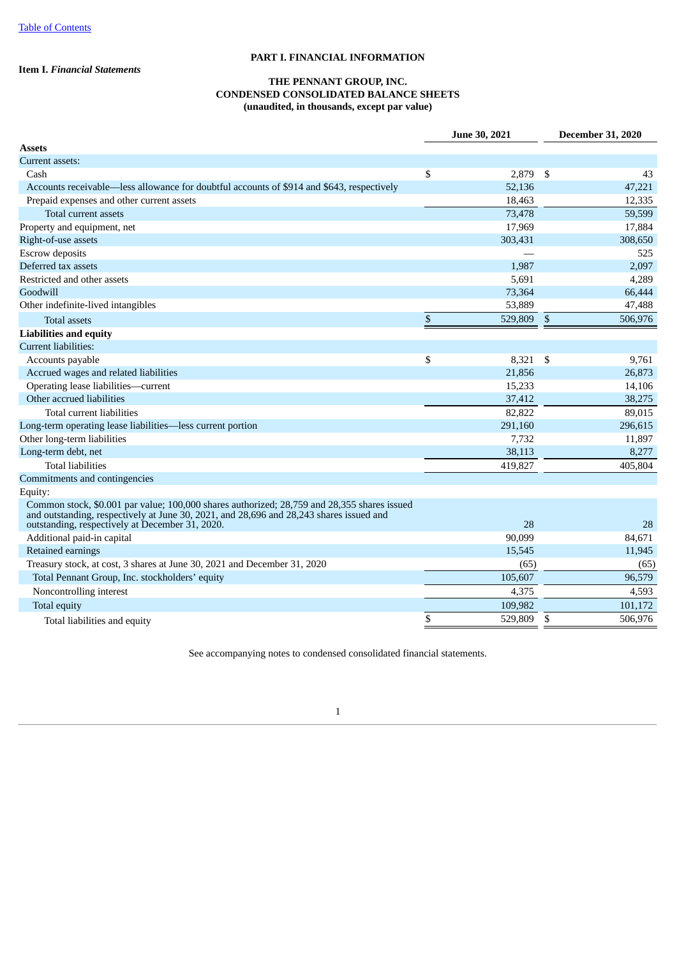## <span id="page-2-1"></span><span id="page-2-0"></span>**Item I.** *Financial Statements*

# **PART I. FINANCIAL INFORMATION**

## **THE PENNANT GROUP, INC. CONDENSED CONSOLIDATED BALANCE SHEETS (unaudited, in thousands, except par value)**

|                                                                                                                                                                                                                                           | June 30, 2021  | <b>December 31, 2020</b> |
|-------------------------------------------------------------------------------------------------------------------------------------------------------------------------------------------------------------------------------------------|----------------|--------------------------|
| Assets                                                                                                                                                                                                                                    |                |                          |
| Current assets:                                                                                                                                                                                                                           |                |                          |
| Cash                                                                                                                                                                                                                                      | \$<br>2,879    | \$<br>43                 |
| Accounts receivable—less allowance for doubtful accounts of \$914 and \$643, respectively                                                                                                                                                 | 52,136         | 47,221                   |
| Prepaid expenses and other current assets                                                                                                                                                                                                 | 18,463         | 12,335                   |
| Total current assets                                                                                                                                                                                                                      | 73,478         | 59,599                   |
| Property and equipment, net                                                                                                                                                                                                               | 17,969         | 17,884                   |
| Right-of-use assets                                                                                                                                                                                                                       | 303,431        | 308,650                  |
| <b>Escrow deposits</b>                                                                                                                                                                                                                    |                | 525                      |
| Deferred tax assets                                                                                                                                                                                                                       | 1,987          | 2,097                    |
| Restricted and other assets                                                                                                                                                                                                               | 5,691          | 4,289                    |
| Goodwill                                                                                                                                                                                                                                  | 73,364         | 66,444                   |
| Other indefinite-lived intangibles                                                                                                                                                                                                        | 53,889         | 47,488                   |
| <b>Total assets</b>                                                                                                                                                                                                                       | \$<br>529,809  | \$<br>506,976            |
| <b>Liabilities and equity</b>                                                                                                                                                                                                             |                |                          |
| <b>Current liabilities:</b>                                                                                                                                                                                                               |                |                          |
| Accounts payable                                                                                                                                                                                                                          | \$<br>8,321 \$ | 9,761                    |
| Accrued wages and related liabilities                                                                                                                                                                                                     | 21,856         | 26,873                   |
| Operating lease liabilities-current                                                                                                                                                                                                       | 15,233         | 14,106                   |
| Other accrued liabilities                                                                                                                                                                                                                 | 37,412         | 38,275                   |
| Total current liabilities                                                                                                                                                                                                                 | 82,822         | 89,015                   |
| Long-term operating lease liabilities-less current portion                                                                                                                                                                                | 291,160        | 296,615                  |
| Other long-term liabilities                                                                                                                                                                                                               | 7,732          | 11,897                   |
| Long-term debt, net                                                                                                                                                                                                                       | 38,113         | 8,277                    |
| <b>Total liabilities</b>                                                                                                                                                                                                                  | 419,827        | 405,804                  |
| Commitments and contingencies                                                                                                                                                                                                             |                |                          |
| Equity:                                                                                                                                                                                                                                   |                |                          |
| Common stock, \$0.001 par value; 100,000 shares authorized; 28,759 and 28,355 shares issued<br>and outstanding, respectively at June 30, 2021, and 28,696 and 28,243 shares issued and<br>outstanding, respectively at December 31, 2020. | 28             | 28                       |
| Additional paid-in capital                                                                                                                                                                                                                | 90,099         | 84,671                   |
| Retained earnings                                                                                                                                                                                                                         | 15,545         | 11,945                   |
| Treasury stock, at cost, 3 shares at June 30, 2021 and December 31, 2020                                                                                                                                                                  | (65)           | (65)                     |
| Total Pennant Group, Inc. stockholders' equity                                                                                                                                                                                            | 105,607        | 96,579                   |
| Noncontrolling interest                                                                                                                                                                                                                   | 4,375          | 4,593                    |
| Total equity                                                                                                                                                                                                                              | 109,982        | 101,172                  |
|                                                                                                                                                                                                                                           | \$<br>529,809  | \$<br>506,976            |
| Total liabilities and equity                                                                                                                                                                                                              |                |                          |

<span id="page-2-2"></span>See accompanying notes to condensed consolidated financial statements.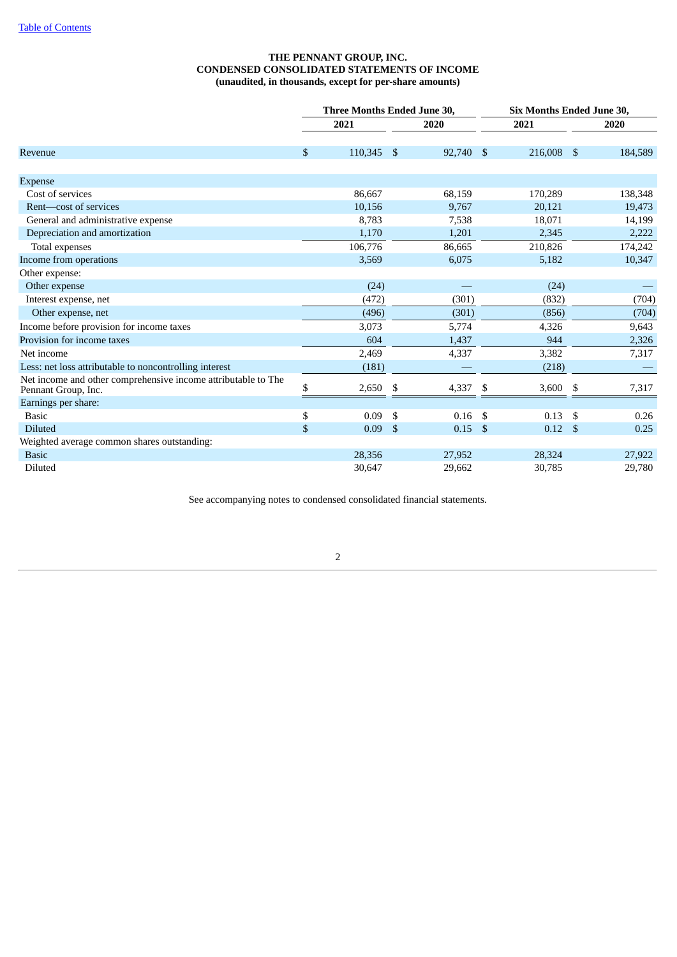## **THE PENNANT GROUP, INC. CONDENSED CONSOLIDATED STATEMENTS OF INCOME (unaudited, in thousands, except for per-share amounts)**

|                                                                                      | <b>Three Months Ended June 30,</b> |     |                 |     | <b>Six Months Ended June 30,</b> |     |         |  |  |
|--------------------------------------------------------------------------------------|------------------------------------|-----|-----------------|-----|----------------------------------|-----|---------|--|--|
|                                                                                      | 2021                               |     | 2020            |     | 2021                             |     | 2020    |  |  |
|                                                                                      |                                    |     |                 |     |                                  |     |         |  |  |
| Revenue                                                                              | \$<br>110,345 \$                   |     | 92,740 \$       |     | 216,008                          | \$  | 184,589 |  |  |
|                                                                                      |                                    |     |                 |     |                                  |     |         |  |  |
| <b>Expense</b><br>Cost of services                                                   | 86,667                             |     | 68,159          |     | 170,289                          |     | 138,348 |  |  |
| Rent-cost of services                                                                | 10,156                             |     | 9,767           |     | 20,121                           |     | 19,473  |  |  |
| General and administrative expense                                                   | 8,783                              |     | 7,538           |     | 18,071                           |     | 14,199  |  |  |
| Depreciation and amortization                                                        | 1,170                              |     | 1,201           |     | 2,345                            |     | 2,222   |  |  |
| Total expenses                                                                       | 106,776                            |     | 86,665          |     | 210,826                          |     | 174,242 |  |  |
| Income from operations                                                               | 3,569                              |     | 6,075           |     | 5,182                            |     | 10,347  |  |  |
| Other expense:                                                                       |                                    |     |                 |     |                                  |     |         |  |  |
| Other expense                                                                        | (24)                               |     |                 |     | (24)                             |     |         |  |  |
| Interest expense, net                                                                | (472)                              |     | (301)           |     | (832)                            |     | (704)   |  |  |
| Other expense, net                                                                   | (496)                              |     | (301)           |     | (856)                            |     | (704)   |  |  |
| Income before provision for income taxes                                             | 3,073                              |     | 5,774           |     | 4,326                            |     | 9,643   |  |  |
| Provision for income taxes                                                           | 604                                |     | 1,437           |     | 944                              |     | 2,326   |  |  |
| Net income                                                                           | 2,469                              |     | 4,337           |     | 3,382                            |     | 7,317   |  |  |
| Less: net loss attributable to noncontrolling interest                               | (181)                              |     |                 |     | (218)                            |     |         |  |  |
| Net income and other comprehensive income attributable to The<br>Pennant Group, Inc. | 2,650                              | S   | 4,337           | \$  | 3,600                            | S   | 7,317   |  |  |
| Earnings per share:                                                                  |                                    |     |                 |     |                                  |     |         |  |  |
| <b>Basic</b>                                                                         | \$<br>0.09                         | \$  | 0.16            | -\$ | 0.13                             | \$  | 0.26    |  |  |
| <b>Diluted</b>                                                                       | \$<br>0.09                         | -\$ | $0.15 \quad$ \$ |     | 0.12                             | -\$ | 0.25    |  |  |
| Weighted average common shares outstanding:                                          |                                    |     |                 |     |                                  |     |         |  |  |
| <b>Basic</b>                                                                         | 28,356                             |     | 27,952          |     | 28,324                           |     | 27,922  |  |  |
| Diluted                                                                              | 30,647                             |     | 29,662          |     | 30,785                           |     | 29,780  |  |  |

<span id="page-3-0"></span>See accompanying notes to condensed consolidated financial statements.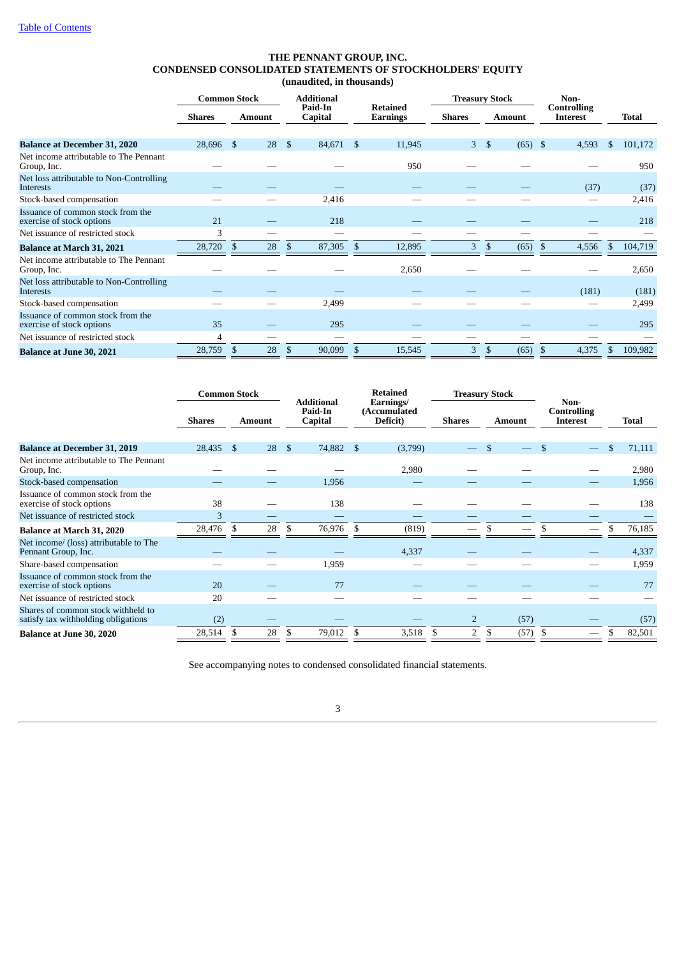## **THE PENNANT GROUP, INC. CONDENSED CONSOLIDATED STATEMENTS OF STOCKHOLDERS' EQUITY (unaudited, in thousands)**

|                                                                |               | <b>Common Stock</b> |    | <b>Additional</b>  |      |                                    | <b>Treasury Stock</b> |     |               | Non-                           |       |         |  |
|----------------------------------------------------------------|---------------|---------------------|----|--------------------|------|------------------------------------|-----------------------|-----|---------------|--------------------------------|-------|---------|--|
|                                                                | <b>Shares</b> | Amount              |    | Paid-In<br>Capital |      | <b>Retained</b><br><b>Earnings</b> | <b>Shares</b>         |     | <b>Amount</b> | <b>Controlling</b><br>Interest | Total |         |  |
| <b>Balance at December 31, 2020</b>                            | 28,696        | $\mathbf{\hat{S}}$  | 28 | - \$<br>84,671     | - \$ | 11,945                             | 3                     | -\$ | (65)          | - \$<br>4,593                  | \$    | 101,172 |  |
| Net income attributable to The Pennant<br>Group, Inc.          |               |                     |    |                    |      | 950                                |                       |     |               |                                |       | 950     |  |
| Net loss attributable to Non-Controlling<br>Interests          |               |                     |    |                    |      |                                    |                       |     |               | (37)                           |       | (37)    |  |
| Stock-based compensation                                       |               |                     |    | 2,416              |      |                                    |                       |     |               |                                |       | 2,416   |  |
| Issuance of common stock from the<br>exercise of stock options | 21            |                     |    | 218                |      |                                    |                       |     |               |                                |       | 218     |  |
| Net issuance of restricted stock                               | 3             |                     |    |                    |      |                                    |                       |     |               |                                |       |         |  |
| <b>Balance at March 31, 2021</b>                               | 28,720        | \$                  | 28 | 87,305<br>S        | -\$  | 12,895                             | 3                     | \$  | (65)          | 4,556<br>S                     | S.    | 104,719 |  |
| Net income attributable to The Pennant<br>Group, Inc.          |               |                     |    |                    |      | 2,650                              |                       |     |               |                                |       | 2,650   |  |
| Net loss attributable to Non-Controlling<br>Interests          |               |                     |    |                    |      |                                    |                       |     |               | (181)                          |       | (181)   |  |
| Stock-based compensation                                       |               |                     |    | 2,499              |      |                                    |                       |     |               |                                |       | 2,499   |  |
| Issuance of common stock from the<br>exercise of stock options | 35            |                     |    | 295                |      |                                    |                       |     |               |                                |       | 295     |  |
| Net issuance of restricted stock                               | Δ             |                     |    |                    |      |                                    |                       |     |               |                                |       |         |  |
| <b>Balance at June 30, 2021</b>                                | 28,759        | \$                  | 28 | 90,099<br>S        | \$.  | 15,545                             | 3                     | \$  | (65)          | 4,375<br>S                     |       | 109,982 |  |

|                                                                           |               | <b>Common Stock</b> |    |      | <b>Additional</b>  |      | <b>Retained</b><br>Earnings/ | <b>Treasury Stock</b> |     |               |     | Non-                                  |    |        |
|---------------------------------------------------------------------------|---------------|---------------------|----|------|--------------------|------|------------------------------|-----------------------|-----|---------------|-----|---------------------------------------|----|--------|
|                                                                           | <b>Shares</b> | <b>Amount</b>       |    |      | Paid-In<br>Capital |      | (Accumulated<br>Deficit)     | <b>Shares</b>         |     | <b>Amount</b> |     | <b>Controlling</b><br><b>Interest</b> |    | Total  |
| <b>Balance at December 31, 2019</b>                                       | 28,435        | \$                  | 28 | - \$ | 74,882             | - \$ | (3,799)                      |                       | Ŝ.  |               | -S  |                                       | \$ | 71,111 |
| Net income attributable to The Pennant<br>Group, Inc.                     |               |                     |    |      |                    |      | 2,980                        |                       |     |               |     |                                       |    | 2,980  |
| Stock-based compensation                                                  |               |                     |    |      | 1,956              |      |                              |                       |     |               |     |                                       |    | 1,956  |
| Issuance of common stock from the<br>exercise of stock options            | 38            |                     |    |      | 138                |      |                              |                       |     |               |     |                                       |    | 138    |
| Net issuance of restricted stock                                          | 3             |                     |    |      |                    |      |                              |                       |     |               |     |                                       |    |        |
| <b>Balance at March 31, 2020</b>                                          | 28,476        | \$                  | 28 | S.   | 76,976             | \$   | (819)                        |                       | \$. |               | \$. |                                       |    | 76,185 |
| Net income/ (loss) attributable to The<br>Pennant Group, Inc.             |               |                     |    |      |                    |      | 4,337                        |                       |     |               |     |                                       |    | 4,337  |
| Share-based compensation                                                  |               |                     |    |      | 1,959              |      |                              |                       |     |               |     |                                       |    | 1,959  |
| Issuance of common stock from the<br>exercise of stock options            | 20            |                     |    |      | 77                 |      |                              |                       |     |               |     |                                       |    | 77     |
| Net issuance of restricted stock                                          | 20            |                     |    |      |                    |      |                              |                       |     |               |     |                                       |    |        |
| Shares of common stock withheld to<br>satisfy tax withholding obligations | (2)           |                     |    |      |                    |      |                              | $\overline{2}$        |     | (57)          |     |                                       |    | (57)   |
| <b>Balance at June 30, 2020</b>                                           | 28,514        | S                   | 28 | -S   | 79,012             | S    | 3,518                        | 2<br>S                | \$  | (57)          | -S  |                                       | S  | 82,501 |

<span id="page-4-0"></span>See accompanying notes to condensed consolidated financial statements.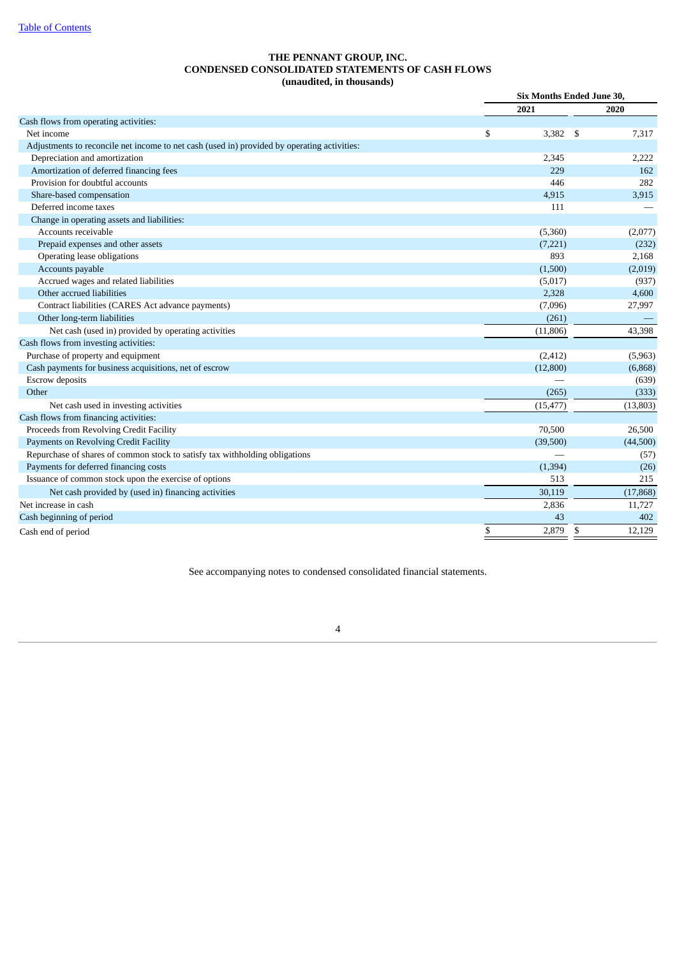## **THE PENNANT GROUP, INC. CONDENSED CONSOLIDATED STATEMENTS OF CASH FLOWS (unaudited, in thousands)**

|                                                                                             |             | <b>Six Months Ended June 30,</b> |
|---------------------------------------------------------------------------------------------|-------------|----------------------------------|
|                                                                                             | 2021        | 2020                             |
| Cash flows from operating activities:                                                       |             |                                  |
| Net income                                                                                  | \$<br>3,382 | \$<br>7,317                      |
| Adjustments to reconcile net income to net cash (used in) provided by operating activities: |             |                                  |
| Depreciation and amortization                                                               | 2,345       | 2,222                            |
| Amortization of deferred financing fees                                                     | 229         | 162                              |
| Provision for doubtful accounts                                                             | 446         | 282                              |
| Share-based compensation                                                                    | 4,915       | 3,915                            |
| Deferred income taxes                                                                       | 111         |                                  |
| Change in operating assets and liabilities:                                                 |             |                                  |
| Accounts receivable                                                                         | (5,360)     | (2,077)                          |
| Prepaid expenses and other assets                                                           | (7,221)     | (232)                            |
| Operating lease obligations                                                                 | 893         | 2,168                            |
| Accounts payable                                                                            | (1,500)     | (2,019)                          |
| Accrued wages and related liabilities                                                       | (5,017)     | (937)                            |
| Other accrued liabilities                                                                   | 2,328       | 4,600                            |
| Contract liabilities (CARES Act advance payments)                                           | (7,096)     | 27,997                           |
| Other long-term liabilities                                                                 | (261)       |                                  |
| Net cash (used in) provided by operating activities                                         | (11, 806)   | 43,398                           |
| Cash flows from investing activities:                                                       |             |                                  |
| Purchase of property and equipment                                                          | (2, 412)    | (5,963)                          |
| Cash payments for business acquisitions, net of escrow                                      | (12,800)    | (6,868)                          |
| <b>Escrow</b> deposits                                                                      |             | (639)                            |
| Other                                                                                       | (265)       | (333)                            |
| Net cash used in investing activities                                                       | (15, 477)   | (13, 803)                        |
| Cash flows from financing activities:                                                       |             |                                  |
| Proceeds from Revolving Credit Facility                                                     | 70,500      | 26,500                           |
| Payments on Revolving Credit Facility                                                       | (39,500)    | (44,500)                         |
| Repurchase of shares of common stock to satisfy tax withholding obligations                 |             | (57)                             |
| Payments for deferred financing costs                                                       | (1, 394)    | (26)                             |
| Issuance of common stock upon the exercise of options                                       | 513         | 215                              |
| Net cash provided by (used in) financing activities                                         | 30,119      | (17, 868)                        |
| Net increase in cash                                                                        | 2,836       | 11,727                           |
| Cash beginning of period                                                                    | 43          | 402                              |
| Cash end of period                                                                          | \$<br>2,879 | 12,129<br>\$                     |

See accompanying notes to condensed consolidated financial statements.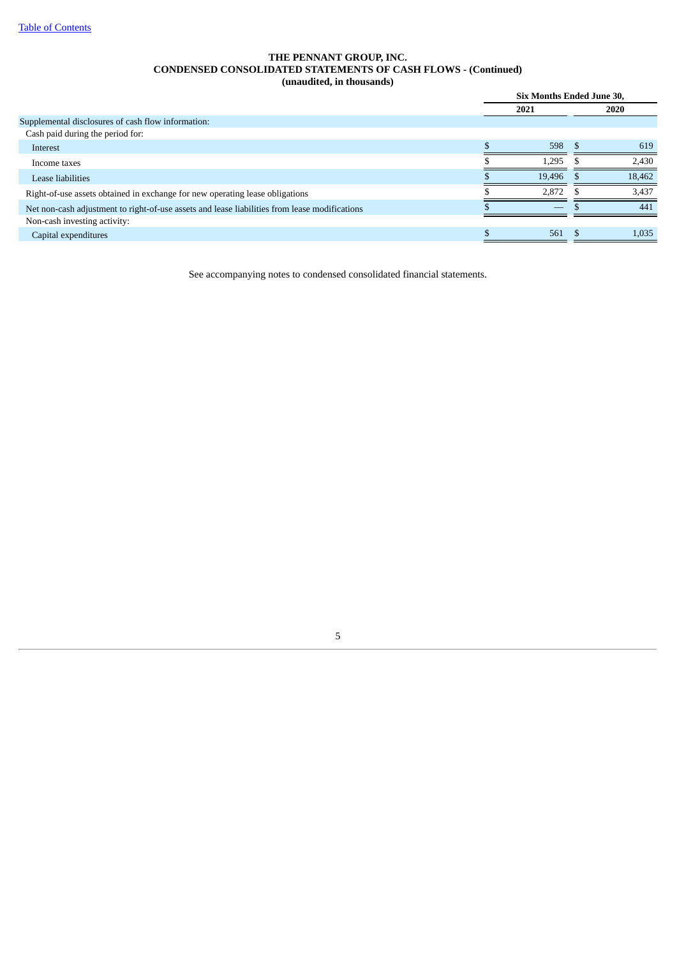## **THE PENNANT GROUP, INC. CONDENSED CONSOLIDATED STATEMENTS OF CASH FLOWS - (Continued) (unaudited, in thousands)**

|                                                                                               | Six Months Ended June 30, |        |
|-----------------------------------------------------------------------------------------------|---------------------------|--------|
|                                                                                               | 2021                      | 2020   |
| Supplemental disclosures of cash flow information:                                            |                           |        |
| Cash paid during the period for:                                                              |                           |        |
| Interest                                                                                      | 598                       | 619    |
| Income taxes                                                                                  | 1,295                     | 2,430  |
| Lease liabilities                                                                             | 19,496                    | 18,462 |
| Right-of-use assets obtained in exchange for new operating lease obligations                  | 2.872                     | 3,437  |
| Net non-cash adjustment to right-of-use assets and lease liabilities from lease modifications | —                         | 441    |
| Non-cash investing activity:                                                                  |                           |        |
| Capital expenditures                                                                          | 561                       | 1,035  |
|                                                                                               |                           |        |

<span id="page-6-0"></span>See accompanying notes to condensed consolidated financial statements.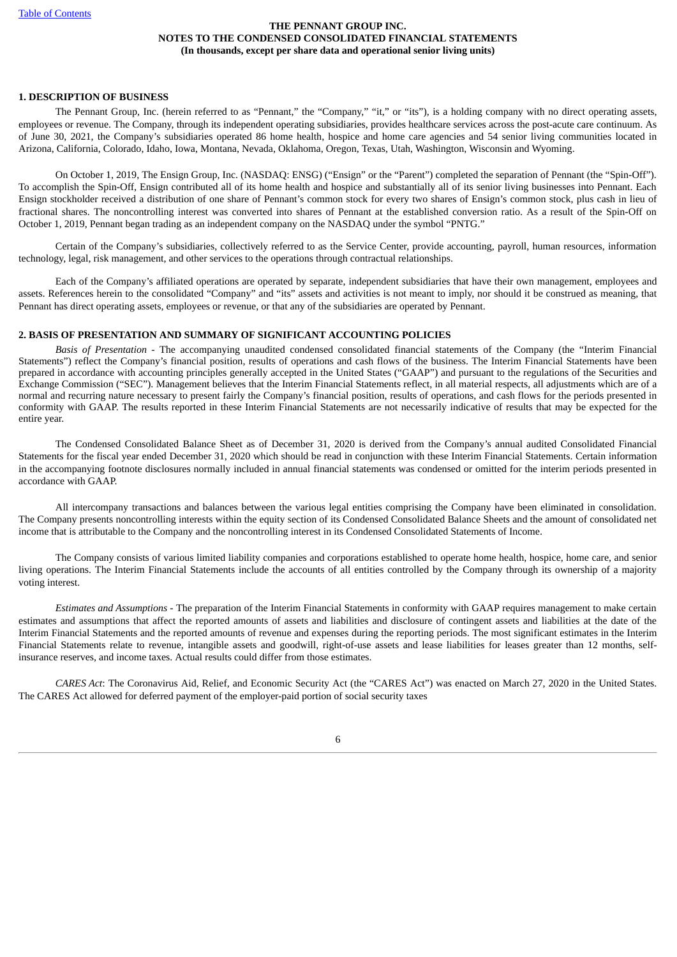#### **THE PENNANT GROUP INC. NOTES TO THE CONDENSED CONSOLIDATED FINANCIAL STATEMENTS (In thousands, except per share data and operational senior living units)**

## **1. DESCRIPTION OF BUSINESS**

The Pennant Group, Inc. (herein referred to as "Pennant," the "Company," "it," or "its"), is a holding company with no direct operating assets, employees or revenue. The Company, through its independent operating subsidiaries, provides healthcare services across the post-acute care continuum. As of June 30, 2021, the Company's subsidiaries operated 86 home health, hospice and home care agencies and 54 senior living communities located in Arizona, California, Colorado, Idaho, Iowa, Montana, Nevada, Oklahoma, Oregon, Texas, Utah, Washington, Wisconsin and Wyoming.

On October 1, 2019, The Ensign Group, Inc. (NASDAQ: ENSG) ("Ensign" or the "Parent") completed the separation of Pennant (the "Spin-Off"). To accomplish the Spin-Off, Ensign contributed all of its home health and hospice and substantially all of its senior living businesses into Pennant. Each Ensign stockholder received a distribution of one share of Pennant's common stock for every two shares of Ensign's common stock, plus cash in lieu of fractional shares. The noncontrolling interest was converted into shares of Pennant at the established conversion ratio. As a result of the Spin-Off on October 1, 2019, Pennant began trading as an independent company on the NASDAQ under the symbol "PNTG."

Certain of the Company's subsidiaries, collectively referred to as the Service Center, provide accounting, payroll, human resources, information technology, legal, risk management, and other services to the operations through contractual relationships.

Each of the Company's affiliated operations are operated by separate, independent subsidiaries that have their own management, employees and assets. References herein to the consolidated "Company" and "its" assets and activities is not meant to imply, nor should it be construed as meaning, that Pennant has direct operating assets, employees or revenue, or that any of the subsidiaries are operated by Pennant.

### **2. BASIS OF PRESENTATION AND SUMMARY OF SIGNIFICANT ACCOUNTING POLICIES**

*Basis of Presentation -* The accompanying unaudited condensed consolidated financial statements of the Company (the "Interim Financial Statements") reflect the Company's financial position, results of operations and cash flows of the business. The Interim Financial Statements have been prepared in accordance with accounting principles generally accepted in the United States ("GAAP") and pursuant to the regulations of the Securities and Exchange Commission ("SEC"). Management believes that the Interim Financial Statements reflect, in all material respects, all adjustments which are of a normal and recurring nature necessary to present fairly the Company's financial position, results of operations, and cash flows for the periods presented in conformity with GAAP. The results reported in these Interim Financial Statements are not necessarily indicative of results that may be expected for the entire year.

The Condensed Consolidated Balance Sheet as of December 31, 2020 is derived from the Company's annual audited Consolidated Financial Statements for the fiscal year ended December 31, 2020 which should be read in conjunction with these Interim Financial Statements. Certain information in the accompanying footnote disclosures normally included in annual financial statements was condensed or omitted for the interim periods presented in accordance with GAAP.

All intercompany transactions and balances between the various legal entities comprising the Company have been eliminated in consolidation. The Company presents noncontrolling interests within the equity section of its Condensed Consolidated Balance Sheets and the amount of consolidated net income that is attributable to the Company and the noncontrolling interest in its Condensed Consolidated Statements of Income.

The Company consists of various limited liability companies and corporations established to operate home health, hospice, home care, and senior living operations. The Interim Financial Statements include the accounts of all entities controlled by the Company through its ownership of a majority voting interest.

*Estimates and Assumptions -* The preparation of the Interim Financial Statements in conformity with GAAP requires management to make certain estimates and assumptions that affect the reported amounts of assets and liabilities and disclosure of contingent assets and liabilities at the date of the Interim Financial Statements and the reported amounts of revenue and expenses during the reporting periods. The most significant estimates in the Interim Financial Statements relate to revenue, intangible assets and goodwill, right-of-use assets and lease liabilities for leases greater than 12 months, selfinsurance reserves, and income taxes. Actual results could differ from those estimates.

*CARES Act*: The Coronavirus Aid, Relief, and Economic Security Act (the "CARES Act") was enacted on March 27, 2020 in the United States. The CARES Act allowed for deferred payment of the employer-paid portion of social security taxes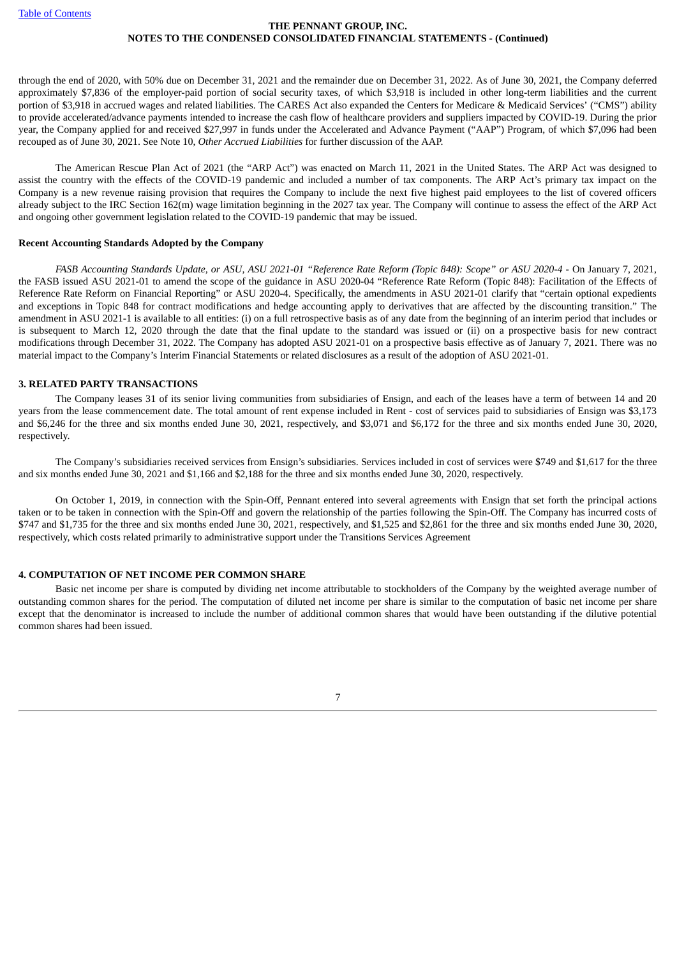through the end of 2020, with 50% due on December 31, 2021 and the remainder due on December 31, 2022. As of June 30, 2021, the Company deferred approximately \$7,836 of the employer-paid portion of social security taxes, of which \$3,918 is included in other long-term liabilities and the current portion of \$3,918 in accrued wages and related liabilities. The CARES Act also expanded the Centers for Medicare & Medicaid Services' ("CMS") ability to provide accelerated/advance payments intended to increase the cash flow of healthcare providers and suppliers impacted by COVID-19. During the prior year, the Company applied for and received \$27,997 in funds under the Accelerated and Advance Payment ("AAP") Program, of which \$7,096 had been recouped as of June 30, 2021. See Note 10, *Other Accrued Liabilities* for further discussion of the AAP.

The American Rescue Plan Act of 2021 (the "ARP Act") was enacted on March 11, 2021 in the United States. The ARP Act was designed to assist the country with the effects of the COVID-19 pandemic and included a number of tax components. The ARP Act's primary tax impact on the Company is a new revenue raising provision that requires the Company to include the next five highest paid employees to the list of covered officers already subject to the IRC Section 162(m) wage limitation beginning in the 2027 tax year. The Company will continue to assess the effect of the ARP Act and ongoing other government legislation related to the COVID-19 pandemic that may be issued.

#### **Recent Accounting Standards Adopted by the Company**

FASB Accounting Standards Update, or ASU, ASU 2021-01 "Reference Rate Reform (Topic 848): Scope" or ASU 2020-4 - On January 7, 2021, the FASB issued ASU 2021-01 to amend the scope of the guidance in ASU 2020-04 "Reference Rate Reform (Topic 848): Facilitation of the Effects of Reference Rate Reform on Financial Reporting" or ASU 2020-4. Specifically, the amendments in ASU 2021-01 clarify that "certain optional expedients and exceptions in Topic 848 for contract modifications and hedge accounting apply to derivatives that are affected by the discounting transition." The amendment in ASU 2021-1 is available to all entities: (i) on a full retrospective basis as of any date from the beginning of an interim period that includes or is subsequent to March 12, 2020 through the date that the final update to the standard was issued or (ii) on a prospective basis for new contract modifications through December 31, 2022. The Company has adopted ASU 2021-01 on a prospective basis effective as of January 7, 2021. There was no material impact to the Company's Interim Financial Statements or related disclosures as a result of the adoption of ASU 2021-01.

#### **3. RELATED PARTY TRANSACTIONS**

The Company leases 31 of its senior living communities from subsidiaries of Ensign, and each of the leases have a term of between 14 and 20 years from the lease commencement date. The total amount of rent expense included in Rent - cost of services paid to subsidiaries of Ensign was \$3,173 and \$6,246 for the three and six months ended June 30, 2021, respectively, and \$3,071 and \$6,172 for the three and six months ended June 30, 2020, respectively.

The Company's subsidiaries received services from Ensign's subsidiaries. Services included in cost of services were \$749 and \$1,617 for the three and six months ended June 30, 2021 and \$1,166 and \$2,188 for the three and six months ended June 30, 2020, respectively.

On October 1, 2019, in connection with the Spin-Off, Pennant entered into several agreements with Ensign that set forth the principal actions taken or to be taken in connection with the Spin-Off and govern the relationship of the parties following the Spin-Off. The Company has incurred costs of \$747 and \$1,735 for the three and six months ended June 30, 2021, respectively, and \$1,525 and \$2,861 for the three and six months ended June 30, 2020, respectively, which costs related primarily to administrative support under the Transitions Services Agreement

## **4. COMPUTATION OF NET INCOME PER COMMON SHARE**

Basic net income per share is computed by dividing net income attributable to stockholders of the Company by the weighted average number of outstanding common shares for the period. The computation of diluted net income per share is similar to the computation of basic net income per share except that the denominator is increased to include the number of additional common shares that would have been outstanding if the dilutive potential common shares had been issued.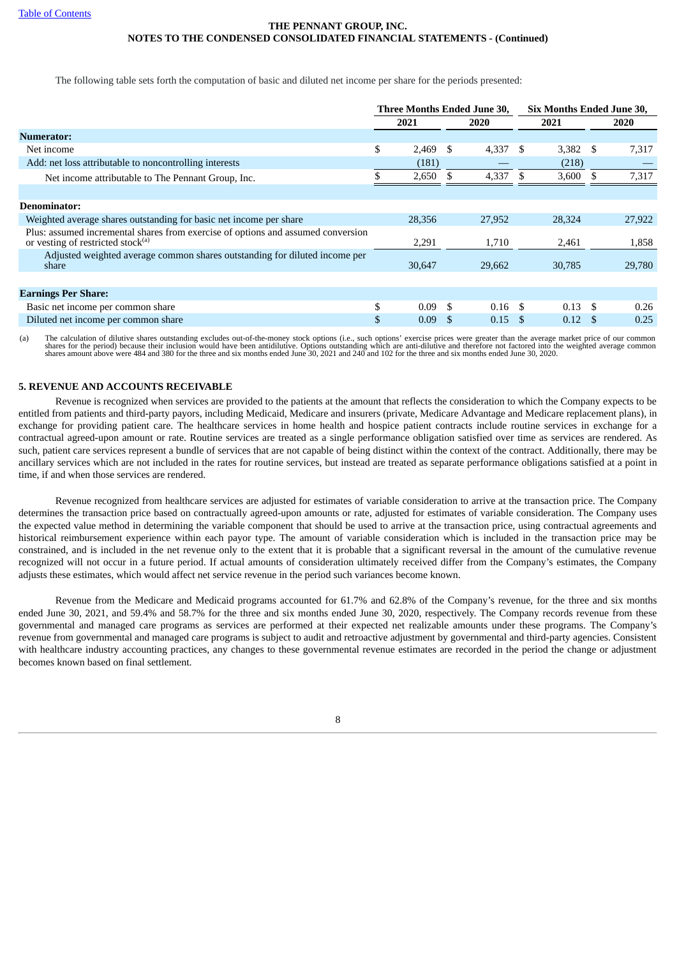The following table sets forth the computation of basic and diluted net income per share for the periods presented:

|                                                                                                                                   | Three Months Ended June 30, |        |      |           | <b>Six Months Ended June 30,</b> |        |      |             |  |  |
|-----------------------------------------------------------------------------------------------------------------------------------|-----------------------------|--------|------|-----------|----------------------------------|--------|------|-------------|--|--|
|                                                                                                                                   |                             | 2021   |      | 2020      |                                  | 2021   |      | <b>2020</b> |  |  |
| <b>Numerator:</b>                                                                                                                 |                             |        |      |           |                                  |        |      |             |  |  |
| Net income                                                                                                                        | \$                          | 2.469  | - \$ | 4,337     | - \$                             | 3,382  | -\$  | 7,317       |  |  |
| Add: net loss attributable to noncontrolling interests                                                                            |                             | (181)  |      |           |                                  | (218)  |      |             |  |  |
| Net income attributable to The Pennant Group, Inc.                                                                                |                             | 2,650  | -S   | 4,337     |                                  | 3,600  | -S   | 7,317       |  |  |
|                                                                                                                                   |                             |        |      |           |                                  |        |      |             |  |  |
| Denominator:                                                                                                                      |                             |        |      |           |                                  |        |      |             |  |  |
| Weighted average shares outstanding for basic net income per share                                                                |                             | 28,356 |      | 27,952    |                                  | 28,324 |      | 27,922      |  |  |
| Plus: assumed incremental shares from exercise of options and assumed conversion<br>or vesting of restricted stock <sup>(a)</sup> |                             | 2,291  |      | 1,710     |                                  | 2,461  |      | 1,858       |  |  |
| Adjusted weighted average common shares outstanding for diluted income per<br>share                                               |                             | 30,647 |      | 29.662    |                                  | 30,785 |      | 29,780      |  |  |
|                                                                                                                                   |                             |        |      |           |                                  |        |      |             |  |  |
| <b>Earnings Per Share:</b>                                                                                                        |                             |        |      |           |                                  |        |      |             |  |  |
| Basic net income per common share                                                                                                 | \$                          | 0.09   | - \$ | $0.16$ \$ |                                  | 0.13   | - \$ | 0.26        |  |  |
| Diluted net income per common share                                                                                               | \$                          | 0.09   | -S   | 0.15      | $\sqrt{s}$                       | 0.12   | -S   | 0.25        |  |  |

(a) The calculation of dilutive shares outstanding excludes out-of-the-money stock options (i.e., such options' exercise prices were greater than the average market price of our common shares for the period) because their inclusion would have been antidilutive. Options outstanding which are anti-dilutive and therefore not factored into the weighted average common<br>shares amount above were 484 and 380 for

#### **5. REVENUE AND ACCOUNTS RECEIVABLE**

Revenue is recognized when services are provided to the patients at the amount that reflects the consideration to which the Company expects to be entitled from patients and third-party payors, including Medicaid, Medicare and insurers (private, Medicare Advantage and Medicare replacement plans), in exchange for providing patient care. The healthcare services in home health and hospice patient contracts include routine services in exchange for a contractual agreed-upon amount or rate. Routine services are treated as a single performance obligation satisfied over time as services are rendered. As such, patient care services represent a bundle of services that are not capable of being distinct within the context of the contract. Additionally, there may be ancillary services which are not included in the rates for routine services, but instead are treated as separate performance obligations satisfied at a point in time, if and when those services are rendered.

Revenue recognized from healthcare services are adjusted for estimates of variable consideration to arrive at the transaction price. The Company determines the transaction price based on contractually agreed-upon amounts or rate, adjusted for estimates of variable consideration. The Company uses the expected value method in determining the variable component that should be used to arrive at the transaction price, using contractual agreements and historical reimbursement experience within each payor type. The amount of variable consideration which is included in the transaction price may be constrained, and is included in the net revenue only to the extent that it is probable that a significant reversal in the amount of the cumulative revenue recognized will not occur in a future period. If actual amounts of consideration ultimately received differ from the Company's estimates, the Company adjusts these estimates, which would affect net service revenue in the period such variances become known.

Revenue from the Medicare and Medicaid programs accounted for 61.7% and 62.8% of the Company's revenue, for the three and six months ended June 30, 2021, and 59.4% and 58.7% for the three and six months ended June 30, 2020, respectively. The Company records revenue from these governmental and managed care programs as services are performed at their expected net realizable amounts under these programs. The Company's revenue from governmental and managed care programs is subject to audit and retroactive adjustment by governmental and third-party agencies. Consistent with healthcare industry accounting practices, any changes to these governmental revenue estimates are recorded in the period the change or adjustment becomes known based on final settlement.

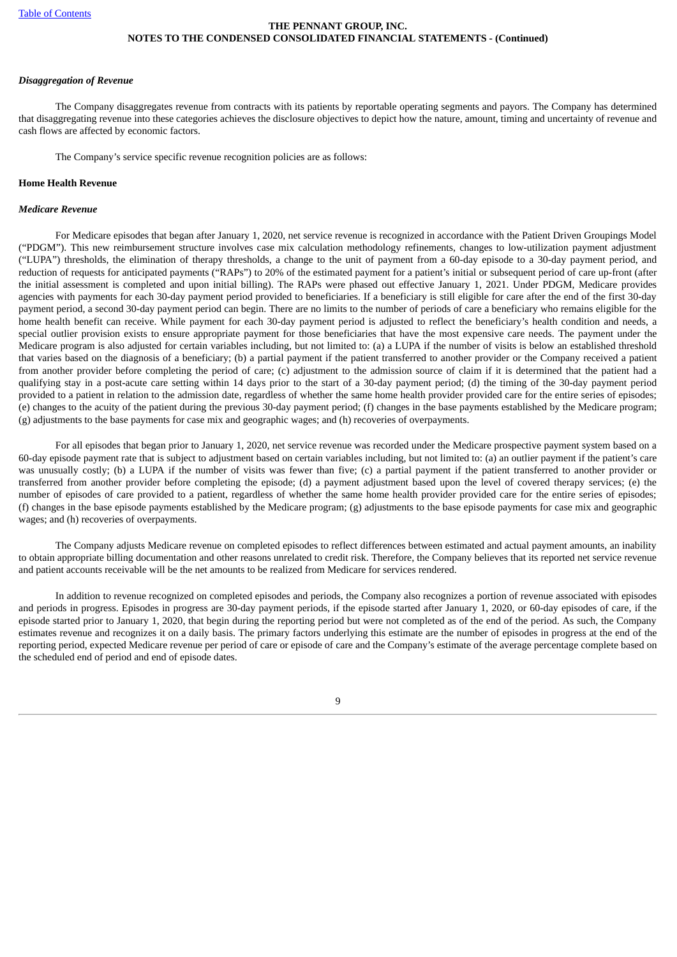## *Disaggregation of Revenue*

The Company disaggregates revenue from contracts with its patients by reportable operating segments and payors. The Company has determined that disaggregating revenue into these categories achieves the disclosure objectives to depict how the nature, amount, timing and uncertainty of revenue and cash flows are affected by economic factors.

The Company's service specific revenue recognition policies are as follows:

## **Home Health Revenue**

#### *Medicare Revenue*

For Medicare episodes that began after January 1, 2020, net service revenue is recognized in accordance with the Patient Driven Groupings Model ("PDGM"). This new reimbursement structure involves case mix calculation methodology refinements, changes to low-utilization payment adjustment ("LUPA") thresholds, the elimination of therapy thresholds, a change to the unit of payment from a 60-day episode to a 30-day payment period, and reduction of requests for anticipated payments ("RAPs") to 20% of the estimated payment for a patient's initial or subsequent period of care up-front (after the initial assessment is completed and upon initial billing). The RAPs were phased out effective January 1, 2021. Under PDGM, Medicare provides agencies with payments for each 30-day payment period provided to beneficiaries. If a beneficiary is still eligible for care after the end of the first 30-day payment period, a second 30-day payment period can begin. There are no limits to the number of periods of care a beneficiary who remains eligible for the home health benefit can receive. While payment for each 30-day payment period is adjusted to reflect the beneficiary's health condition and needs, a special outlier provision exists to ensure appropriate payment for those beneficiaries that have the most expensive care needs. The payment under the Medicare program is also adjusted for certain variables including, but not limited to: (a) a LUPA if the number of visits is below an established threshold that varies based on the diagnosis of a beneficiary; (b) a partial payment if the patient transferred to another provider or the Company received a patient from another provider before completing the period of care; (c) adjustment to the admission source of claim if it is determined that the patient had a qualifying stay in a post-acute care setting within 14 days prior to the start of a 30-day payment period; (d) the timing of the 30-day payment period provided to a patient in relation to the admission date, regardless of whether the same home health provider provided care for the entire series of episodes; (e) changes to the acuity of the patient during the previous 30-day payment period; (f) changes in the base payments established by the Medicare program; (g) adjustments to the base payments for case mix and geographic wages; and (h) recoveries of overpayments.

For all episodes that began prior to January 1, 2020, net service revenue was recorded under the Medicare prospective payment system based on a 60-day episode payment rate that is subject to adjustment based on certain variables including, but not limited to: (a) an outlier payment if the patient's care was unusually costly; (b) a LUPA if the number of visits was fewer than five; (c) a partial payment if the patient transferred to another provider or transferred from another provider before completing the episode; (d) a payment adjustment based upon the level of covered therapy services; (e) the number of episodes of care provided to a patient, regardless of whether the same home health provider provided care for the entire series of episodes; (f) changes in the base episode payments established by the Medicare program; (g) adjustments to the base episode payments for case mix and geographic wages; and (h) recoveries of overpayments.

The Company adjusts Medicare revenue on completed episodes to reflect differences between estimated and actual payment amounts, an inability to obtain appropriate billing documentation and other reasons unrelated to credit risk. Therefore, the Company believes that its reported net service revenue and patient accounts receivable will be the net amounts to be realized from Medicare for services rendered.

In addition to revenue recognized on completed episodes and periods, the Company also recognizes a portion of revenue associated with episodes and periods in progress. Episodes in progress are 30-day payment periods, if the episode started after January 1, 2020, or 60-day episodes of care, if the episode started prior to January 1, 2020, that begin during the reporting period but were not completed as of the end of the period. As such, the Company estimates revenue and recognizes it on a daily basis. The primary factors underlying this estimate are the number of episodes in progress at the end of the reporting period, expected Medicare revenue per period of care or episode of care and the Company's estimate of the average percentage complete based on the scheduled end of period and end of episode dates.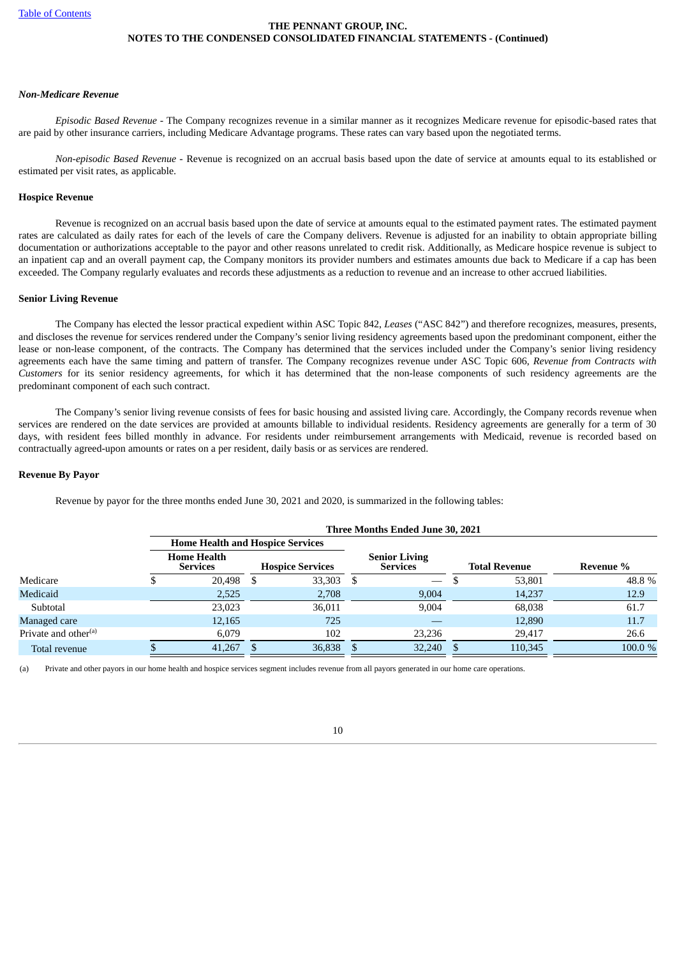#### *Non-Medicare Revenue*

*Episodic Based Revenue -* The Company recognizes revenue in a similar manner as it recognizes Medicare revenue for episodic-based rates that are paid by other insurance carriers, including Medicare Advantage programs. These rates can vary based upon the negotiated terms.

*Non-episodic Based Revenue -* Revenue is recognized on an accrual basis based upon the date of service at amounts equal to its established or estimated per visit rates, as applicable.

#### **Hospice Revenue**

Revenue is recognized on an accrual basis based upon the date of service at amounts equal to the estimated payment rates. The estimated payment rates are calculated as daily rates for each of the levels of care the Company delivers. Revenue is adjusted for an inability to obtain appropriate billing documentation or authorizations acceptable to the payor and other reasons unrelated to credit risk. Additionally, as Medicare hospice revenue is subject to an inpatient cap and an overall payment cap, the Company monitors its provider numbers and estimates amounts due back to Medicare if a cap has been exceeded. The Company regularly evaluates and records these adjustments as a reduction to revenue and an increase to other accrued liabilities.

#### **Senior Living Revenue**

The Company has elected the lessor practical expedient within ASC Topic 842, *Leases* ("ASC 842") and therefore recognizes, measures, presents, and discloses the revenue for services rendered under the Company's senior living residency agreements based upon the predominant component, either the lease or non-lease component, of the contracts. The Company has determined that the services included under the Company's senior living residency agreements each have the same timing and pattern of transfer. The Company recognizes revenue under ASC Topic 606, *Revenue from Contracts with Customers* for its senior residency agreements, for which it has determined that the non-lease components of such residency agreements are the predominant component of each such contract.

The Company's senior living revenue consists of fees for basic housing and assisted living care. Accordingly, the Company records revenue when services are rendered on the date services are provided at amounts billable to individual residents. Residency agreements are generally for a term of 30 days, with resident fees billed monthly in advance. For residents under reimbursement arrangements with Medicaid, revenue is recorded based on contractually agreed-upon amounts or rates on a per resident, daily basis or as services are rendered.

#### **Revenue By Payor**

Revenue by payor for the three months ended June 30, 2021 and 2020, is summarized in the following tables:

|                         | Three Months Ended June 30, 2021      |                                         |    |                         |  |                                         |  |               |  |           |  |  |  |  |
|-------------------------|---------------------------------------|-----------------------------------------|----|-------------------------|--|-----------------------------------------|--|---------------|--|-----------|--|--|--|--|
|                         |                                       | <b>Home Health and Hospice Services</b> |    |                         |  |                                         |  |               |  |           |  |  |  |  |
|                         | <b>Home Health</b><br><b>Services</b> |                                         |    | <b>Hospice Services</b> |  | <b>Senior Living</b><br><b>Services</b> |  | Total Revenue |  | Revenue % |  |  |  |  |
| Medicare                |                                       | 20,498                                  | -5 | 33,303                  |  |                                         |  | 53,801        |  | 48.8%     |  |  |  |  |
| Medicaid                |                                       | 2,525                                   |    | 2,708                   |  | 9,004                                   |  | 14,237        |  | 12.9      |  |  |  |  |
| Subtotal                |                                       | 23,023                                  |    | 36,011                  |  | 9.004                                   |  | 68,038        |  | 61.7      |  |  |  |  |
| Managed care            |                                       | 12,165                                  |    | 725                     |  |                                         |  | 12,890        |  | 11.7      |  |  |  |  |
| Private and other $(a)$ |                                       | 6.079                                   |    | 102                     |  | 23,236                                  |  | 29,417        |  | 26.6      |  |  |  |  |
| Total revenue           |                                       | 41,267                                  |    | 36,838                  |  | 32,240                                  |  | 110,345       |  | 100.0%    |  |  |  |  |

(a) Private and other payors in our home health and hospice services segment includes revenue from all payors generated in our home care operations.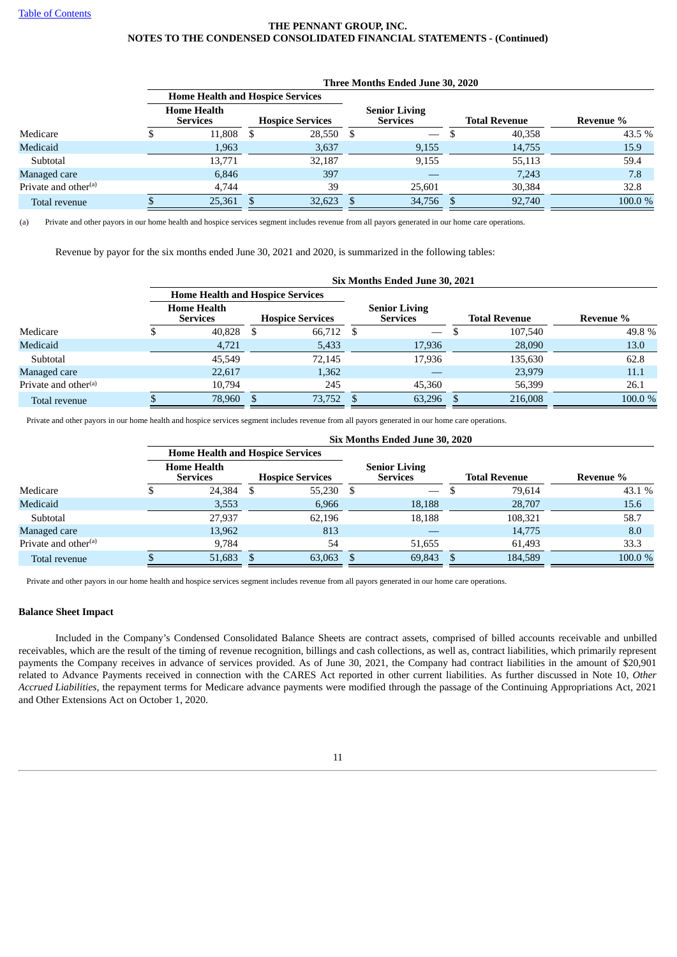|                                  | Three Months Ended June 30, 2020        |  |                         |                                         |           |  |                      |           |        |  |  |  |  |  |
|----------------------------------|-----------------------------------------|--|-------------------------|-----------------------------------------|-----------|--|----------------------|-----------|--------|--|--|--|--|--|
|                                  | <b>Home Health and Hospice Services</b> |  |                         |                                         |           |  |                      |           |        |  |  |  |  |  |
|                                  | <b>Home Health</b><br><b>Services</b>   |  | <b>Hospice Services</b> | <b>Senior Living</b><br><b>Services</b> |           |  | <b>Total Revenue</b> | Revenue % |        |  |  |  |  |  |
| Medicare                         | 11,808                                  |  | 28,550                  |                                         |           |  | 40,358               |           | 43.5 % |  |  |  |  |  |
| Medicaid                         | 1,963                                   |  | 3,637                   |                                         | 9,155     |  | 14,755               |           | 15.9   |  |  |  |  |  |
| Subtotal                         | 13,771                                  |  | 32,187                  |                                         | 9,155     |  | 55,113               |           | 59.4   |  |  |  |  |  |
| Managed care                     | 6.846                                   |  | 397                     |                                         |           |  | 7,243                |           | 7.8    |  |  |  |  |  |
| Private and other <sup>(a)</sup> | 4.744                                   |  | 39                      |                                         | 25,601    |  | 30,384               |           | 32.8   |  |  |  |  |  |
| Total revenue                    | 25,361                                  |  | 32,623                  |                                         | 34,756 \$ |  | 92,740               |           | 100.0% |  |  |  |  |  |

(a) Private and other payors in our home health and hospice services segment includes revenue from all payors generated in our home care operations.

Revenue by payor for the six months ended June 30, 2021 and 2020, is summarized in the following tables:

|                                  | Six Months Ended June 30, 2021        |                                         |    |                         |    |                                         |  |                      |  |           |  |  |  |  |
|----------------------------------|---------------------------------------|-----------------------------------------|----|-------------------------|----|-----------------------------------------|--|----------------------|--|-----------|--|--|--|--|
|                                  |                                       | <b>Home Health and Hospice Services</b> |    |                         |    |                                         |  |                      |  |           |  |  |  |  |
|                                  | <b>Home Health</b><br><b>Services</b> |                                         |    | <b>Hospice Services</b> |    | <b>Senior Living</b><br><b>Services</b> |  | <b>Total Revenue</b> |  | Revenue % |  |  |  |  |
| Medicare                         |                                       | 40.828                                  | -S | 66,712                  | £. | $\hspace{0.05cm}$                       |  | 107,540              |  | 49.8%     |  |  |  |  |
| Medicaid                         |                                       | 4,721                                   |    | 5,433                   |    | 17,936                                  |  | 28,090               |  | 13.0      |  |  |  |  |
| Subtotal                         |                                       | 45.549                                  |    | 72.145                  |    | 17,936                                  |  | 135,630              |  | 62.8      |  |  |  |  |
| Managed care                     |                                       | 22,617                                  |    | 1,362                   |    |                                         |  | 23,979               |  | 11.1      |  |  |  |  |
| Private and other <sup>(a)</sup> |                                       | 10.794                                  |    | 245                     |    | 45,360                                  |  | 56,399               |  | 26.1      |  |  |  |  |
| Total revenue                    |                                       | 78,960                                  |    | 73,752                  |    | 63,296                                  |  | 216,008              |  | 100.0%    |  |  |  |  |

Private and other payors in our home health and hospice services segment includes revenue from all payors generated in our home care operations.

|                                  | Six Months Ended June 30, 2020 |                                         |  |                         |  |                                         |  |                      |  |           |  |
|----------------------------------|--------------------------------|-----------------------------------------|--|-------------------------|--|-----------------------------------------|--|----------------------|--|-----------|--|
|                                  |                                | <b>Home Health and Hospice Services</b> |  |                         |  |                                         |  |                      |  |           |  |
|                                  |                                | <b>Home Health</b><br><b>Services</b>   |  | <b>Hospice Services</b> |  | <b>Senior Living</b><br><b>Services</b> |  | <b>Total Revenue</b> |  | Revenue % |  |
| Medicare                         |                                | 24,384                                  |  | 55,230                  |  | $\hspace{0.1mm}-\hspace{0.1mm}$         |  | 79.614               |  | 43.1 %    |  |
| Medicaid                         |                                | 3,553                                   |  | 6,966                   |  | 18,188                                  |  | 28,707               |  | 15.6      |  |
| Subtotal                         |                                | 27,937                                  |  | 62,196                  |  | 18,188                                  |  | 108,321              |  | 58.7      |  |
| Managed care                     |                                | 13,962                                  |  | 813                     |  |                                         |  | 14,775               |  | 8.0       |  |
| Private and other <sup>(a)</sup> |                                | 9.784                                   |  | 54                      |  | 51,655                                  |  | 61,493               |  | 33.3      |  |
| Total revenue                    |                                | 51,683                                  |  | 63,063                  |  | 69,843 \$                               |  | 184,589              |  | 100.0%    |  |

Private and other payors in our home health and hospice services segment includes revenue from all payors generated in our home care operations.

#### **Balance Sheet Impact**

Included in the Company's Condensed Consolidated Balance Sheets are contract assets, comprised of billed accounts receivable and unbilled receivables, which are the result of the timing of revenue recognition, billings and cash collections, as well as, contract liabilities, which primarily represent payments the Company receives in advance of services provided. As of June 30, 2021, the Company had contract liabilities in the amount of \$20,901 related to Advance Payments received in connection with the CARES Act reported in other current liabilities. As further discussed in Note 10, *Other Accrued Liabilities,* the repayment terms for Medicare advance payments were modified through the passage of the Continuing Appropriations Act, 2021 and Other Extensions Act on October 1, 2020.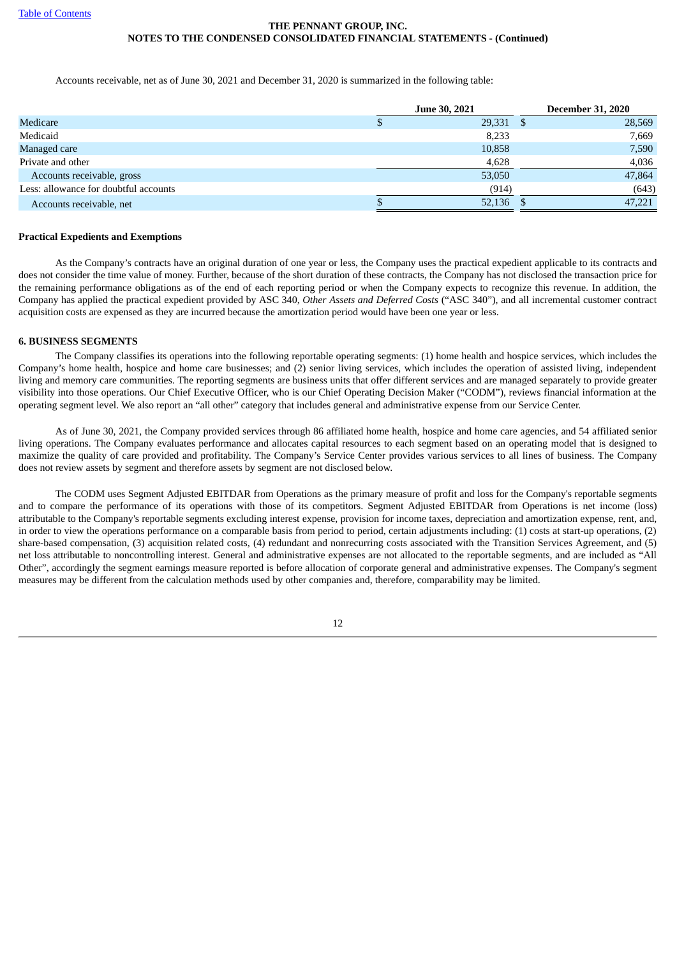Accounts receivable, net as of June 30, 2021 and December 31, 2020 is summarized in the following table:

|                                       | <b>June 30, 2021</b> | <b>December 31, 2020</b> |
|---------------------------------------|----------------------|--------------------------|
| Medicare                              | 29,331               | 28,569                   |
| Medicaid                              | 8,233                | 7,669                    |
| Managed care                          | 10,858               | 7,590                    |
| Private and other                     | 4,628                | 4,036                    |
| Accounts receivable, gross            | 53,050               | 47,864                   |
| Less: allowance for doubtful accounts | (914)                | (643)                    |
| Accounts receivable, net              | 52,136               | 47,221                   |

#### **Practical Expedients and Exemptions**

As the Company's contracts have an original duration of one year or less, the Company uses the practical expedient applicable to its contracts and does not consider the time value of money. Further, because of the short duration of these contracts, the Company has not disclosed the transaction price for the remaining performance obligations as of the end of each reporting period or when the Company expects to recognize this revenue. In addition, the Company has applied the practical expedient provided by ASC 340, *Other Assets and Deferred Costs* ("ASC 340"), and all incremental customer contract acquisition costs are expensed as they are incurred because the amortization period would have been one year or less.

## **6. BUSINESS SEGMENTS**

The Company classifies its operations into the following reportable operating segments: (1) home health and hospice services, which includes the Company's home health, hospice and home care businesses; and (2) senior living services, which includes the operation of assisted living, independent living and memory care communities. The reporting segments are business units that offer different services and are managed separately to provide greater visibility into those operations. Our Chief Executive Officer, who is our Chief Operating Decision Maker ("CODM"), reviews financial information at the operating segment level. We also report an "all other" category that includes general and administrative expense from our Service Center.

As of June 30, 2021, the Company provided services through 86 affiliated home health, hospice and home care agencies, and 54 affiliated senior living operations. The Company evaluates performance and allocates capital resources to each segment based on an operating model that is designed to maximize the quality of care provided and profitability. The Company's Service Center provides various services to all lines of business. The Company does not review assets by segment and therefore assets by segment are not disclosed below.

The CODM uses Segment Adjusted EBITDAR from Operations as the primary measure of profit and loss for the Company's reportable segments and to compare the performance of its operations with those of its competitors. Segment Adjusted EBITDAR from Operations is net income (loss) attributable to the Company's reportable segments excluding interest expense, provision for income taxes, depreciation and amortization expense, rent, and, in order to view the operations performance on a comparable basis from period to period, certain adjustments including: (1) costs at start-up operations, (2) share-based compensation, (3) acquisition related costs, (4) redundant and nonrecurring costs associated with the Transition Services Agreement, and (5) net loss attributable to noncontrolling interest. General and administrative expenses are not allocated to the reportable segments, and are included as "All Other", accordingly the segment earnings measure reported is before allocation of corporate general and administrative expenses. The Company's segment measures may be different from the calculation methods used by other companies and, therefore, comparability may be limited.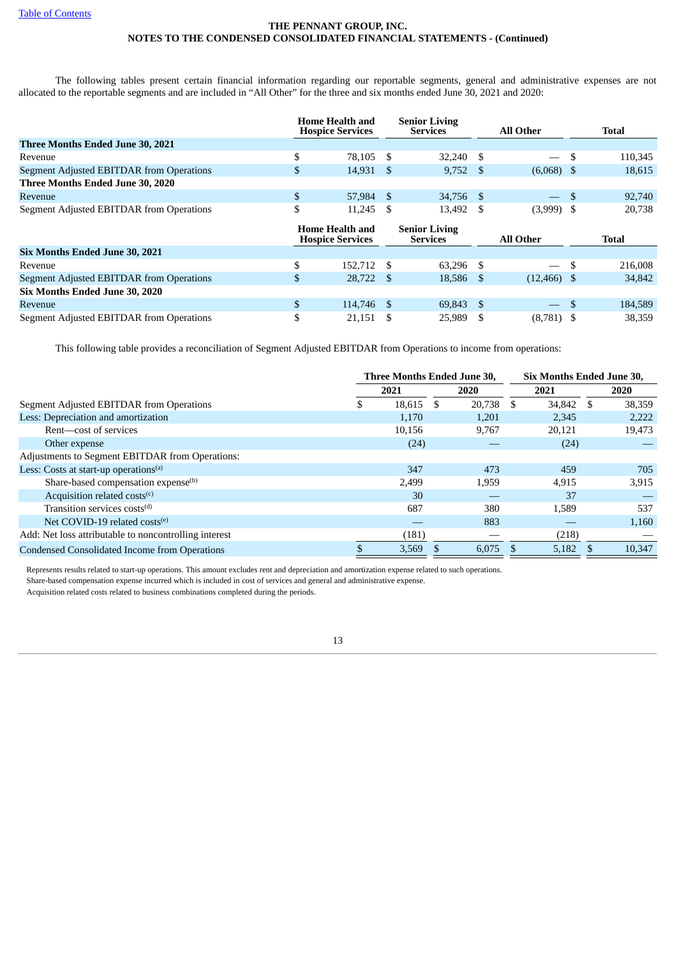The following tables present certain financial information regarding our reportable segments, general and administrative expenses are not allocated to the reportable segments and are included in "All Other" for the three and six months ended June 30, 2021 and 2020:

|                                          | <b>Home Health and</b><br><b>Hospice Services</b> |      | <b>Senior Living</b><br><b>Services</b> |    | <b>All Other</b> |      |         |  |  |  | <b>Total</b> |
|------------------------------------------|---------------------------------------------------|------|-----------------------------------------|----|------------------|------|---------|--|--|--|--------------|
| Three Months Ended June 30, 2021         |                                                   |      |                                         |    |                  |      |         |  |  |  |              |
| Revenue                                  | \$<br>78.105                                      | -S   | 32,240 \$                               |    | $-$ \$           |      | 110.345 |  |  |  |              |
| Segment Adjusted EBITDAR from Operations | \$<br>14,931                                      | - \$ | $9,752$ \$                              |    | $(6,068)$ \$     |      | 18,615  |  |  |  |              |
| Three Months Ended June 30, 2020         |                                                   |      |                                         |    |                  |      |         |  |  |  |              |
| Revenue                                  | \$<br>57,984                                      | -S   | 34,756 \$                               |    | $-$ \$           |      | 92,740  |  |  |  |              |
| Segment Adjusted EBITDAR from Operations | \$<br>11,245                                      | S    | 13.492                                  | -S | $(3,999)$ \$     |      | 20,738  |  |  |  |              |
|                                          | <b>Home Health and</b><br><b>Hospice Services</b> |      | <b>Senior Living</b><br><b>Services</b> |    | <b>All Other</b> |      | Total   |  |  |  |              |
| Six Months Ended June 30, 2021           |                                                   |      |                                         |    |                  |      |         |  |  |  |              |
| Revenue                                  | \$<br>152,712                                     | -S   | 63.296 \$                               |    |                  | - \$ | 216,008 |  |  |  |              |
| Segment Adjusted EBITDAR from Operations | \$<br>28,722                                      | -S   | 18,586 \$                               |    | $(12, 466)$ \$   |      | 34,842  |  |  |  |              |
| Six Months Ended June 30, 2020           |                                                   |      |                                         |    |                  |      |         |  |  |  |              |

Revenue \$ 114,746 \$ 69,843 \$ — \$ 184,589 Segment Adjusted EBITDAR from Operations  $$$  21,151 \$ 25,989 \$ (8,781) \$ 38,359

This following table provides a reconciliation of Segment Adjusted EBITDAR from Operations to income from operations:

|                                                       |    | Three Months Ended June 30, |    |           |  |           | <b>Six Months Ended June 30,</b> |        |  |
|-------------------------------------------------------|----|-----------------------------|----|-----------|--|-----------|----------------------------------|--------|--|
|                                                       |    | 2021<br>2020                |    | 2021      |  |           | 2020                             |        |  |
| Segment Adjusted EBITDAR from Operations              | J. | 18.615                      | -S | 20.738 \$ |  | 34,842 \$ |                                  | 38,359 |  |
| Less: Depreciation and amortization                   |    | 1,170                       |    | 1,201     |  | 2,345     |                                  | 2,222  |  |
| Rent-cost of services                                 |    | 10,156                      |    | 9.767     |  | 20,121    |                                  | 19,473 |  |
| Other expense                                         |    | (24)                        |    |           |  | (24)      |                                  |        |  |
| Adjustments to Segment EBITDAR from Operations:       |    |                             |    |           |  |           |                                  |        |  |
| Less: Costs at start-up operations <sup>(a)</sup>     |    | 347                         |    | 473       |  | 459       |                                  | 705    |  |
| Share-based compensation expense <sup>(b)</sup>       |    | 2,499                       |    | 1,959     |  | 4,915     |                                  | 3,915  |  |
| Acquisition related costs <sup>(c)</sup>              |    | 30                          |    |           |  | 37        |                                  |        |  |
| Transition services costs <sup>(d)</sup>              |    | 687                         |    | 380       |  | 1,589     |                                  | 537    |  |
| Net COVID-19 related costs <sup>(e)</sup>             |    |                             |    | 883       |  |           |                                  | 1,160  |  |
| Add: Net loss attributable to noncontrolling interest |    | (181)                       |    |           |  | (218)     |                                  |        |  |
| Condensed Consolidated Income from Operations         |    | 3,569                       |    | 6.075     |  | 5,182     |                                  | 10.347 |  |

Represents results related to start-up operations. This amount excludes rent and depreciation and amortization expense related to such operations. Share-based compensation expense incurred which is included in cost of services and general and administrative expense.

Acquisition related costs related to business combinations completed during the periods.

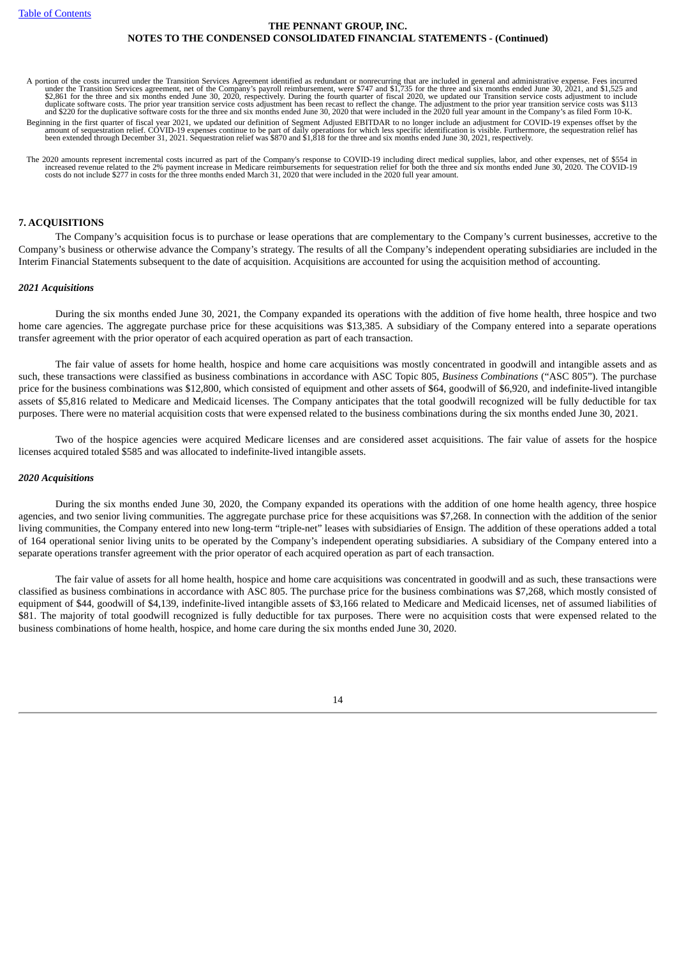- A portion of the costs incurred under the Transition Services Agreement identified as redundant or nonrecurring that are included in general and administrative expense. Fees incurred<br>under the Transition Services agreement Beginning in the first quarter of fiscal year 2021, we updated our definition of Segment Adjusted EBITDAR to no longer include an adjustment for COVID-19 expenses offset by the<br>amount of sequestration relief has a mount of
- The 2020 amounts represent incremental costs incurred as part of the Company's response to COVID-19 including direct medical supplies, labor, and other expenses, net of \$554 in increased revenue related to the 2% payment i costs do not include \$277 in costs for the three months ended March 31, 2020 that were included in the 2020 full year amount.

#### **7. ACQUISITIONS**

The Company's acquisition focus is to purchase or lease operations that are complementary to the Company's current businesses, accretive to the Company's business or otherwise advance the Company's strategy. The results of all the Company's independent operating subsidiaries are included in the Interim Financial Statements subsequent to the date of acquisition. Acquisitions are accounted for using the acquisition method of accounting.

#### *2021 Acquisitions*

During the six months ended June 30, 2021, the Company expanded its operations with the addition of five home health, three hospice and two home care agencies. The aggregate purchase price for these acquisitions was \$13,385. A subsidiary of the Company entered into a separate operations transfer agreement with the prior operator of each acquired operation as part of each transaction.

The fair value of assets for home health, hospice and home care acquisitions was mostly concentrated in goodwill and intangible assets and as such, these transactions were classified as business combinations in accordance with ASC Topic 805, *Business Combinations* ("ASC 805"). The purchase price for the business combinations was \$12,800, which consisted of equipment and other assets of \$64, goodwill of \$6,920, and indefinite-lived intangible assets of \$5,816 related to Medicare and Medicaid licenses. The Company anticipates that the total goodwill recognized will be fully deductible for tax purposes. There were no material acquisition costs that were expensed related to the business combinations during the six months ended June 30, 2021.

Two of the hospice agencies were acquired Medicare licenses and are considered asset acquisitions. The fair value of assets for the hospice licenses acquired totaled \$585 and was allocated to indefinite-lived intangible assets.

#### *2020 Acquisitions*

During the six months ended June 30, 2020, the Company expanded its operations with the addition of one home health agency, three hospice agencies, and two senior living communities. The aggregate purchase price for these acquisitions was \$7,268. In connection with the addition of the senior living communities, the Company entered into new long-term "triple-net" leases with subsidiaries of Ensign. The addition of these operations added a total of 164 operational senior living units to be operated by the Company's independent operating subsidiaries. A subsidiary of the Company entered into a separate operations transfer agreement with the prior operator of each acquired operation as part of each transaction.

The fair value of assets for all home health, hospice and home care acquisitions was concentrated in goodwill and as such, these transactions were classified as business combinations in accordance with ASC 805. The purchase price for the business combinations was \$7,268, which mostly consisted of equipment of \$44, goodwill of \$4,139, indefinite-lived intangible assets of \$3,166 related to Medicare and Medicaid licenses, net of assumed liabilities of \$81. The majority of total goodwill recognized is fully deductible for tax purposes. There were no acquisition costs that were expensed related to the business combinations of home health, hospice, and home care during the six months ended June 30, 2020.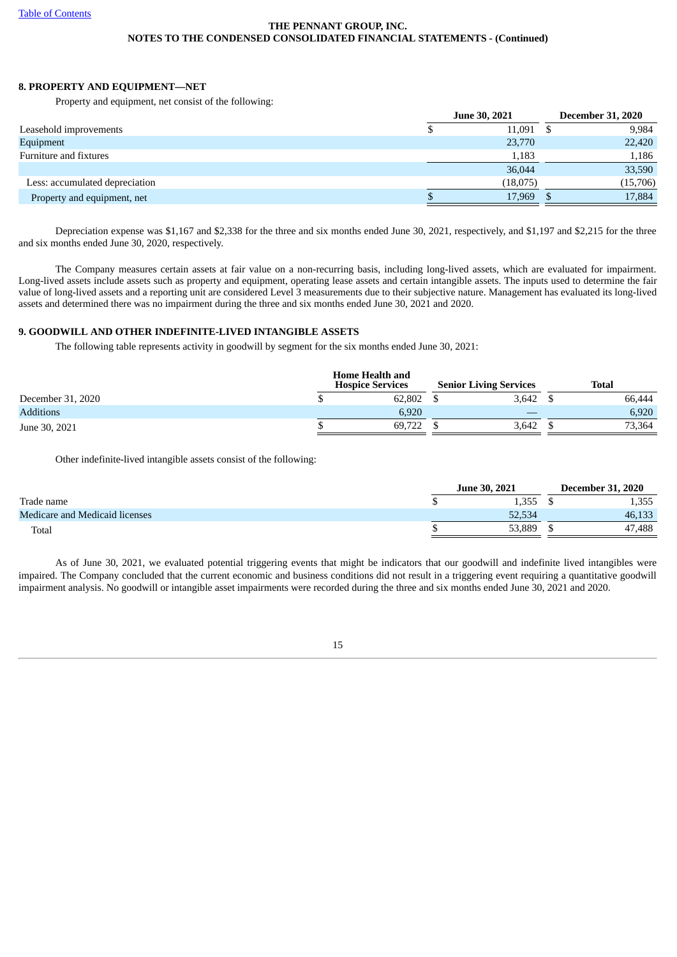## **8. PROPERTY AND EQUIPMENT—NET**

Property and equipment, net consist of the following:

|                                | June 30, 2021 | <b>December 31, 2020</b> |
|--------------------------------|---------------|--------------------------|
| Leasehold improvements         | 11,091        | 9,984                    |
| Equipment                      | 23,770        | 22,420                   |
| Furniture and fixtures         | 1,183         | 1,186                    |
|                                | 36,044        | 33,590                   |
| Less: accumulated depreciation | (18,075)      | (15,706)                 |
| Property and equipment, net    | 17,969        | 17,884                   |

Depreciation expense was \$1,167 and \$2,338 for the three and six months ended June 30, 2021, respectively, and \$1,197 and \$2,215 for the three and six months ended June 30, 2020, respectively.

The Company measures certain assets at fair value on a non-recurring basis, including long-lived assets, which are evaluated for impairment. Long-lived assets include assets such as property and equipment, operating lease assets and certain intangible assets. The inputs used to determine the fair value of long-lived assets and a reporting unit are considered Level 3 measurements due to their subjective nature. Management has evaluated its long-lived assets and determined there was no impairment during the three and six months ended June 30, 2021 and 2020.

## **9. GOODWILL AND OTHER INDEFINITE-LIVED INTANGIBLE ASSETS**

The following table represents activity in goodwill by segment for the six months ended June 30, 2021:

|                   | <b>Home Health and</b><br><b>Hospice Services</b> | <b>Senior Living Services</b> | <b>Total</b> |  |  |
|-------------------|---------------------------------------------------|-------------------------------|--------------|--|--|
| December 31, 2020 | 62,802                                            | 3,642                         | 66.444       |  |  |
| <b>Additions</b>  | 6.920                                             |                               | 6,920        |  |  |
| June 30, 2021     | 69,722                                            | 3.642                         | 73,364       |  |  |
|                   |                                                   |                               |              |  |  |

Other indefinite-lived intangible assets consist of the following:

|                                | <b>June 30, 2021</b> | <b>December 31, 2020</b> |
|--------------------------------|----------------------|--------------------------|
| Trade name                     | 1.355                | 1,355                    |
| Medicare and Medicaid licenses | 52,534               | 46,133                   |
| Total                          | 53.889               | 47,488                   |

As of June 30, 2021, we evaluated potential triggering events that might be indicators that our goodwill and indefinite lived intangibles were impaired. The Company concluded that the current economic and business conditions did not result in a triggering event requiring a quantitative goodwill impairment analysis. No goodwill or intangible asset impairments were recorded during the three and six months ended June 30, 2021 and 2020.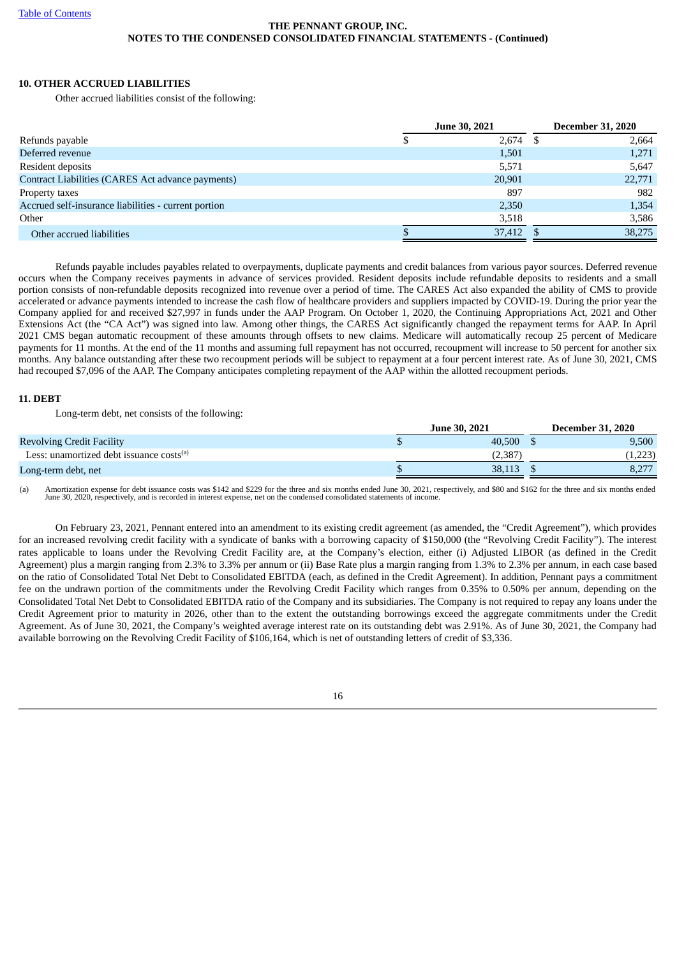## **10. OTHER ACCRUED LIABILITIES**

Other accrued liabilities consist of the following:

|                                                      | June 30, 2021 | <b>December 31, 2020</b> |
|------------------------------------------------------|---------------|--------------------------|
| Refunds payable                                      | $2,674$ \$    | 2,664                    |
| Deferred revenue                                     | 1,501         | 1,271                    |
| Resident deposits                                    | 5,571         | 5.647                    |
| Contract Liabilities (CARES Act advance payments)    | 20,901        | 22,771                   |
| Property taxes                                       | 897           | 982                      |
| Accrued self-insurance liabilities - current portion | 2,350         | 1,354                    |
| Other                                                | 3,518         | 3,586                    |
| Other accrued liabilities                            | 37,412 \$     | 38,275                   |

Refunds payable includes payables related to overpayments, duplicate payments and credit balances from various payor sources. Deferred revenue occurs when the Company receives payments in advance of services provided. Resident deposits include refundable deposits to residents and a small portion consists of non-refundable deposits recognized into revenue over a period of time. The CARES Act also expanded the ability of CMS to provide accelerated or advance payments intended to increase the cash flow of healthcare providers and suppliers impacted by COVID-19. During the prior year the Company applied for and received \$27,997 in funds under the AAP Program. On October 1, 2020, the Continuing Appropriations Act, 2021 and Other Extensions Act (the "CA Act") was signed into law. Among other things, the CARES Act significantly changed the repayment terms for AAP. In April 2021 CMS began automatic recoupment of these amounts through offsets to new claims. Medicare will automatically recoup 25 percent of Medicare payments for 11 months. At the end of the 11 months and assuming full repayment has not occurred, recoupment will increase to 50 percent for another six months. Any balance outstanding after these two recoupment periods will be subject to repayment at a four percent interest rate. As of June 30, 2021, CMS had recouped \$7,096 of the AAP. The Company anticipates completing repayment of the AAP within the allotted recoupment periods.

#### **11. DEBT**

Long-term debt, net consists of the following:

|                                                      | <b>June 30, 2021</b> | <b>December 31, 2020</b> |
|------------------------------------------------------|----------------------|--------------------------|
| <b>Revolving Credit Facility</b>                     | 40,500               | 9,500                    |
| Less: unamortized debt issuance costs <sup>(a)</sup> | (2,387)              | 1,223                    |
| Long-term debt, net                                  | 38,113               | 8,277                    |

(a) Amortization expense for debt issuance costs was \$142 and \$229 for the three and six months ended June 30, 2021, respectively, and \$80 and \$162 for the three and six months ended June 30, 2020, respectively, and is recorded in interest expense, net on the condensed consolidated statements of income.

On February 23, 2021, Pennant entered into an amendment to its existing credit agreement (as amended, the "Credit Agreement"), which provides for an increased revolving credit facility with a syndicate of banks with a borrowing capacity of \$150,000 (the "Revolving Credit Facility"). The interest rates applicable to loans under the Revolving Credit Facility are, at the Company's election, either (i) Adjusted LIBOR (as defined in the Credit Agreement) plus a margin ranging from 2.3% to 3.3% per annum or (ii) Base Rate plus a margin ranging from 1.3% to 2.3% per annum, in each case based on the ratio of Consolidated Total Net Debt to Consolidated EBITDA (each, as defined in the Credit Agreement). In addition, Pennant pays a commitment fee on the undrawn portion of the commitments under the Revolving Credit Facility which ranges from 0.35% to 0.50% per annum, depending on the Consolidated Total Net Debt to Consolidated EBITDA ratio of the Company and its subsidiaries. The Company is not required to repay any loans under the Credit Agreement prior to maturity in 2026, other than to the extent the outstanding borrowings exceed the aggregate commitments under the Credit Agreement. As of June 30, 2021, the Company's weighted average interest rate on its outstanding debt was 2.91%. As of June 30, 2021, the Company had available borrowing on the Revolving Credit Facility of \$106,164, which is net of outstanding letters of credit of \$3,336.

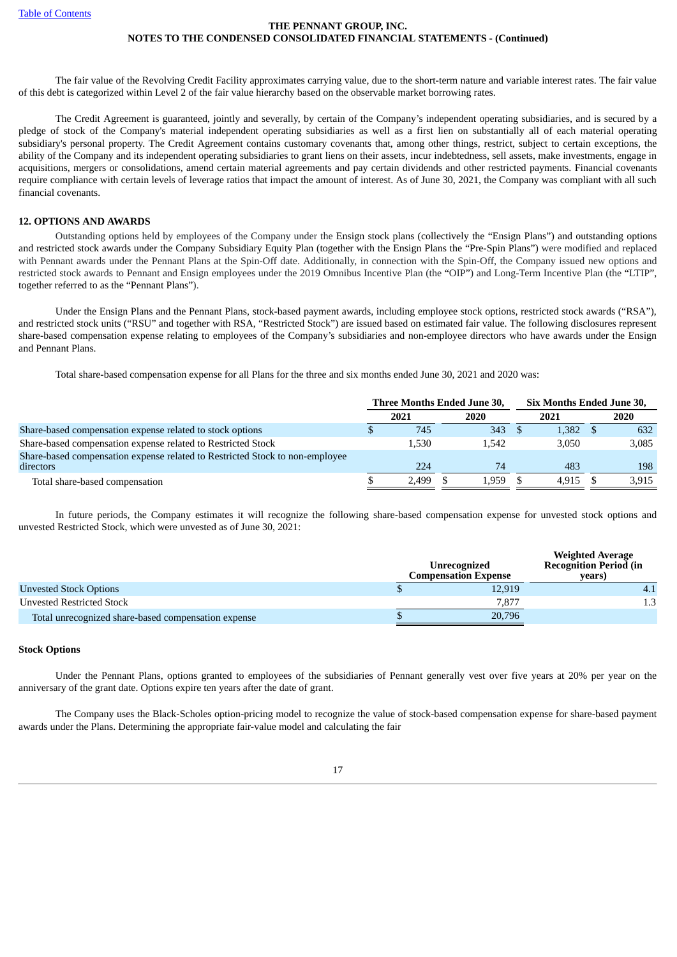The fair value of the Revolving Credit Facility approximates carrying value, due to the short-term nature and variable interest rates. The fair value of this debt is categorized within Level 2 of the fair value hierarchy based on the observable market borrowing rates.

The Credit Agreement is guaranteed, jointly and severally, by certain of the Company's independent operating subsidiaries, and is secured by a pledge of stock of the Company's material independent operating subsidiaries as well as a first lien on substantially all of each material operating subsidiary's personal property. The Credit Agreement contains customary covenants that, among other things, restrict, subject to certain exceptions, the ability of the Company and its independent operating subsidiaries to grant liens on their assets, incur indebtedness, sell assets, make investments, engage in acquisitions, mergers or consolidations, amend certain material agreements and pay certain dividends and other restricted payments. Financial covenants require compliance with certain levels of leverage ratios that impact the amount of interest. As of June 30, 2021, the Company was compliant with all such financial covenants.

## **12. OPTIONS AND AWARDS**

Outstanding options held by employees of the Company under the Ensign stock plans (collectively the "Ensign Plans") and outstanding options and restricted stock awards under the Company Subsidiary Equity Plan (together with the Ensign Plans the "Pre-Spin Plans") were modified and replaced with Pennant awards under the Pennant Plans at the Spin-Off date. Additionally, in connection with the Spin-Off, the Company issued new options and restricted stock awards to Pennant and Ensign employees under the 2019 Omnibus Incentive Plan (the "OIP") and Long-Term Incentive Plan (the "LTIP", together referred to as the "Pennant Plans").

Under the Ensign Plans and the Pennant Plans, stock-based payment awards, including employee stock options, restricted stock awards ("RSA"), and restricted stock units ("RSU" and together with RSA, "Restricted Stock") are issued based on estimated fair value. The following disclosures represent share-based compensation expense relating to employees of the Company's subsidiaries and non-employee directors who have awards under the Ensign and Pennant Plans.

Total share-based compensation expense for all Plans for the three and six months ended June 30, 2021 and 2020 was:

|                                                                                           | Three Months Ended June 30, |       |       |       | <b>Six Months Ended June 30,</b> |       |
|-------------------------------------------------------------------------------------------|-----------------------------|-------|-------|-------|----------------------------------|-------|
|                                                                                           |                             | 2021  | 2020  | 2021  |                                  | 2020  |
| Share-based compensation expense related to stock options                                 |                             | 745   | 343   | 1,382 |                                  | 632   |
| Share-based compensation expense related to Restricted Stock                              |                             | 1.530 | 1.542 | 3.050 |                                  | 3,085 |
| Share-based compensation expense related to Restricted Stock to non-employee<br>directors |                             | 224   | 74    | 483   |                                  | 198   |
| Total share-based compensation                                                            |                             | 2.499 | 1.959 | 4.915 |                                  | 3,915 |

In future periods, the Company estimates it will recognize the following share-based compensation expense for unvested stock options and unvested Restricted Stock, which were unvested as of June 30, 2021:

|                                                     | Unrecognized<br><b>Compensation Expense</b> | <b>Weighted Average</b><br><b>Recognition Period (in</b><br>years) |
|-----------------------------------------------------|---------------------------------------------|--------------------------------------------------------------------|
| <b>Unvested Stock Options</b>                       | 12,919                                      | 4.1                                                                |
| <b>Unvested Restricted Stock</b>                    | 7.877                                       | 1.3                                                                |
| Total unrecognized share-based compensation expense | 20,796                                      |                                                                    |

#### **Stock Options**

Under the Pennant Plans, options granted to employees of the subsidiaries of Pennant generally vest over five years at 20% per year on the anniversary of the grant date. Options expire ten years after the date of grant.

The Company uses the Black-Scholes option-pricing model to recognize the value of stock-based compensation expense for share-based payment awards under the Plans. Determining the appropriate fair-value model and calculating the fair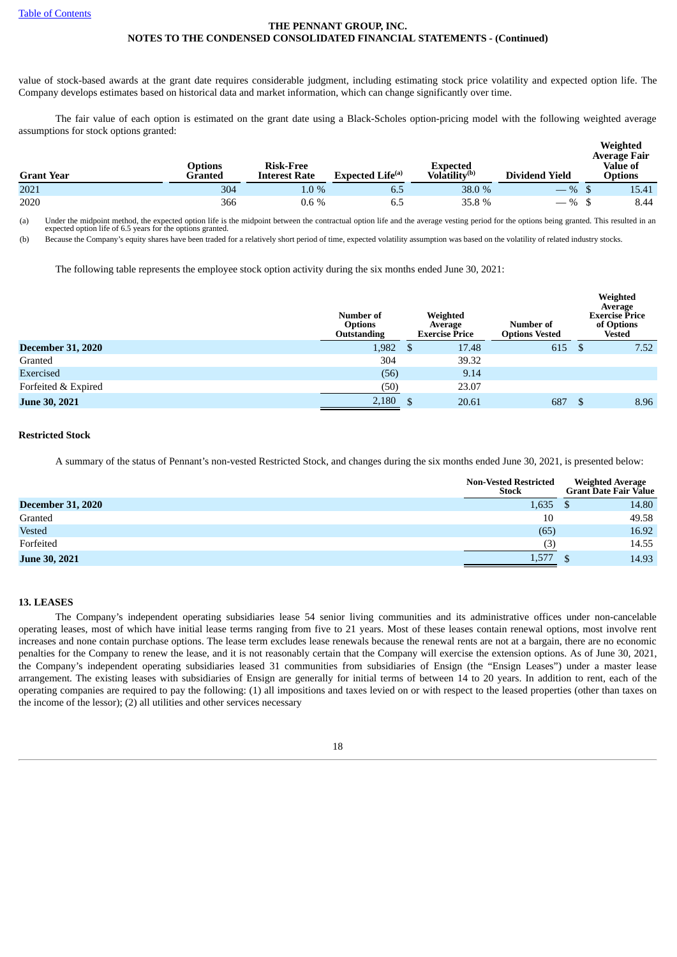value of stock-based awards at the grant date requires considerable judgment, including estimating stock price volatility and expected option life. The Company develops estimates based on historical data and market information, which can change significantly over time.

The fair value of each option is estimated on the grant date using a Black-Scholes option-pricing model with the following weighted average assumptions for stock options granted:

| <b>Grant Year</b> | Options<br>Granted | <b>Risk-Free</b><br><b>Interest Rate</b> | <b>Expected Life</b> <sup>(a)</sup> | <b>Expected</b><br>Volatility <sup>(b)</sup> | <b>Dividend Yield</b> | Weighted<br><b>Average Fair</b><br><b>Value of</b><br><b>Options</b> |
|-------------------|--------------------|------------------------------------------|-------------------------------------|----------------------------------------------|-----------------------|----------------------------------------------------------------------|
| 2021              | 304                | $1.0\%$                                  | 6.5                                 | 38.0 %                                       | $-$ % \$              | 15.41                                                                |
| 2020              | 366                | $0.6\%$                                  | 6.5                                 | 35.8 %                                       | $-$ % \$              | 8.44                                                                 |

(a) Under the midpoint method, the expected option life is the midpoint between the contractual option life and the average vesting period for the options being granted. This resulted in an expected option life of 6.5 years for the options granted.

(b) Because the Company's equity shares have been traded for a relatively short period of time, expected volatility assumption was based on the volatility of related industry stocks.

The following table represents the employee stock option activity during the six months ended June 30, 2021:

|                          | Number of<br><b>Options</b><br><b>Outstanding</b> | Weighted<br>Average<br><b>Exercise Price</b> | Number of<br><b>Options Vested</b> | Weighted<br>Average<br><b>Exercise Price</b><br>of Options<br><b>Vested</b> |
|--------------------------|---------------------------------------------------|----------------------------------------------|------------------------------------|-----------------------------------------------------------------------------|
| <b>December 31, 2020</b> | 1,982 \$                                          | 17.48                                        | 615 \$                             | 7.52                                                                        |
| Granted                  | 304                                               | 39.32                                        |                                    |                                                                             |
| Exercised                | (56)                                              | 9.14                                         |                                    |                                                                             |
| Forfeited & Expired      | (50)                                              | 23.07                                        |                                    |                                                                             |
| <b>June 30, 2021</b>     | 2,180                                             | \$<br>20.61                                  | 687                                | 8.96                                                                        |

## **Restricted Stock**

A summary of the status of Pennant's non-vested Restricted Stock, and changes during the six months ended June 30, 2021, is presented below:

|                          | <b>Non-Vested Restricted</b><br><b>Stock</b> | <b>Weighted Average</b><br><b>Grant Date Fair Value</b> |
|--------------------------|----------------------------------------------|---------------------------------------------------------|
| <b>December 31, 2020</b> | 1,635                                        | 14.80                                                   |
| Granted                  | 10                                           | 49.58                                                   |
| <b>Vested</b>            | (65)                                         | 16.92                                                   |
| Forfeited                | (3)                                          | 14.55                                                   |
| <b>June 30, 2021</b>     | 1,57                                         | 14.93                                                   |

## **13. LEASES**

The Company's independent operating subsidiaries lease 54 senior living communities and its administrative offices under non-cancelable operating leases, most of which have initial lease terms ranging from five to 21 years. Most of these leases contain renewal options, most involve rent increases and none contain purchase options. The lease term excludes lease renewals because the renewal rents are not at a bargain, there are no economic penalties for the Company to renew the lease, and it is not reasonably certain that the Company will exercise the extension options. As of June 30, 2021, the Company's independent operating subsidiaries leased 31 communities from subsidiaries of Ensign (the "Ensign Leases") under a master lease arrangement*.* The existing leases with subsidiaries of Ensign are generally for initial terms of between 14 to 20 years. In addition to rent, each of the operating companies are required to pay the following: (1) all impositions and taxes levied on or with respect to the leased properties (other than taxes on the income of the lessor); (2) all utilities and other services necessary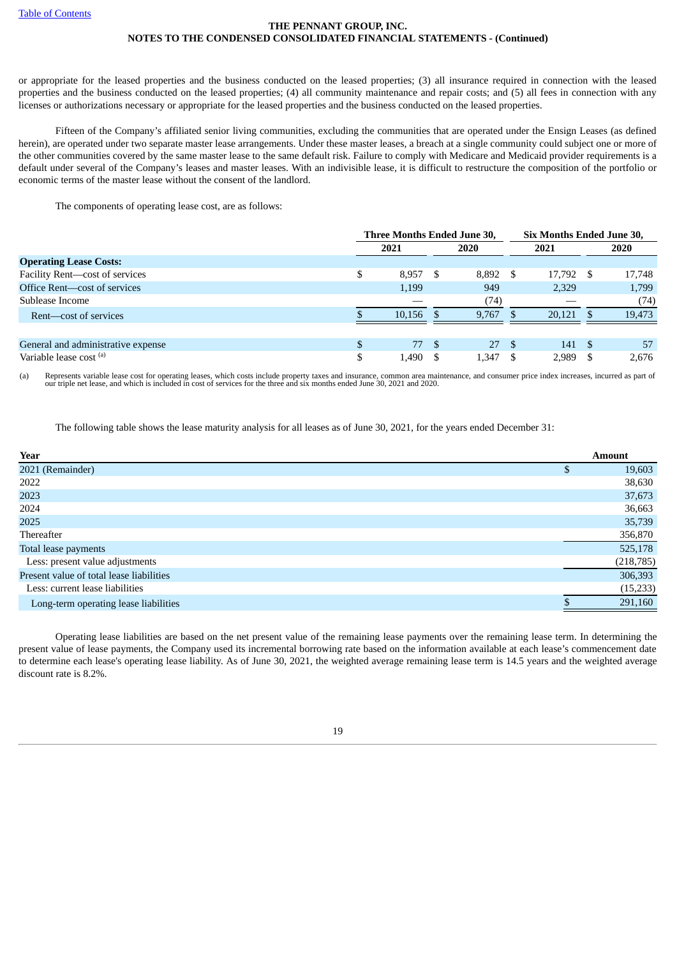or appropriate for the leased properties and the business conducted on the leased properties; (3) all insurance required in connection with the leased properties and the business conducted on the leased properties; (4) all community maintenance and repair costs; and (5) all fees in connection with any licenses or authorizations necessary or appropriate for the leased properties and the business conducted on the leased properties.

Fifteen of the Company's affiliated senior living communities, excluding the communities that are operated under the Ensign Leases (as defined herein), are operated under two separate master lease arrangements. Under these master leases, a breach at a single community could subject one or more of the other communities covered by the same master lease to the same default risk. Failure to comply with Medicare and Medicaid provider requirements is a default under several of the Company's leases and master leases. With an indivisible lease, it is difficult to restructure the composition of the portfolio or economic terms of the master lease without the consent of the landlord.

The components of operating lease cost, are as follows:

|                                    |      | Three Months Ended June 30, |  |       |    | <b>Six Months Ended June 30,</b> |      |        |
|------------------------------------|------|-----------------------------|--|-------|----|----------------------------------|------|--------|
|                                    | 2021 |                             |  | 2020  |    | 2021                             |      | 2020   |
| <b>Operating Lease Costs:</b>      |      |                             |  |       |    |                                  |      |        |
| Facility Rent-cost of services     | Œ    | 8,957                       |  | 8,892 | .S | 17,792 \$                        |      | 17,748 |
| Office Rent-cost of services       |      | 1,199                       |  | 949   |    | 2,329                            |      | 1,799  |
| Sublease Income                    |      |                             |  | (74)  |    |                                  |      | (74)   |
| Rent-cost of services              |      | 10,156                      |  | 9.767 |    | 20,121                           |      | 19,473 |
|                                    |      |                             |  |       |    |                                  |      |        |
| General and administrative expense |      | 77 \$                       |  | 27S   |    | 141                              | - \$ | 57     |
| Variable lease cost (a)            |      | 1,490                       |  | 1.347 |    | 2,989                            |      | 2.676  |

(a) Represents variable lease cost for operating leases, which costs include property taxes and insurance, common area maintenance, and consumer price index increases, incurred as part of<br>our triple net lease, and which is

The following table shows the lease maturity analysis for all leases as of June 30, 2021, for the years ended December 31:

| Year                                     |   | <b>Amount</b> |
|------------------------------------------|---|---------------|
| 2021 (Remainder)                         | D | 19,603        |
| 2022                                     |   | 38,630        |
| 2023                                     |   | 37,673        |
| 2024                                     |   | 36,663        |
| 2025                                     |   | 35,739        |
| Thereafter                               |   | 356,870       |
| Total lease payments                     |   | 525,178       |
| Less: present value adjustments          |   | (218, 785)    |
| Present value of total lease liabilities |   | 306,393       |
| Less: current lease liabilities          |   | (15, 233)     |
| Long-term operating lease liabilities    |   | 291,160       |

Operating lease liabilities are based on the net present value of the remaining lease payments over the remaining lease term. In determining the present value of lease payments, the Company used its incremental borrowing rate based on the information available at each lease's commencement date to determine each lease's operating lease liability. As of June 30, 2021, the weighted average remaining lease term is 14.5 years and the weighted average discount rate is 8.2%.

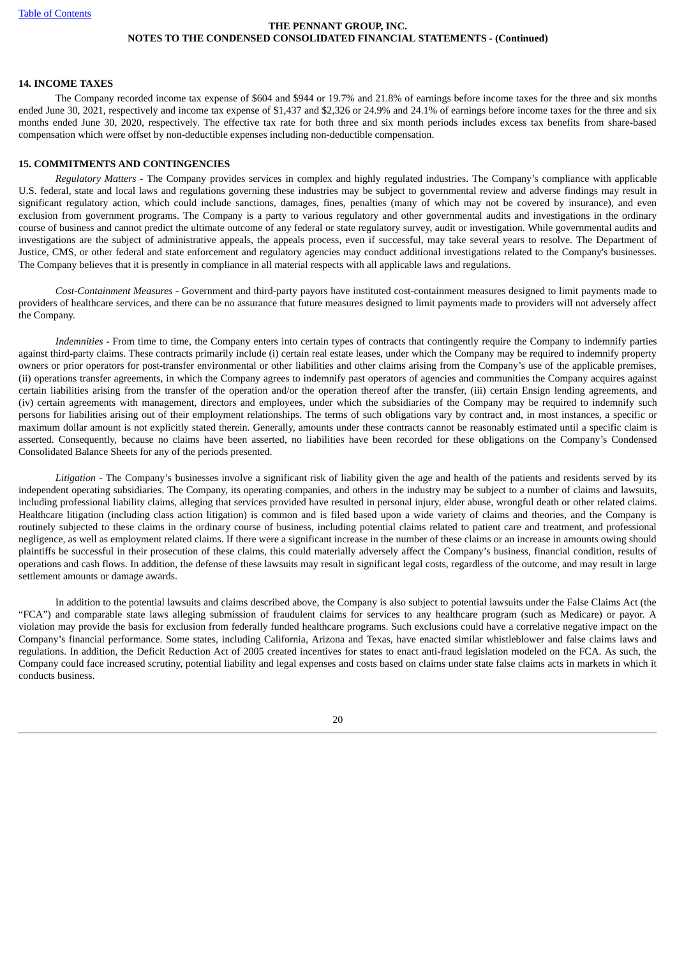## **14. INCOME TAXES**

The Company recorded income tax expense of \$604 and \$944 or 19.7% and 21.8% of earnings before income taxes for the three and six months ended June 30, 2021, respectively and income tax expense of \$1,437 and \$2,326 or 24.9% and 24.1% of earnings before income taxes for the three and six months ended June 30, 2020, respectively. The effective tax rate for both three and six month periods includes excess tax benefits from share-based compensation which were offset by non-deductible expenses including non-deductible compensation.

#### **15. COMMITMENTS AND CONTINGENCIES**

*Regulatory Matters -* The Company provides services in complex and highly regulated industries. The Company's compliance with applicable U.S. federal, state and local laws and regulations governing these industries may be subject to governmental review and adverse findings may result in significant regulatory action, which could include sanctions, damages, fines, penalties (many of which may not be covered by insurance), and even exclusion from government programs. The Company is a party to various regulatory and other governmental audits and investigations in the ordinary course of business and cannot predict the ultimate outcome of any federal or state regulatory survey, audit or investigation. While governmental audits and investigations are the subject of administrative appeals, the appeals process, even if successful, may take several years to resolve. The Department of Justice, CMS, or other federal and state enforcement and regulatory agencies may conduct additional investigations related to the Company's businesses. The Company believes that it is presently in compliance in all material respects with all applicable laws and regulations.

*Cost-Containment Measures -* Government and third-party payors have instituted cost-containment measures designed to limit payments made to providers of healthcare services, and there can be no assurance that future measures designed to limit payments made to providers will not adversely affect the Company.

*Indemnities -* From time to time, the Company enters into certain types of contracts that contingently require the Company to indemnify parties against third-party claims. These contracts primarily include (i) certain real estate leases, under which the Company may be required to indemnify property owners or prior operators for post-transfer environmental or other liabilities and other claims arising from the Company's use of the applicable premises, (ii) operations transfer agreements, in which the Company agrees to indemnify past operators of agencies and communities the Company acquires against certain liabilities arising from the transfer of the operation and/or the operation thereof after the transfer, (iii) certain Ensign lending agreements, and (iv) certain agreements with management, directors and employees, under which the subsidiaries of the Company may be required to indemnify such persons for liabilities arising out of their employment relationships. The terms of such obligations vary by contract and, in most instances, a specific or maximum dollar amount is not explicitly stated therein. Generally, amounts under these contracts cannot be reasonably estimated until a specific claim is asserted. Consequently, because no claims have been asserted, no liabilities have been recorded for these obligations on the Company's Condensed Consolidated Balance Sheets for any of the periods presented.

*Litigation -* The Company's businesses involve a significant risk of liability given the age and health of the patients and residents served by its independent operating subsidiaries. The Company, its operating companies, and others in the industry may be subject to a number of claims and lawsuits, including professional liability claims, alleging that services provided have resulted in personal injury, elder abuse, wrongful death or other related claims. Healthcare litigation (including class action litigation) is common and is filed based upon a wide variety of claims and theories, and the Company is routinely subjected to these claims in the ordinary course of business, including potential claims related to patient care and treatment, and professional negligence, as well as employment related claims. If there were a significant increase in the number of these claims or an increase in amounts owing should plaintiffs be successful in their prosecution of these claims, this could materially adversely affect the Company's business, financial condition, results of operations and cash flows. In addition, the defense of these lawsuits may result in significant legal costs, regardless of the outcome, and may result in large settlement amounts or damage awards.

In addition to the potential lawsuits and claims described above, the Company is also subject to potential lawsuits under the False Claims Act (the "FCA") and comparable state laws alleging submission of fraudulent claims for services to any healthcare program (such as Medicare) or payor. A violation may provide the basis for exclusion from federally funded healthcare programs. Such exclusions could have a correlative negative impact on the Company's financial performance. Some states, including California, Arizona and Texas, have enacted similar whistleblower and false claims laws and regulations. In addition, the Deficit Reduction Act of 2005 created incentives for states to enact anti-fraud legislation modeled on the FCA. As such, the Company could face increased scrutiny, potential liability and legal expenses and costs based on claims under state false claims acts in markets in which it conducts business.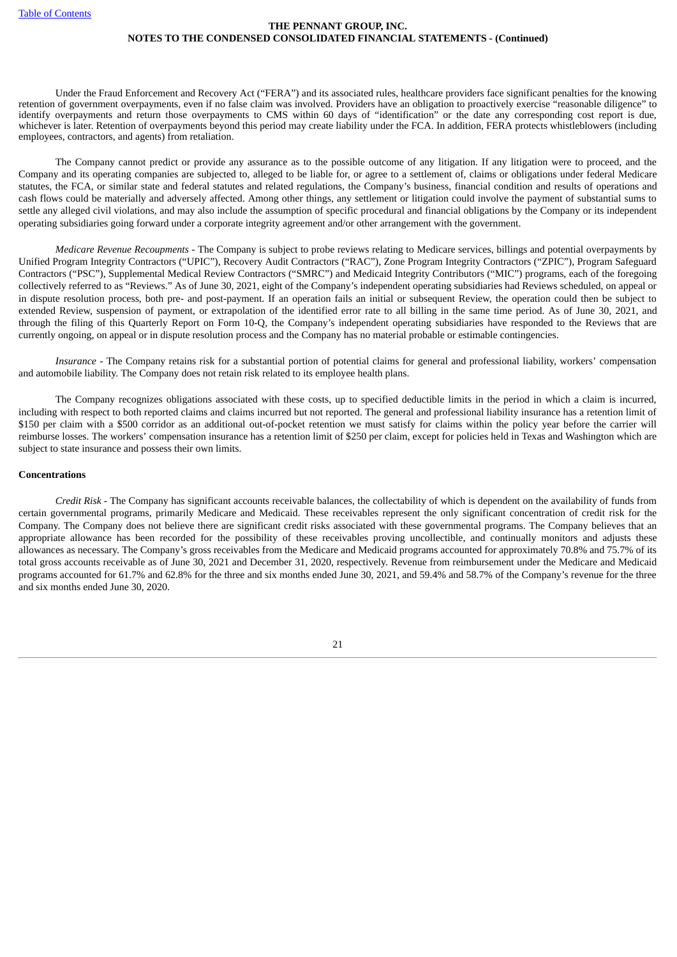Under the Fraud Enforcement and Recovery Act ("FERA") and its associated rules, healthcare providers face significant penalties for the knowing retention of government overpayments, even if no false claim was involved. Providers have an obligation to proactively exercise "reasonable diligence" to identify overpayments and return those overpayments to CMS within 60 days of "identification" or the date any corresponding cost report is due, whichever is later. Retention of overpayments beyond this period may create liability under the FCA. In addition, FERA protects whistleblowers (including employees, contractors, and agents) from retaliation.

The Company cannot predict or provide any assurance as to the possible outcome of any litigation. If any litigation were to proceed, and the Company and its operating companies are subjected to, alleged to be liable for, or agree to a settlement of, claims or obligations under federal Medicare statutes, the FCA, or similar state and federal statutes and related regulations, the Company's business, financial condition and results of operations and cash flows could be materially and adversely affected. Among other things, any settlement or litigation could involve the payment of substantial sums to settle any alleged civil violations, and may also include the assumption of specific procedural and financial obligations by the Company or its independent operating subsidiaries going forward under a corporate integrity agreement and/or other arrangement with the government.

*Medicare Revenue Recoupments -* The Company is subject to probe reviews relating to Medicare services, billings and potential overpayments by Unified Program Integrity Contractors ("UPIC"), Recovery Audit Contractors ("RAC"), Zone Program Integrity Contractors ("ZPIC"), Program Safeguard Contractors ("PSC"), Supplemental Medical Review Contractors ("SMRC") and Medicaid Integrity Contributors ("MIC") programs, each of the foregoing collectively referred to as "Reviews." As of June 30, 2021, eight of the Company's independent operating subsidiaries had Reviews scheduled, on appeal or in dispute resolution process, both pre- and post-payment. If an operation fails an initial or subsequent Review, the operation could then be subject to extended Review, suspension of payment, or extrapolation of the identified error rate to all billing in the same time period. As of June 30, 2021, and through the filing of this Quarterly Report on Form 10-Q, the Company's independent operating subsidiaries have responded to the Reviews that are currently ongoing, on appeal or in dispute resolution process and the Company has no material probable or estimable contingencies.

*Insurance* - The Company retains risk for a substantial portion of potential claims for general and professional liability, workers' compensation and automobile liability. The Company does not retain risk related to its employee health plans.

The Company recognizes obligations associated with these costs, up to specified deductible limits in the period in which a claim is incurred, including with respect to both reported claims and claims incurred but not reported. The general and professional liability insurance has a retention limit of \$150 per claim with a \$500 corridor as an additional out-of-pocket retention we must satisfy for claims within the policy year before the carrier will reimburse losses. The workers' compensation insurance has a retention limit of \$250 per claim, except for policies held in Texas and Washington which are subject to state insurance and possess their own limits.

#### **Concentrations**

<span id="page-22-0"></span>*Credit Risk -* The Company has significant accounts receivable balances, the collectability of which is dependent on the availability of funds from certain governmental programs, primarily Medicare and Medicaid. These receivables represent the only significant concentration of credit risk for the Company. The Company does not believe there are significant credit risks associated with these governmental programs. The Company believes that an appropriate allowance has been recorded for the possibility of these receivables proving uncollectible, and continually monitors and adjusts these allowances as necessary. The Company's gross receivables from the Medicare and Medicaid programs accounted for approximately 70.8% and 75.7% of its total gross accounts receivable as of June 30, 2021 and December 31, 2020, respectively. Revenue from reimbursement under the Medicare and Medicaid programs accounted for 61.7% and 62.8% for the three and six months ended June 30, 2021, and 59.4% and 58.7% of the Company's revenue for the three and six months ended June 30, 2020.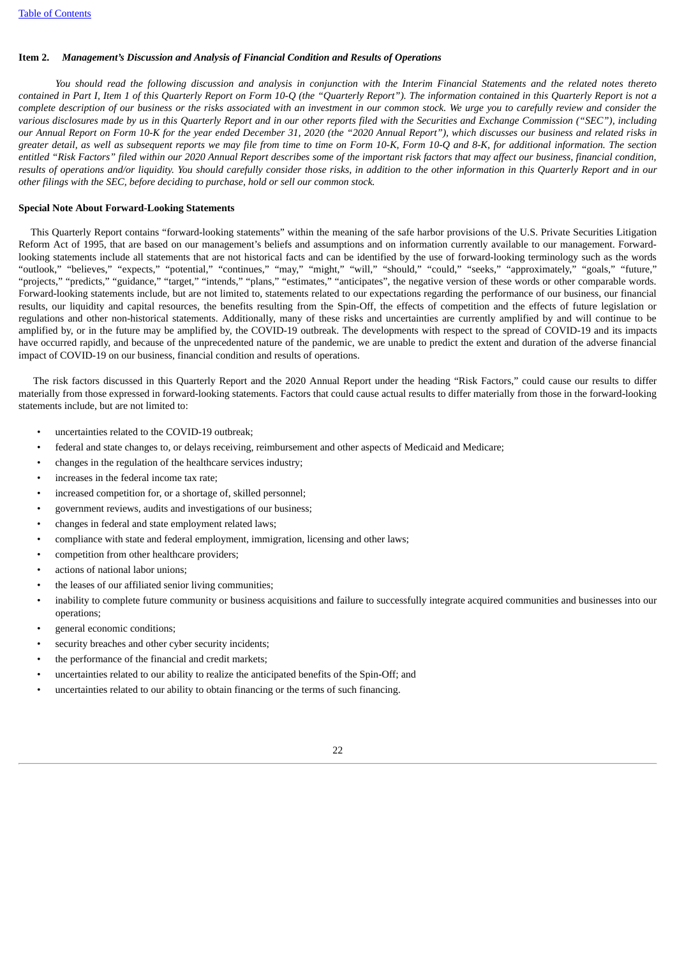## **Item 2.** *Management's Discussion and Analysis of Financial Condition and Results of Operations*

You should read the following discussion and analysis in conjunction with the Interim Financial Statements and the related notes thereto contained in Part I. Item 1 of this Ouarterly Report on Form 10-O (the "Ouarterly Report"). The information contained in this Ouarterly Report is not a complete description of our business or the risks associated with an investment in our common stock. We urge you to carefully review and consider the various disclosures made by us in this Quarterly Report and in our other reports filed with the Securities and Exchange Commission ("SEC"), includina our Annual Report on Form 10-K for the year ended December 31, 2020 (the "2020 Annual Report"), which discusses our business and related risks in greater detail, as well as subsequent reports we may file from time to time on Form 10-K, Form 10-Q and 8-K, for additional information. The section entitled "Risk Factors" filed within our 2020 Annual Report describes some of the important risk factors that may affect our business, financial condition, results of operations and/or liquidity. You should carefully consider those risks, in addition to the other information in this Quarterly Report and in our *other filings with the SEC, before deciding to purchase, hold or sell our common stock.*

#### **Special Note About Forward-Looking Statements**

This Quarterly Report contains "forward-looking statements" within the meaning of the safe harbor provisions of the U.S. Private Securities Litigation Reform Act of 1995, that are based on our management's beliefs and assumptions and on information currently available to our management. Forwardlooking statements include all statements that are not historical facts and can be identified by the use of forward-looking terminology such as the words "outlook," "believes," "expects," "potential," "continues," "may," "might," "will," "should," "could," "seeks," "approximately," "goals," "future," "projects," "predicts," "guidance," "target," "intends," "plans," "estimates," "anticipates", the negative version of these words or other comparable words. Forward-looking statements include, but are not limited to, statements related to our expectations regarding the performance of our business, our financial results, our liquidity and capital resources, the benefits resulting from the Spin-Off, the effects of competition and the effects of future legislation or regulations and other non-historical statements. Additionally, many of these risks and uncertainties are currently amplified by and will continue to be amplified by, or in the future may be amplified by, the COVID-19 outbreak. The developments with respect to the spread of COVID-19 and its impacts have occurred rapidly, and because of the unprecedented nature of the pandemic, we are unable to predict the extent and duration of the adverse financial impact of COVID-19 on our business, financial condition and results of operations.

The risk factors discussed in this Quarterly Report and the 2020 Annual Report under the heading "Risk Factors," could cause our results to differ materially from those expressed in forward-looking statements. Factors that could cause actual results to differ materially from those in the forward-looking statements include, but are not limited to:

- uncertainties related to the COVID-19 outbreak;
- federal and state changes to, or delays receiving, reimbursement and other aspects of Medicaid and Medicare;
- changes in the regulation of the healthcare services industry;
- increases in the federal income tax rate;
- increased competition for, or a shortage of, skilled personnel;
- government reviews, audits and investigations of our business;
- changes in federal and state employment related laws;
- compliance with state and federal employment, immigration, licensing and other laws;
- competition from other healthcare providers;
- actions of national labor unions;
- the leases of our affiliated senior living communities;
- inability to complete future community or business acquisitions and failure to successfully integrate acquired communities and businesses into our operations;
- general economic conditions;
- security breaches and other cyber security incidents;
- the performance of the financial and credit markets;
- uncertainties related to our ability to realize the anticipated benefits of the Spin-Off; and
- uncertainties related to our ability to obtain financing or the terms of such financing.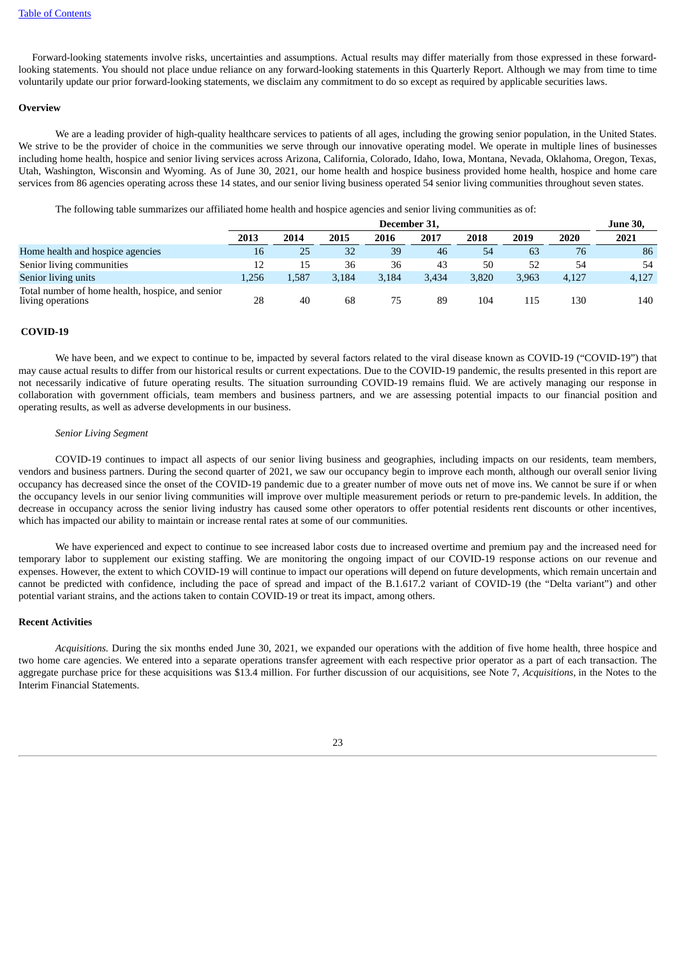Forward-looking statements involve risks, uncertainties and assumptions. Actual results may differ materially from those expressed in these forwardlooking statements. You should not place undue reliance on any forward-looking statements in this Quarterly Report. Although we may from time to time voluntarily update our prior forward-looking statements, we disclaim any commitment to do so except as required by applicable securities laws.

#### **Overview**

We are a leading provider of high-quality healthcare services to patients of all ages, including the growing senior population, in the United States. We strive to be the provider of choice in the communities we serve through our innovative operating model. We operate in multiple lines of businesses including home health, hospice and senior living services across Arizona, California, Colorado, Idaho, Iowa, Montana, Nevada, Oklahoma, Oregon, Texas, Utah, Washington, Wisconsin and Wyoming. As of June 30, 2021, our home health and hospice business provided home health, hospice and home care services from 86 agencies operating across these 14 states, and our senior living business operated 54 senior living communities throughout seven states.

The following table summarizes our affiliated home health and hospice agencies and senior living communities as of:

|                                                                       | December 31, |       |       |       |       |       |       |       |       |  |  |  |
|-----------------------------------------------------------------------|--------------|-------|-------|-------|-------|-------|-------|-------|-------|--|--|--|
|                                                                       | 2013         | 2014  | 2015  | 2016  | 2017  | 2018  | 2019  | 2020  | 2021  |  |  |  |
| Home health and hospice agencies                                      | 16           | 25    | 32    | 39    | 46    | 54    | 63    | 76    | 86    |  |  |  |
| Senior living communities                                             | 12           | 15    | 36    | 36    | 43    | 50    | 52    | 54    | 54    |  |  |  |
| Senior living units                                                   | L.256        | 1,587 | 3.184 | 3.184 | 3.434 | 3.820 | 3,963 | 4,127 | 4,127 |  |  |  |
| Total number of home health, hospice, and senior<br>living operations | 28           | 40    | 68    | 75    | 89    | 104   | 115   | 130   | 140   |  |  |  |

## **COVID-19**

We have been, and we expect to continue to be, impacted by several factors related to the viral disease known as COVID-19 ("COVID-19") that may cause actual results to differ from our historical results or current expectations. Due to the COVID-19 pandemic, the results presented in this report are not necessarily indicative of future operating results. The situation surrounding COVID-19 remains fluid. We are actively managing our response in collaboration with government officials, team members and business partners, and we are assessing potential impacts to our financial position and operating results, as well as adverse developments in our business.

## *Senior Living Segment*

COVID-19 continues to impact all aspects of our senior living business and geographies, including impacts on our residents, team members, vendors and business partners. During the second quarter of 2021, we saw our occupancy begin to improve each month, although our overall senior living occupancy has decreased since the onset of the COVID-19 pandemic due to a greater number of move outs net of move ins. We cannot be sure if or when the occupancy levels in our senior living communities will improve over multiple measurement periods or return to pre-pandemic levels. In addition, the decrease in occupancy across the senior living industry has caused some other operators to offer potential residents rent discounts or other incentives, which has impacted our ability to maintain or increase rental rates at some of our communities.

We have experienced and expect to continue to see increased labor costs due to increased overtime and premium pay and the increased need for temporary labor to supplement our existing staffing. We are monitoring the ongoing impact of our COVID-19 response actions on our revenue and expenses. However, the extent to which COVID-19 will continue to impact our operations will depend on future developments, which remain uncertain and cannot be predicted with confidence, including the pace of spread and impact of the B.1.617.2 variant of COVID-19 (the "Delta variant") and other potential variant strains, and the actions taken to contain COVID-19 or treat its impact, among others.

## **Recent Activities**

*Acquisitions.* During the six months ended June 30, 2021, we expanded our operations with the addition of five home health, three hospice and two home care agencies. We entered into a separate operations transfer agreement with each respective prior operator as a part of each transaction. The aggregate purchase price for these acquisitions was \$13.4 million. For further discussion of our acquisitions, see Note 7, *Acquisitions*, in the Notes to the Interim Financial Statements.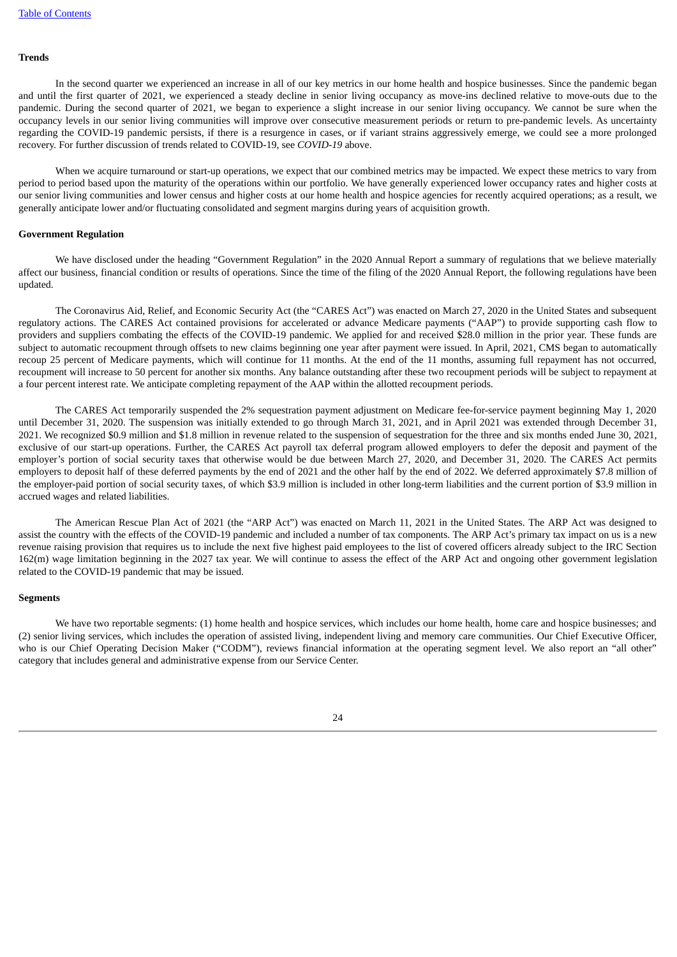## **Trends**

In the second quarter we experienced an increase in all of our key metrics in our home health and hospice businesses. Since the pandemic began and until the first quarter of 2021, we experienced a steady decline in senior living occupancy as move-ins declined relative to move-outs due to the pandemic. During the second quarter of 2021, we began to experience a slight increase in our senior living occupancy. We cannot be sure when the occupancy levels in our senior living communities will improve over consecutive measurement periods or return to pre-pandemic levels. As uncertainty regarding the COVID-19 pandemic persists, if there is a resurgence in cases, or if variant strains aggressively emerge, we could see a more prolonged recovery. For further discussion of trends related to COVID-19, see *COVID-19* above.

When we acquire turnaround or start-up operations, we expect that our combined metrics may be impacted. We expect these metrics to vary from period to period based upon the maturity of the operations within our portfolio. We have generally experienced lower occupancy rates and higher costs at our senior living communities and lower census and higher costs at our home health and hospice agencies for recently acquired operations; as a result, we generally anticipate lower and/or fluctuating consolidated and segment margins during years of acquisition growth.

#### **Government Regulation**

We have disclosed under the heading "Government Regulation" in the 2020 Annual Report a summary of regulations that we believe materially affect our business, financial condition or results of operations. Since the time of the filing of the 2020 Annual Report, the following regulations have been updated.

The Coronavirus Aid, Relief, and Economic Security Act (the "CARES Act") was enacted on March 27, 2020 in the United States and subsequent regulatory actions. The CARES Act contained provisions for accelerated or advance Medicare payments ("AAP") to provide supporting cash flow to providers and suppliers combating the effects of the COVID-19 pandemic. We applied for and received \$28.0 million in the prior year. These funds are subject to automatic recoupment through offsets to new claims beginning one year after payment were issued. In April, 2021, CMS began to automatically recoup 25 percent of Medicare payments, which will continue for 11 months. At the end of the 11 months, assuming full repayment has not occurred, recoupment will increase to 50 percent for another six months. Any balance outstanding after these two recoupment periods will be subject to repayment at a four percent interest rate. We anticipate completing repayment of the AAP within the allotted recoupment periods.

The CARES Act temporarily suspended the 2% sequestration payment adjustment on Medicare fee-for-service payment beginning May 1, 2020 until December 31, 2020. The suspension was initially extended to go through March 31, 2021, and in April 2021 was extended through December 31, 2021. We recognized \$0.9 million and \$1.8 million in revenue related to the suspension of sequestration for the three and six months ended June 30, 2021, exclusive of our start-up operations. Further, the CARES Act payroll tax deferral program allowed employers to defer the deposit and payment of the employer's portion of social security taxes that otherwise would be due between March 27, 2020, and December 31, 2020. The CARES Act permits employers to deposit half of these deferred payments by the end of 2021 and the other half by the end of 2022. We deferred approximately \$7.8 million of the employer-paid portion of social security taxes, of which \$3.9 million is included in other long-term liabilities and the current portion of \$3.9 million in accrued wages and related liabilities.

The American Rescue Plan Act of 2021 (the "ARP Act") was enacted on March 11, 2021 in the United States. The ARP Act was designed to assist the country with the effects of the COVID-19 pandemic and included a number of tax components. The ARP Act's primary tax impact on us is a new revenue raising provision that requires us to include the next five highest paid employees to the list of covered officers already subject to the IRC Section 162(m) wage limitation beginning in the 2027 tax year. We will continue to assess the effect of the ARP Act and ongoing other government legislation related to the COVID-19 pandemic that may be issued.

#### **Segments**

We have two reportable segments: (1) home health and hospice services, which includes our home health, home care and hospice businesses; and (2) senior living services, which includes the operation of assisted living, independent living and memory care communities. Our Chief Executive Officer, who is our Chief Operating Decision Maker ("CODM"), reviews financial information at the operating segment level. We also report an "all other" category that includes general and administrative expense from our Service Center.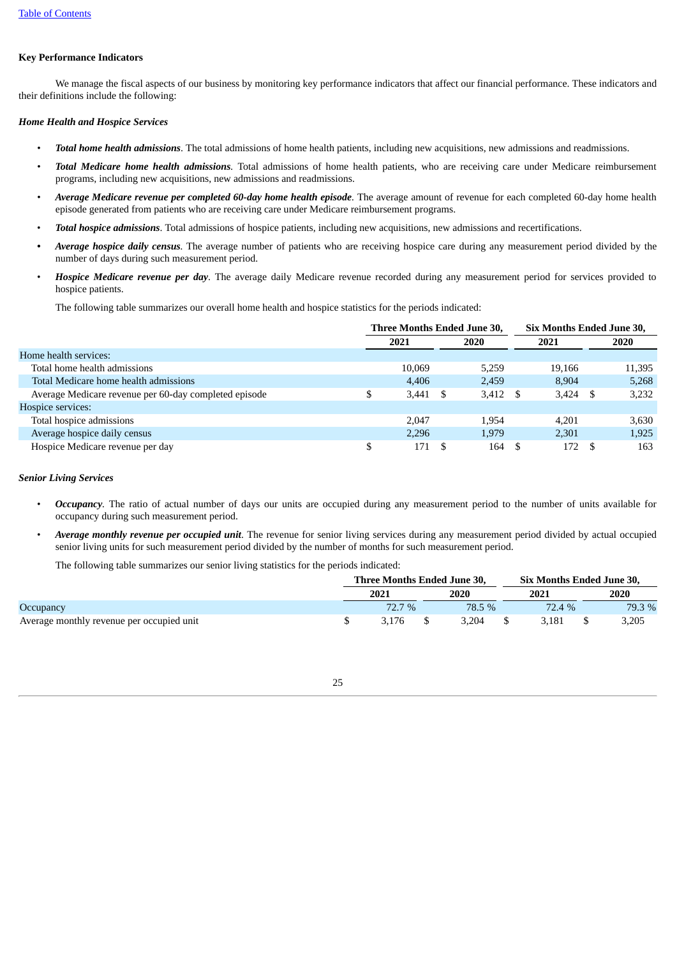## **Key Performance Indicators**

We manage the fiscal aspects of our business by monitoring key performance indicators that affect our financial performance. These indicators and their definitions include the following:

## *Home Health and Hospice Services*

- *• Total home health admissions*. The total admissions of home health patients, including new acquisitions, new admissions and readmissions.
- *• Total Medicare home health admissions.* Total admissions of home health patients, who are receiving care under Medicare reimbursement programs, including new acquisitions, new admissions and readmissions.
- *• Average Medicare revenue per completed 60-day home health episode.* The average amount of revenue for each completed 60-day home health episode generated from patients who are receiving care under Medicare reimbursement programs.
- *Total hospice admissions*. Total admissions of hospice patients, including new acquisitions, new admissions and recertifications.
- *• Average hospice daily census.* The average number of patients who are receiving hospice care during any measurement period divided by the number of days during such measurement period.
- *Hospice Medicare revenue per day*. The average daily Medicare revenue recorded during any measurement period for services provided to hospice patients.

The following table summarizes our overall home health and hospice statistics for the periods indicated:

|                                                       | Three Months Ended June 30, |      |       |     | <b>Six Months Ended June 30,</b> |    |        |
|-------------------------------------------------------|-----------------------------|------|-------|-----|----------------------------------|----|--------|
|                                                       | 2021                        |      | 2020  |     | 2021                             |    | 2020   |
| Home health services:                                 |                             |      |       |     |                                  |    |        |
| Total home health admissions                          | 10,069                      |      | 5.259 |     | 19.166                           |    | 11,395 |
| Total Medicare home health admissions                 | 4.406                       |      | 2,459 |     | 8.904                            |    | 5,268  |
| Average Medicare revenue per 60-day completed episode | 3,441                       | - \$ | 3,412 | - S | 3,424                            | -S | 3,232  |
| Hospice services:                                     |                             |      |       |     |                                  |    |        |
| Total hospice admissions                              | 2.047                       |      | 1.954 |     | 4.201                            |    | 3,630  |
| Average hospice daily census                          | 2.296                       |      | 1,979 |     | 2.301                            |    | 1,925  |
| Hospice Medicare revenue per day                      | 171                         |      | 164   |     | 172                              |    | 163    |

#### *Senior Living Services*

- *Occupancy.* The ratio of actual number of days our units are occupied during any measurement period to the number of units available for occupancy during such measurement period.
- *Average monthly revenue per occupied unit*. The revenue for senior living services during any measurement period divided by actual occupied senior living units for such measurement period divided by the number of months for such measurement period.

The following table summarizes our senior living statistics for the periods indicated:

|                                           |        | Three Months Ended June 30, | Six Months Ended June 30. |  |        |  |  |
|-------------------------------------------|--------|-----------------------------|---------------------------|--|--------|--|--|
|                                           | 2021   | 2020                        | 2021                      |  | 2020   |  |  |
| Occupancy                                 | 72.7 % | 78.5 %                      | 72.4 %                    |  | 79.3 % |  |  |
| Average monthly revenue per occupied unit | 3.176  | 3.204                       | 3.181                     |  | 3,205  |  |  |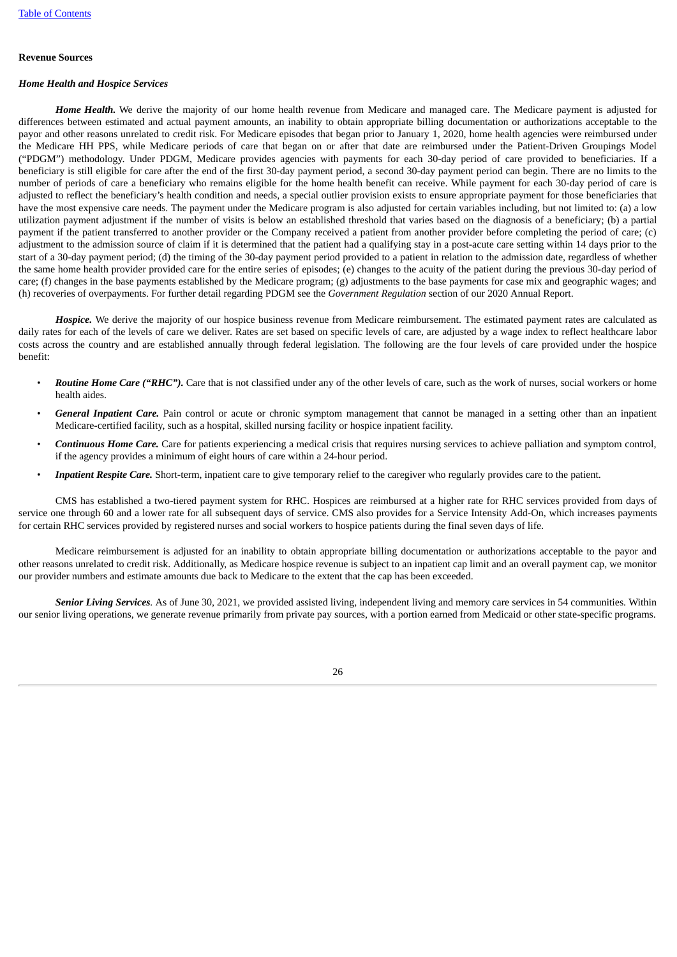## **Revenue Sources**

## *Home Health and Hospice Services*

*Home Health.* We derive the majority of our home health revenue from Medicare and managed care. The Medicare payment is adjusted for differences between estimated and actual payment amounts, an inability to obtain appropriate billing documentation or authorizations acceptable to the payor and other reasons unrelated to credit risk. For Medicare episodes that began prior to January 1, 2020, home health agencies were reimbursed under the Medicare HH PPS, while Medicare periods of care that began on or after that date are reimbursed under the Patient-Driven Groupings Model ("PDGM") methodology. Under PDGM, Medicare provides agencies with payments for each 30-day period of care provided to beneficiaries. If a beneficiary is still eligible for care after the end of the first 30-day payment period, a second 30-day payment period can begin. There are no limits to the number of periods of care a beneficiary who remains eligible for the home health benefit can receive. While payment for each 30-day period of care is adjusted to reflect the beneficiary's health condition and needs, a special outlier provision exists to ensure appropriate payment for those beneficiaries that have the most expensive care needs. The payment under the Medicare program is also adjusted for certain variables including, but not limited to: (a) a low utilization payment adjustment if the number of visits is below an established threshold that varies based on the diagnosis of a beneficiary; (b) a partial payment if the patient transferred to another provider or the Company received a patient from another provider before completing the period of care; (c) adjustment to the admission source of claim if it is determined that the patient had a qualifying stay in a post-acute care setting within 14 days prior to the start of a 30-day payment period; (d) the timing of the 30-day payment period provided to a patient in relation to the admission date, regardless of whether the same home health provider provided care for the entire series of episodes; (e) changes to the acuity of the patient during the previous 30-day period of care; (f) changes in the base payments established by the Medicare program; (g) adjustments to the base payments for case mix and geographic wages; and (h) recoveries of overpayments. For further detail regarding PDGM see the *Government Regulation* section of our 2020 Annual Report.

*Hospice.* We derive the majority of our hospice business revenue from Medicare reimbursement. The estimated payment rates are calculated as daily rates for each of the levels of care we deliver. Rates are set based on specific levels of care, are adjusted by a wage index to reflect healthcare labor costs across the country and are established annually through federal legislation. The following are the four levels of care provided under the hospice benefit:

- *Routine Home Care ("RHC").* Care that is not classified under any of the other levels of care, such as the work of nurses, social workers or home health aides.
- *General Inpatient Care.* Pain control or acute or chronic symptom management that cannot be managed in a setting other than an inpatient Medicare-certified facility, such as a hospital, skilled nursing facility or hospice inpatient facility.
- *Continuous Home Care.* Care for patients experiencing a medical crisis that requires nursing services to achieve palliation and symptom control, if the agency provides a minimum of eight hours of care within a 24-hour period.
- *Inpatient Respite Care.* Short-term, inpatient care to give temporary relief to the caregiver who regularly provides care to the patient.

CMS has established a two-tiered payment system for RHC. Hospices are reimbursed at a higher rate for RHC services provided from days of service one through 60 and a lower rate for all subsequent days of service. CMS also provides for a Service Intensity Add-On, which increases payments for certain RHC services provided by registered nurses and social workers to hospice patients during the final seven days of life.

Medicare reimbursement is adjusted for an inability to obtain appropriate billing documentation or authorizations acceptable to the payor and other reasons unrelated to credit risk. Additionally, as Medicare hospice revenue is subject to an inpatient cap limit and an overall payment cap, we monitor our provider numbers and estimate amounts due back to Medicare to the extent that the cap has been exceeded.

*Senior Living Services.* As of June 30, 2021, we provided assisted living, independent living and memory care services in 54 communities. Within our senior living operations, we generate revenue primarily from private pay sources, with a portion earned from Medicaid or other state-specific programs.

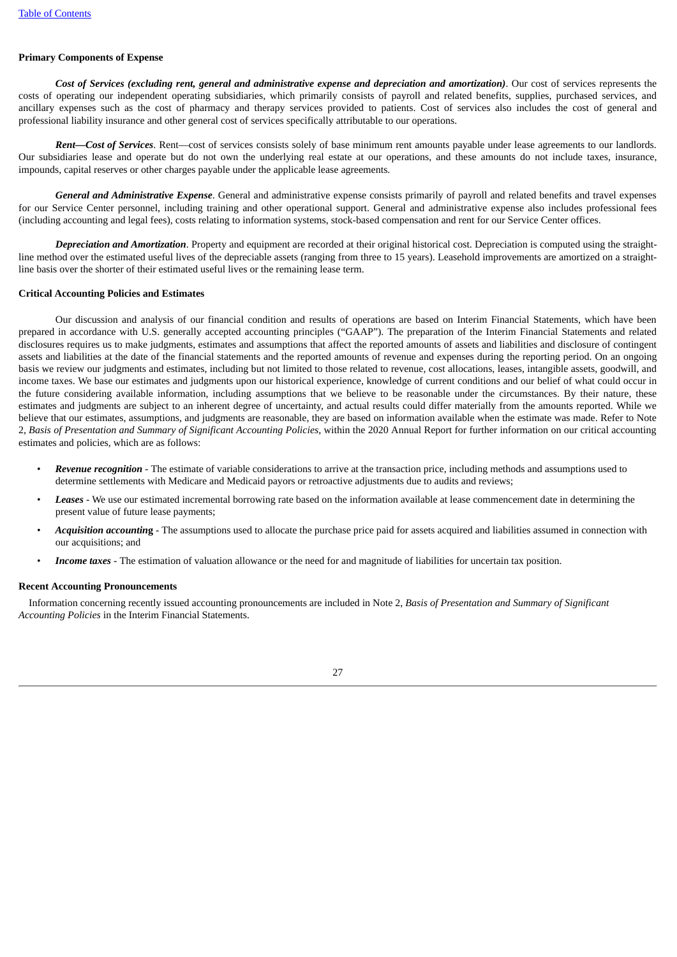## **Primary Components of Expense**

Cost of Services (excluding rent, general and administrative expense and depreciation and amortization). Our cost of services represents the costs of operating our independent operating subsidiaries, which primarily consists of payroll and related benefits, supplies, purchased services, and ancillary expenses such as the cost of pharmacy and therapy services provided to patients. Cost of services also includes the cost of general and professional liability insurance and other general cost of services specifically attributable to our operations.

*Rent—Cost of Services*. Rent—cost of services consists solely of base minimum rent amounts payable under lease agreements to our landlords. Our subsidiaries lease and operate but do not own the underlying real estate at our operations, and these amounts do not include taxes, insurance, impounds, capital reserves or other charges payable under the applicable lease agreements.

*General and Administrative Expense*. General and administrative expense consists primarily of payroll and related benefits and travel expenses for our Service Center personnel, including training and other operational support. General and administrative expense also includes professional fees (including accounting and legal fees), costs relating to information systems, stock-based compensation and rent for our Service Center offices.

*Depreciation and Amortization*. Property and equipment are recorded at their original historical cost. Depreciation is computed using the straightline method over the estimated useful lives of the depreciable assets (ranging from three to 15 years). Leasehold improvements are amortized on a straightline basis over the shorter of their estimated useful lives or the remaining lease term.

#### **Critical Accounting Policies and Estimates**

Our discussion and analysis of our financial condition and results of operations are based on Interim Financial Statements, which have been prepared in accordance with U.S. generally accepted accounting principles ("GAAP"). The preparation of the Interim Financial Statements and related disclosures requires us to make judgments, estimates and assumptions that affect the reported amounts of assets and liabilities and disclosure of contingent assets and liabilities at the date of the financial statements and the reported amounts of revenue and expenses during the reporting period. On an ongoing basis we review our judgments and estimates, including but not limited to those related to revenue, cost allocations, leases, intangible assets, goodwill, and income taxes. We base our estimates and judgments upon our historical experience, knowledge of current conditions and our belief of what could occur in the future considering available information, including assumptions that we believe to be reasonable under the circumstances. By their nature, these estimates and judgments are subject to an inherent degree of uncertainty, and actual results could differ materially from the amounts reported. While we believe that our estimates, assumptions, and judgments are reasonable, they are based on information available when the estimate was made. Refer to Note 2, *Basis of Presentation and Summary of Significant Accounting Policies*, within the 2020 Annual Report for further information on our critical accounting estimates and policies, which are as follows:

- *Revenue recognition* The estimate of variable considerations to arrive at the transaction price, including methods and assumptions used to determine settlements with Medicare and Medicaid payors or retroactive adjustments due to audits and reviews;
- *Leases* We use our estimated incremental borrowing rate based on the information available at lease commencement date in determining the present value of future lease payments;
- *Acquisition accountin***g** The assumptions used to allocate the purchase price paid for assets acquired and liabilities assumed in connection with our acquisitions; and
- *Income taxes* The estimation of valuation allowance or the need for and magnitude of liabilities for uncertain tax position.

#### **Recent Accounting Pronouncements**

Information concerning recently issued accounting pronouncements are included in Note 2, *Basis of Presentation and Summary of Significant Accounting Policies* in the Interim Financial Statements.

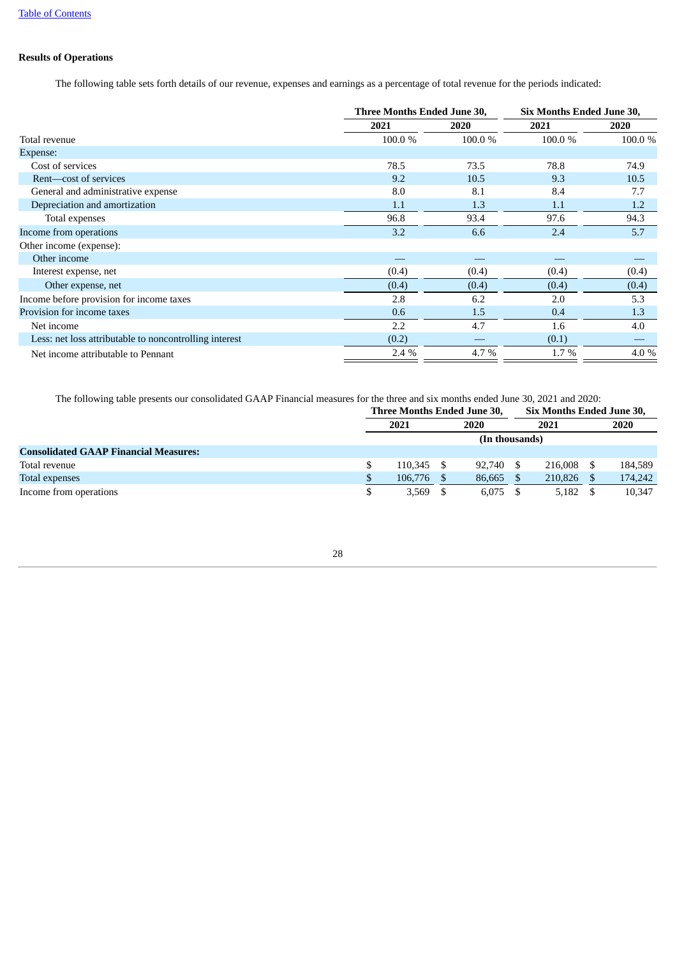# **Results of Operations**

The following table sets forth details of our revenue, expenses and earnings as a percentage of total revenue for the periods indicated:

|                                                        | <b>Three Months Ended June 30,</b> |        | <b>Six Months Ended June 30,</b> |        |  |  |
|--------------------------------------------------------|------------------------------------|--------|----------------------------------|--------|--|--|
|                                                        | 2021                               | 2020   | 2021                             | 2020   |  |  |
| Total revenue                                          | 100.0%                             | 100.0% | 100.0%                           | 100.0% |  |  |
| Expense:                                               |                                    |        |                                  |        |  |  |
| Cost of services                                       | 78.5                               | 73.5   | 78.8                             | 74.9   |  |  |
| Rent-cost of services                                  | 9.2                                | 10.5   | 9.3                              | 10.5   |  |  |
| General and administrative expense                     | 8.0                                | 8.1    | 8.4                              | 7.7    |  |  |
| Depreciation and amortization                          | 1.1                                | 1.3    | 1.1                              | 1.2    |  |  |
| Total expenses                                         | 96.8                               | 93.4   | 97.6                             | 94.3   |  |  |
| Income from operations                                 | 3.2                                | 6.6    | 2.4                              | 5.7    |  |  |
| Other income (expense):                                |                                    |        |                                  |        |  |  |
| Other income                                           |                                    |        |                                  |        |  |  |
| Interest expense, net                                  | (0.4)                              | (0.4)  | (0.4)                            | (0.4)  |  |  |
| Other expense, net                                     | (0.4)                              | (0.4)  | (0.4)                            | (0.4)  |  |  |
| Income before provision for income taxes               | 2.8                                | 6.2    | 2.0                              | 5.3    |  |  |
| Provision for income taxes                             | 0.6                                | 1.5    | 0.4                              | 1.3    |  |  |
| Net income                                             | 2.2                                | 4.7    | 1.6                              | 4.0    |  |  |
| Less: net loss attributable to noncontrolling interest | (0.2)                              |        | (0.1)                            |        |  |  |
| Net income attributable to Pennant                     | 2.4 %                              | 4.7 %  | 1.7%                             | 4.0 %  |  |  |

The following table presents our consolidated GAAP Financial measures for the three and six months ended June 30, 2021 and 2020:

|                                              | Three Months Ended June 30, |            |      |        |      | Six Months Ended June 30, |  |         |  |  |  |
|----------------------------------------------|-----------------------------|------------|------|--------|------|---------------------------|--|---------|--|--|--|
|                                              | 2021                        |            | 2020 |        | 2021 |                           |  | 2020    |  |  |  |
|                                              | (In thousands)              |            |      |        |      |                           |  |         |  |  |  |
| <b>Consolidated GAAP Financial Measures:</b> |                             |            |      |        |      |                           |  |         |  |  |  |
| Total revenue                                |                             | 110.345 \$ |      | 92.740 |      | 216,008                   |  | 184.589 |  |  |  |
| Total expenses                               |                             | 106,776    |      | 86.665 |      | 210,826                   |  | 174,242 |  |  |  |
| Income from operations                       |                             | 3,569      |      | 6.075  |      | 5,182                     |  | 10,347  |  |  |  |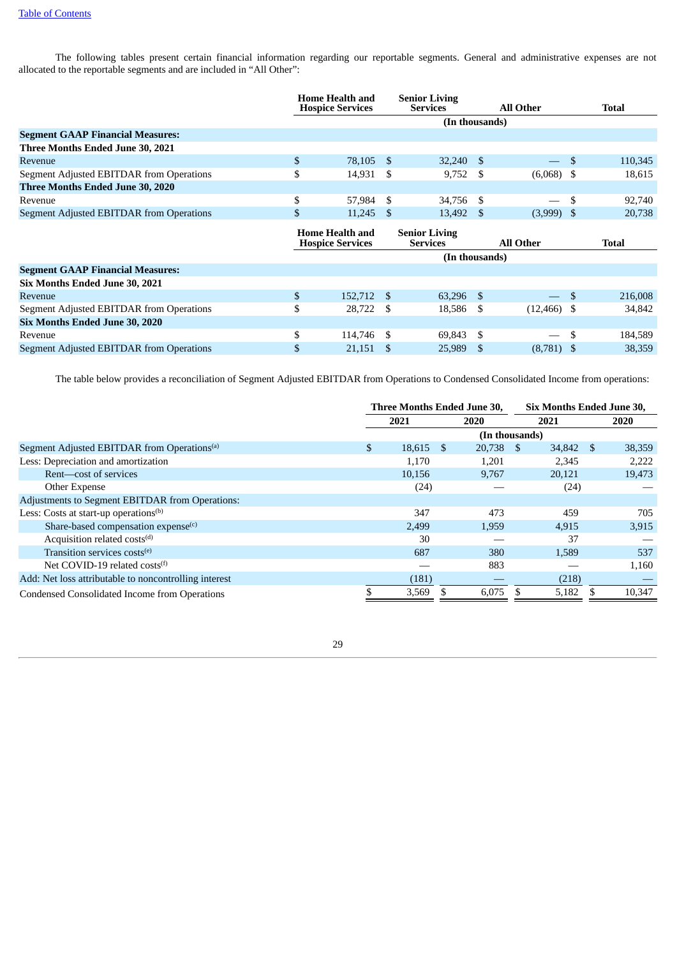The following tables present certain financial information regarding our reportable segments. General and administrative expenses are not allocated to the reportable segments and are included in "All Other":

|                                          | <b>Home Health and</b><br><b>Hospice Services</b> |     | <b>Senior Living</b><br><b>Services</b> | All Other                | Total   |
|------------------------------------------|---------------------------------------------------|-----|-----------------------------------------|--------------------------|---------|
|                                          |                                                   |     | (In thousands)                          |                          |         |
| <b>Segment GAAP Financial Measures:</b>  |                                                   |     |                                         |                          |         |
| Three Months Ended June 30, 2021         |                                                   |     |                                         |                          |         |
| Revenue                                  | \$<br>78.105                                      | - S | $32,240$ \$                             | $-$ \$                   | 110,345 |
| Segment Adjusted EBITDAR from Operations | \$<br>14,931                                      | - S | $9,752$ \$                              | $(6,068)$ \$             | 18,615  |
| <b>Three Months Ended June 30, 2020</b>  |                                                   |     |                                         |                          |         |
| Revenue                                  | \$<br>57.984                                      | -\$ | 34,756 \$                               | $\overline{\phantom{a}}$ | 92.740  |
| Segment Adjusted EBITDAR from Operations | \$<br>11,245                                      | - S | 13,492 \$                               | $(3,999)$ \$             | 20,738  |
|                                          | -- -- - - - - - -                                 |     |                                         |                          |         |

|                                          |    | <b>Home Health and</b><br><b>Hospice Services</b> |      | <b>Senior Living</b><br><b>Services</b> |      | <b>All Other</b>         |      | <b>Total</b> |
|------------------------------------------|----|---------------------------------------------------|------|-----------------------------------------|------|--------------------------|------|--------------|
|                                          |    |                                                   |      | (In thousands)                          |      |                          |      |              |
| <b>Segment GAAP Financial Measures:</b>  |    |                                                   |      |                                         |      |                          |      |              |
| Six Months Ended June 30, 2021           |    |                                                   |      |                                         |      |                          |      |              |
| Revenue                                  | S  | 152,712                                           | - 86 | 63,296                                  | - \$ | $\overline{\phantom{m}}$ |      | 216,008      |
| Segment Adjusted EBITDAR from Operations | S  | 28,722                                            | -S   | 18,586                                  | -S   | $(12, 466)$ \$           |      | 34,842       |
| Six Months Ended June 30, 2020           |    |                                                   |      |                                         |      |                          |      |              |
| Revenue                                  | \$ | 114.746                                           | - S  | 69.843 \$                               |      | $\overline{\phantom{0}}$ | - \$ | 184.589      |
| Segment Adjusted EBITDAR from Operations | \$ | 21,151                                            |      | 25,989                                  |      | $(8,781)$ \$             |      | 38,359       |
|                                          |    |                                                   |      |                                         |      |                          |      |              |

The table below provides a reconciliation of Segment Adjusted EBITDAR from Operations to Condensed Consolidated Income from operations:

|                                                         | Three Months Ended June 30, |           |  |                |      | <b>Six Months Ended June 30,</b> |  |        |  |
|---------------------------------------------------------|-----------------------------|-----------|--|----------------|------|----------------------------------|--|--------|--|
|                                                         | 2021                        |           |  | 2020           |      | 2021                             |  | 2020   |  |
|                                                         |                             |           |  | (In thousands) |      |                                  |  |        |  |
| Segment Adjusted EBITDAR from Operations <sup>(a)</sup> | \$                          | 18,615 \$ |  | 20,738         | - \$ | 34,842 \$                        |  | 38,359 |  |
| Less: Depreciation and amortization                     |                             | 1,170     |  | 1,201          |      | 2.345                            |  | 2,222  |  |
| Rent-cost of services                                   |                             | 10,156    |  | 9,767          |      | 20,121                           |  | 19,473 |  |
| Other Expense                                           |                             | (24)      |  |                |      | (24)                             |  |        |  |
| Adjustments to Segment EBITDAR from Operations:         |                             |           |  |                |      |                                  |  |        |  |
| Less: Costs at start-up operations <sup>(b)</sup>       |                             | 347       |  | 473            |      | 459                              |  | 705    |  |
| Share-based compensation expense <sup>(c)</sup>         |                             | 2,499     |  | 1,959          |      | 4.915                            |  | 3,915  |  |
| Acquisition related costs <sup>(d)</sup>                |                             | 30        |  |                |      | 37                               |  |        |  |
| Transition services costs <sup>(e)</sup>                |                             | 687       |  | 380            |      | 1,589                            |  | 537    |  |
| Net COVID-19 related costs $(f)$                        |                             |           |  | 883            |      |                                  |  | 1,160  |  |
| Add: Net loss attributable to noncontrolling interest   |                             | (181)     |  |                |      | (218)                            |  |        |  |
| Condensed Consolidated Income from Operations           |                             | 3,569     |  | 6,075          |      | 5,182                            |  | 10,347 |  |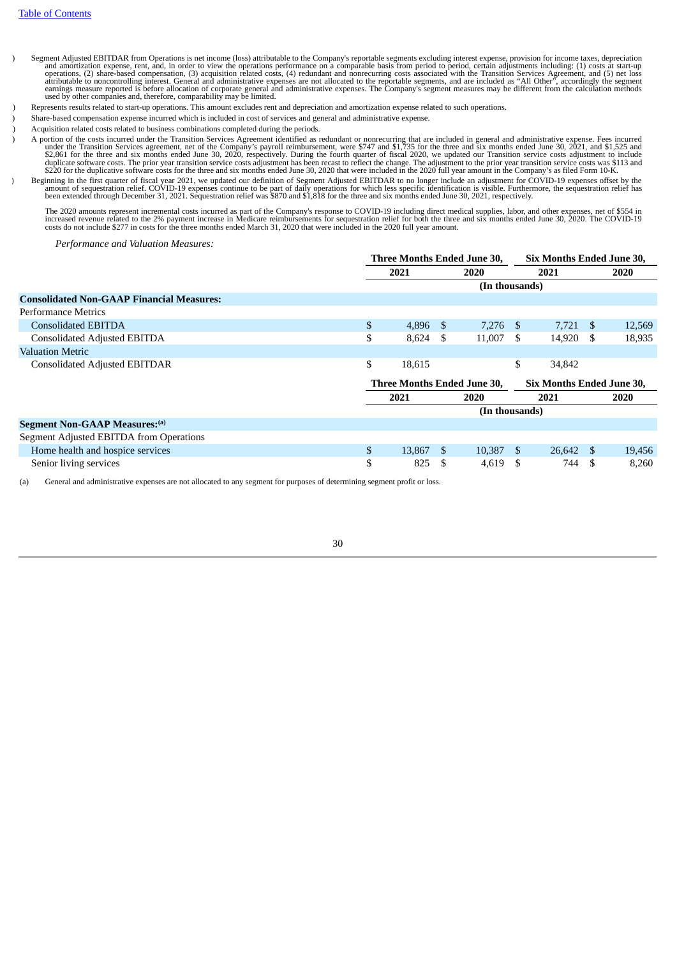- ) Segment Adjusted EBITDAR from Operations is net income (loss) attributable to the Company's reportable segments excluding interest expense, provision for income taxes, depreciation and amortization expense, rent, and, in order to view the operations performance on a comparable basis from period to period, certain adjustments including: (1) costs at start-up operations, (2) share-based compensation, (
- ) Represents results related to start-up operations. This amount excludes rent and depreciation and amortization expense related to such operations.
- ) Share-based compensation expense incurred which is included in cost of services and general and administrative expense.
- ) Acquisition related costs related to business combinations completed during the periods.
- A portion of the costs incurred under the Transition Services Agreement identified as redundant or nonrecurring that are included in general and administrative expense. Fees incurred<br>under the Transition Services agreement
- ) Beginning in the first quarter of fiscal year 2021, we updated our definition of Segment Adjusted EBITDAR to no longer include an adjustment for COVID-19 expenses offset by the<br>amount of sequestration relief COVID-19 exp

The 2020 amounts represent incremental costs incurred as part of the Company's response to COVID-19 including direct medical supplies, labor, and other expenses, net of \$554 in<br>increased revenue related to the 2% payment i

*Performance and Valuation Measures:*

|                                                  | Three Months Ended June 30, |      |                |      | <b>Six Months Ended June 30,</b> |   |        |
|--------------------------------------------------|-----------------------------|------|----------------|------|----------------------------------|---|--------|
|                                                  | 2021                        |      | 2020           | 2021 |                                  |   | 2020   |
|                                                  |                             |      | (In thousands) |      |                                  |   |        |
| <b>Consolidated Non-GAAP Financial Measures:</b> |                             |      |                |      |                                  |   |        |
| Performance Metrics                              |                             |      |                |      |                                  |   |        |
| <b>Consolidated EBITDA</b>                       | \$<br>$4,896$ \$            |      | $7,276$ \$     |      | $7,721$ \$                       |   | 12,569 |
| <b>Consolidated Adjusted EBITDA</b>              | \$<br>$8,624$ \$            |      | 11,007         | S    | 14,920 \$                        |   | 18,935 |
| <b>Valuation Metric</b>                          |                             |      |                |      |                                  |   |        |
| Consolidated Adjusted EBITDAR                    | \$<br>18,615                |      |                | \$   | 34,842                           |   |        |
|                                                  | Three Months Ended June 30, |      |                |      | <b>Six Months Ended June 30,</b> |   |        |
|                                                  | 2021                        |      | 2020           |      | 2021                             |   | 2020   |
|                                                  |                             |      | (In thousands) |      |                                  |   |        |
| Segment Non-GAAP Measures: <sup>(a)</sup>        |                             |      |                |      |                                  |   |        |
| Segment Adjusted EBITDA from Operations          |                             |      |                |      |                                  |   |        |
| Home health and hospice services                 | \$<br>13.867                | - \$ | 10,387         | - \$ | 26.642 \$                        |   | 19,456 |
| Senior living services                           | 825                         | S    | 4,619          | \$   | 744                              | S | 8,260  |

(a) General and administrative expenses are not allocated to any segment for purposes of determining segment profit or loss.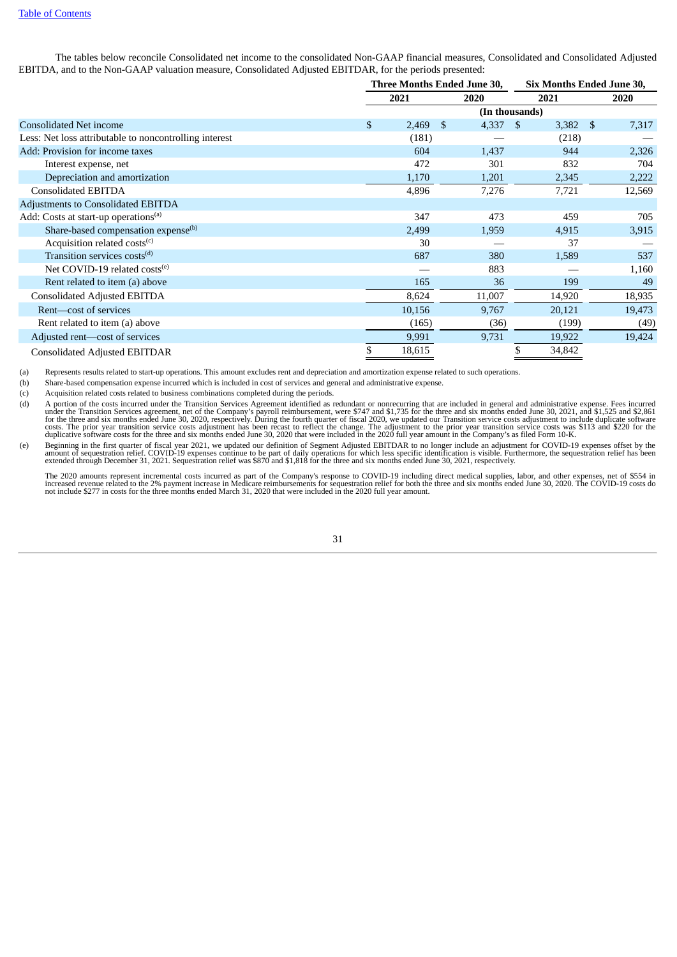The tables below reconcile Consolidated net income to the consolidated Non-GAAP financial measures, Consolidated and Consolidated Adjusted EBITDA, and to the Non-GAAP valuation measure, Consolidated Adjusted EBITDAR, for the periods presented:

|                                                        |             | <b>Three Months Ended June 30,</b> |                | <b>Six Months Ended June 30,</b> |
|--------------------------------------------------------|-------------|------------------------------------|----------------|----------------------------------|
|                                                        | 2021        | 2020                               | 2021           | 2020                             |
|                                                        |             |                                    | (In thousands) |                                  |
| <b>Consolidated Net income</b>                         | \$<br>2,469 | $4,337$ \$<br>- \$                 | 3,382          | - \$<br>7,317                    |
| Less: Net loss attributable to noncontrolling interest | (181)       |                                    | (218)          |                                  |
| Add: Provision for income taxes                        | 604         | 1,437                              | 944            | 2,326                            |
| Interest expense, net                                  | 472         | 301                                | 832            | 704                              |
| Depreciation and amortization                          | 1,170       | 1,201                              | 2,345          | 2,222                            |
| <b>Consolidated EBITDA</b>                             | 4,896       | 7,276                              | 7,721          | 12,569                           |
| Adjustments to Consolidated EBITDA                     |             |                                    |                |                                  |
| Add: Costs at start-up operations <sup>(a)</sup>       | 347         | 473                                | 459            | 705                              |
| Share-based compensation expense <sup>(b)</sup>        | 2,499       | 1,959                              | 4,915          | 3,915                            |
| Acquisition related costs <sup>(c)</sup>               | 30          |                                    | 37             |                                  |
| Transition services costs <sup>(d)</sup>               | 687         | 380                                | 1,589          | 537                              |
| Net COVID-19 related costs <sup>(e)</sup>              |             | 883                                |                | 1,160                            |
| Rent related to item (a) above                         | 165         | 36                                 | 199            | 49                               |
| Consolidated Adjusted EBITDA                           | 8,624       | 11,007                             | 14,920         | 18,935                           |
| Rent-cost of services                                  | 10,156      | 9,767                              | 20,121         | 19,473                           |
| Rent related to item (a) above                         | (165)       | (36)                               | (199)          | (49)                             |
| Adjusted rent-cost of services                         | 9,991       | 9,731                              | 19,922         | 19,424                           |
| Consolidated Adjusted EBITDAR                          | 18,615      |                                    | 34,842         |                                  |

(a) Represents results related to start-up operations. This amount excludes rent and depreciation and amortization expense related to such operations.

(b) Share-based compensation expense incurred which is included in cost of services and general and administrative expense.

(c) Acquisition related costs related to business combinations completed during the periods.

(d) A portion of the costs incurred under the Transition Services Agreement identified as redundant or nonrecurring that are included in general and administrative expense. Fees incurred under the Transition Services agree

e) Beginning in the first quarter of fiscal year 2021, we updated our definition of Segment Adjusted EBITDAR to no longer include an adjustment for COVID-19 expenses offset by the amount of segment of sequestration relief

The 2020 amounts represent incremental costs incurred as part of the Company's response to COVID-19 including direct medical supplies, labor, and other expenses, net of \$554 in<br>increased revenue related to the 2% payment i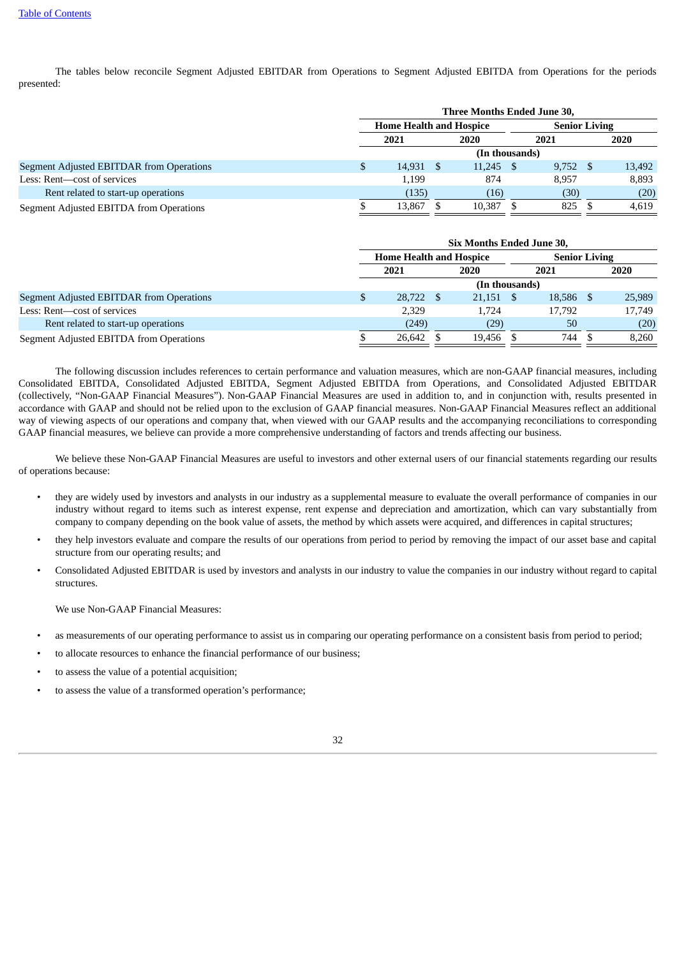The tables below reconcile Segment Adjusted EBITDAR from Operations to Segment Adjusted EBITDA from Operations for the periods presented:

|                                          | Three Months Ended June 30,    |        |  |                |      |                      |  |        |  |
|------------------------------------------|--------------------------------|--------|--|----------------|------|----------------------|--|--------|--|
|                                          | <b>Home Health and Hospice</b> |        |  |                |      | <b>Senior Living</b> |  |        |  |
|                                          | 2021<br>2020                   |        |  |                | 2021 |                      |  | 2020   |  |
|                                          |                                |        |  | (In thousands) |      |                      |  |        |  |
| Segment Adjusted EBITDAR from Operations | S                              | 14,931 |  | $11,245$ \$    |      | $9,752$ \$           |  | 13,492 |  |
| Less: Rent-cost of services              |                                | 1,199  |  | 874            |      | 8.957                |  | 8,893  |  |
| Rent related to start-up operations      |                                | (135)  |  | (16)           |      | (30)                 |  | (20)   |  |
| Segment Adjusted EBITDA from Operations  |                                | 13,867 |  | 10,387         |      | 825                  |  | 4,619  |  |

|                                                 |   | Six Months Ended June 30,      |  |                |                      |           |  |        |  |  |
|-------------------------------------------------|---|--------------------------------|--|----------------|----------------------|-----------|--|--------|--|--|
|                                                 |   | <b>Home Health and Hospice</b> |  |                | <b>Senior Living</b> |           |  |        |  |  |
|                                                 |   | 2021                           |  | 2020           |                      | 2021      |  | 2020   |  |  |
|                                                 |   |                                |  | (In thousands) |                      |           |  |        |  |  |
| <b>Segment Adjusted EBITDAR from Operations</b> | S | 28,722 \$                      |  | 21,151 \$      |                      | 18,586 \$ |  | 25,989 |  |  |
| Less: Rent-cost of services                     |   | 2,329                          |  | 1.724          |                      | 17.792    |  | 17,749 |  |  |
| Rent related to start-up operations             |   | (249)                          |  | (29)           |                      | 50        |  | (20)   |  |  |
| Segment Adjusted EBITDA from Operations         |   | 26,642                         |  | 19,456         |                      | 744       |  | 8.260  |  |  |

The following discussion includes references to certain performance and valuation measures, which are non-GAAP financial measures, including Consolidated EBITDA, Consolidated Adjusted EBITDA, Segment Adjusted EBITDA from Operations, and Consolidated Adjusted EBITDAR (collectively, "Non-GAAP Financial Measures"). Non-GAAP Financial Measures are used in addition to, and in conjunction with, results presented in accordance with GAAP and should not be relied upon to the exclusion of GAAP financial measures. Non-GAAP Financial Measures reflect an additional way of viewing aspects of our operations and company that, when viewed with our GAAP results and the accompanying reconciliations to corresponding GAAP financial measures, we believe can provide a more comprehensive understanding of factors and trends affecting our business.

We believe these Non-GAAP Financial Measures are useful to investors and other external users of our financial statements regarding our results of operations because:

- they are widely used by investors and analysts in our industry as a supplemental measure to evaluate the overall performance of companies in our industry without regard to items such as interest expense, rent expense and depreciation and amortization, which can vary substantially from company to company depending on the book value of assets, the method by which assets were acquired, and differences in capital structures;
- they help investors evaluate and compare the results of our operations from period to period by removing the impact of our asset base and capital structure from our operating results; and
- Consolidated Adjusted EBITDAR is used by investors and analysts in our industry to value the companies in our industry without regard to capital structures.

We use Non-GAAP Financial Measures:

- as measurements of our operating performance to assist us in comparing our operating performance on a consistent basis from period to period;
- to allocate resources to enhance the financial performance of our business;
- to assess the value of a potential acquisition;
- to assess the value of a transformed operation's performance;

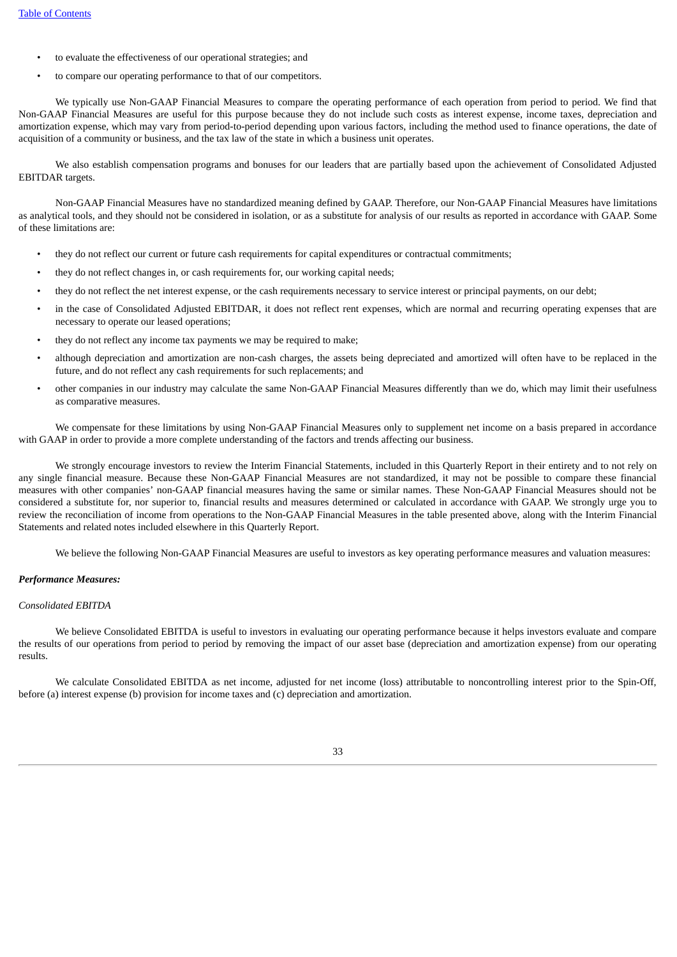- to evaluate the effectiveness of our operational strategies; and
- to compare our operating performance to that of our competitors.

We typically use Non-GAAP Financial Measures to compare the operating performance of each operation from period to period. We find that Non-GAAP Financial Measures are useful for this purpose because they do not include such costs as interest expense, income taxes, depreciation and amortization expense, which may vary from period-to-period depending upon various factors, including the method used to finance operations, the date of acquisition of a community or business, and the tax law of the state in which a business unit operates.

We also establish compensation programs and bonuses for our leaders that are partially based upon the achievement of Consolidated Adjusted EBITDAR targets.

Non-GAAP Financial Measures have no standardized meaning defined by GAAP. Therefore, our Non-GAAP Financial Measures have limitations as analytical tools, and they should not be considered in isolation, or as a substitute for analysis of our results as reported in accordance with GAAP. Some of these limitations are:

- they do not reflect our current or future cash requirements for capital expenditures or contractual commitments;
- they do not reflect changes in, or cash requirements for, our working capital needs;
- they do not reflect the net interest expense, or the cash requirements necessary to service interest or principal payments, on our debt;
- in the case of Consolidated Adjusted EBITDAR, it does not reflect rent expenses, which are normal and recurring operating expenses that are necessary to operate our leased operations;
- they do not reflect any income tax payments we may be required to make;
- although depreciation and amortization are non-cash charges, the assets being depreciated and amortized will often have to be replaced in the future, and do not reflect any cash requirements for such replacements; and
- other companies in our industry may calculate the same Non-GAAP Financial Measures differently than we do, which may limit their usefulness as comparative measures.

We compensate for these limitations by using Non-GAAP Financial Measures only to supplement net income on a basis prepared in accordance with GAAP in order to provide a more complete understanding of the factors and trends affecting our business.

We strongly encourage investors to review the Interim Financial Statements, included in this Quarterly Report in their entirety and to not rely on any single financial measure. Because these Non-GAAP Financial Measures are not standardized, it may not be possible to compare these financial measures with other companies' non-GAAP financial measures having the same or similar names. These Non-GAAP Financial Measures should not be considered a substitute for, nor superior to, financial results and measures determined or calculated in accordance with GAAP. We strongly urge you to review the reconciliation of income from operations to the Non-GAAP Financial Measures in the table presented above, along with the Interim Financial Statements and related notes included elsewhere in this Quarterly Report.

We believe the following Non-GAAP Financial Measures are useful to investors as key operating performance measures and valuation measures:

#### *Performance Measures:*

#### *Consolidated EBITDA*

We believe Consolidated EBITDA is useful to investors in evaluating our operating performance because it helps investors evaluate and compare the results of our operations from period to period by removing the impact of our asset base (depreciation and amortization expense) from our operating results.

We calculate Consolidated EBITDA as net income, adjusted for net income (loss) attributable to noncontrolling interest prior to the Spin-Off, before (a) interest expense (b) provision for income taxes and (c) depreciation and amortization.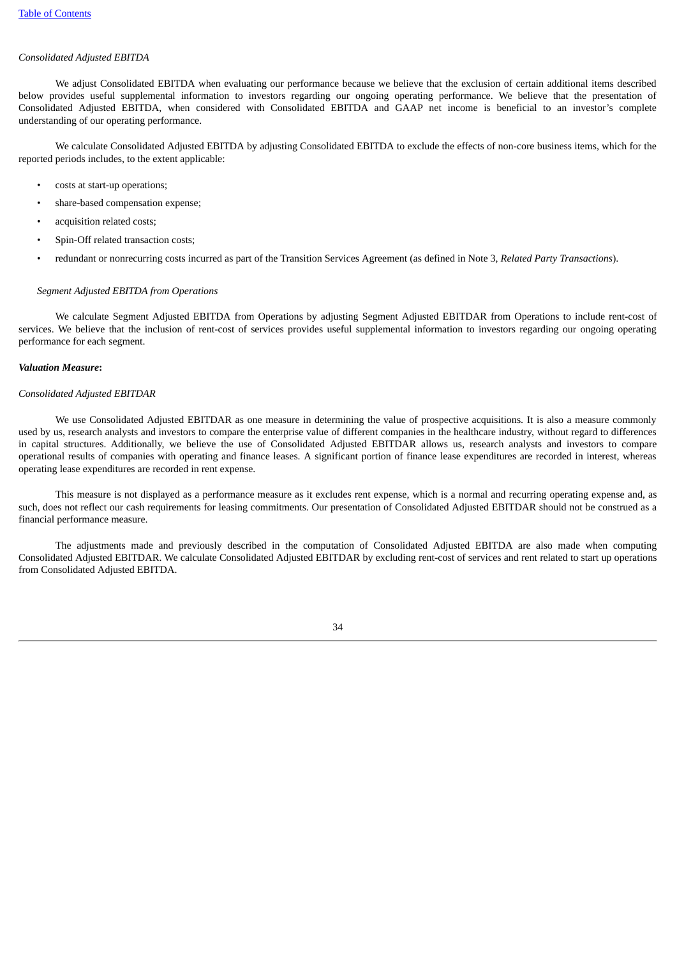## *Consolidated Adjusted EBITDA*

We adjust Consolidated EBITDA when evaluating our performance because we believe that the exclusion of certain additional items described below provides useful supplemental information to investors regarding our ongoing operating performance. We believe that the presentation of Consolidated Adjusted EBITDA, when considered with Consolidated EBITDA and GAAP net income is beneficial to an investor's complete understanding of our operating performance.

We calculate Consolidated Adjusted EBITDA by adjusting Consolidated EBITDA to exclude the effects of non-core business items, which for the reported periods includes, to the extent applicable:

- costs at start-up operations;
- share-based compensation expense;
- acquisition related costs;
- Spin-Off related transaction costs;
- redundant or nonrecurring costs incurred as part of the Transition Services Agreement (as defined in Note 3, *Related Party Transactions*).

#### *Segment Adjusted EBITDA from Operations*

We calculate Segment Adjusted EBITDA from Operations by adjusting Segment Adjusted EBITDAR from Operations to include rent-cost of services. We believe that the inclusion of rent-cost of services provides useful supplemental information to investors regarding our ongoing operating performance for each segment.

#### *Valuation Measure***:**

#### *Consolidated Adjusted EBITDAR*

We use Consolidated Adjusted EBITDAR as one measure in determining the value of prospective acquisitions. It is also a measure commonly used by us, research analysts and investors to compare the enterprise value of different companies in the healthcare industry, without regard to differences in capital structures. Additionally, we believe the use of Consolidated Adjusted EBITDAR allows us, research analysts and investors to compare operational results of companies with operating and finance leases. A significant portion of finance lease expenditures are recorded in interest, whereas operating lease expenditures are recorded in rent expense.

This measure is not displayed as a performance measure as it excludes rent expense, which is a normal and recurring operating expense and, as such, does not reflect our cash requirements for leasing commitments. Our presentation of Consolidated Adjusted EBITDAR should not be construed as a financial performance measure.

The adjustments made and previously described in the computation of Consolidated Adjusted EBITDA are also made when computing Consolidated Adjusted EBITDAR. We calculate Consolidated Adjusted EBITDAR by excluding rent-cost of services and rent related to start up operations from Consolidated Adjusted EBITDA.

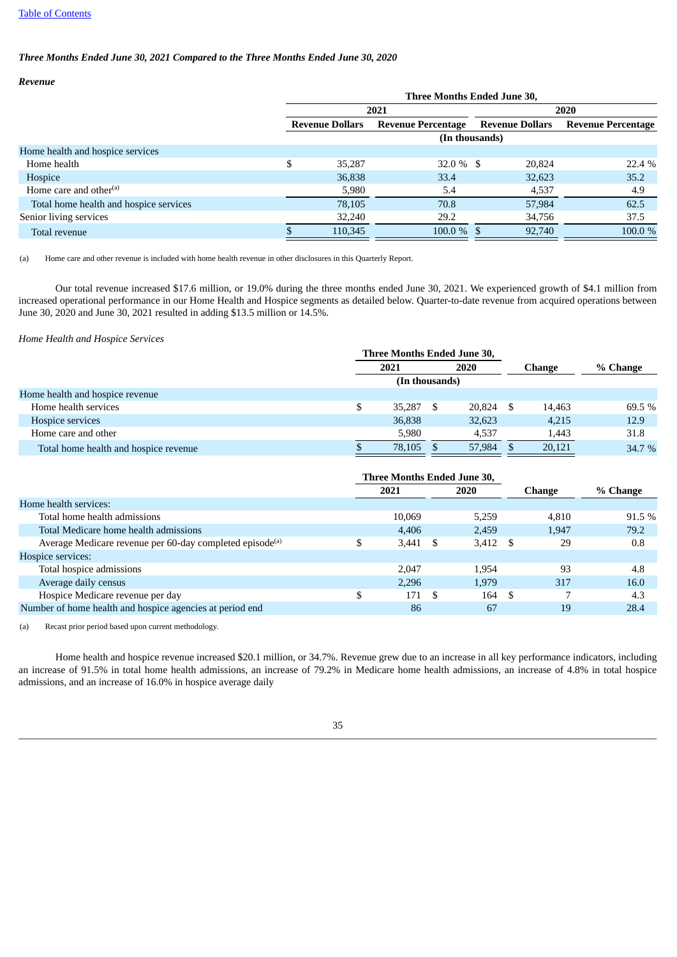## *Three Months Ended June 30, 2021 Compared to the Three Months Ended June 30, 2020*

#### *Revenue*

|                                        | Three Months Ended June 30, |                           |                        |                           |  |  |  |  |  |  |  |  |
|----------------------------------------|-----------------------------|---------------------------|------------------------|---------------------------|--|--|--|--|--|--|--|--|
|                                        |                             | 2021                      | 2020                   |                           |  |  |  |  |  |  |  |  |
|                                        | <b>Revenue Dollars</b>      | <b>Revenue Percentage</b> | <b>Revenue Dollars</b> | <b>Revenue Percentage</b> |  |  |  |  |  |  |  |  |
|                                        | (In thousands)              |                           |                        |                           |  |  |  |  |  |  |  |  |
| Home health and hospice services       |                             |                           |                        |                           |  |  |  |  |  |  |  |  |
| Home health                            | \$<br>35,287                | 32.0 $%$ \$               | 20,824                 | 22.4 %                    |  |  |  |  |  |  |  |  |
| Hospice                                | 36,838                      | 33.4                      | 32,623                 | 35.2                      |  |  |  |  |  |  |  |  |
| Home care and other <sup>(a)</sup>     | 5,980                       | 5.4                       | 4,537                  | 4.9                       |  |  |  |  |  |  |  |  |
| Total home health and hospice services | 78,105                      | 70.8                      | 57,984                 | 62.5                      |  |  |  |  |  |  |  |  |
| Senior living services                 | 32,240                      | 29.2                      | 34,756                 | 37.5                      |  |  |  |  |  |  |  |  |
| Total revenue                          | 110,345                     | $100.0 \%$ \$             | 92,740                 | 100.0%                    |  |  |  |  |  |  |  |  |

(a) Home care and other revenue is included with home health revenue in other disclosures in this Quarterly Report.

Our total revenue increased \$17.6 million, or 19.0% during the three months ended June 30, 2021. We experienced growth of \$4.1 million from increased operational performance in our Home Health and Hospice segments as detailed below. Quarter-to-date revenue from acquired operations between June 30, 2020 and June 30, 2021 resulted in adding \$13.5 million or 14.5%.

*Home Health and Hospice Services*

|                                       | Three Months Ended June 30, |  |        |  |               |          |  |
|---------------------------------------|-----------------------------|--|--------|--|---------------|----------|--|
|                                       | 2021                        |  | 2020   |  | <b>Change</b> | % Change |  |
|                                       | (In thousands)              |  |        |  |               |          |  |
| Home health and hospice revenue       |                             |  |        |  |               |          |  |
| Home health services                  | \$<br>35.287                |  | 20,824 |  | 14.463        | 69.5 %   |  |
| Hospice services                      | 36,838                      |  | 32,623 |  | 4,215         | 12.9     |  |
| Home care and other                   | 5.980                       |  | 4.537  |  | 1,443         | 31.8     |  |
| Total home health and hospice revenue | 78,105                      |  | 57,984 |  | 20,121        | 34.7 %   |  |

|                                                                      |           | Three Months Ended June 30, |     |        |          |
|----------------------------------------------------------------------|-----------|-----------------------------|-----|--------|----------|
|                                                                      | 2021      | 2020                        |     | Change | % Change |
| Home health services:                                                |           |                             |     |        |          |
| Total home health admissions                                         | 10.069    | 5.259                       |     | 4.810  | 91.5 %   |
| Total Medicare home health admissions                                | 4.406     | 2,459                       |     | 1,947  | 79.2     |
| Average Medicare revenue per 60-day completed episode <sup>(a)</sup> | 3.441     | 3,412<br>- S                | - S | 29     | 0.8      |
| Hospice services:                                                    |           |                             |     |        |          |
| Total hospice admissions                                             | 2.047     | 1.954                       |     | 93     | 4.8      |
| Average daily census                                                 | 2.296     | 1.979                       |     | 317    | 16.0     |
| Hospice Medicare revenue per day                                     | \$<br>171 | 164                         | - S |        | 4.3      |
| Number of home health and hospice agencies at period end             | 86        | 67                          |     | 19     | 28.4     |

(a) Recast prior period based upon current methodology.

Home health and hospice revenue increased \$20.1 million, or 34.7%. Revenue grew due to an increase in all key performance indicators, including an increase of 91.5% in total home health admissions, an increase of 79.2% in Medicare home health admissions, an increase of 4.8% in total hospice admissions, and an increase of 16.0% in hospice average daily

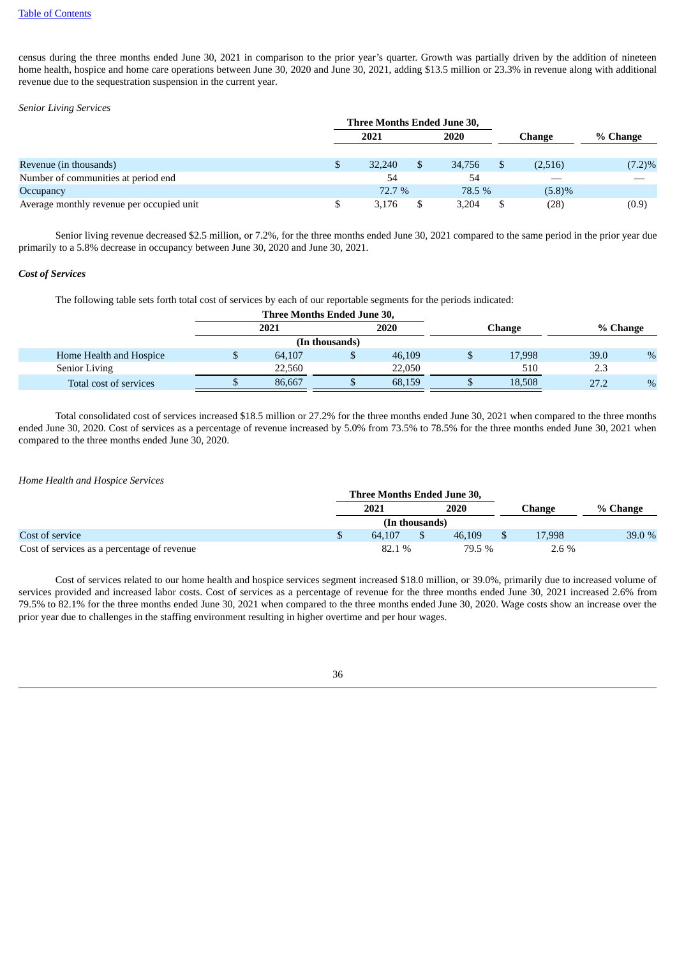census during the three months ended June 30, 2021 in comparison to the prior year's quarter. Growth was partially driven by the addition of nineteen home health, hospice and home care operations between June 30, 2020 and June 30, 2021, adding \$13.5 million or 23.3% in revenue along with additional revenue due to the sequestration suspension in the current year.

*Senior Living Services*

|                                           | Three Months Ended June 30, |  |        |  |         |           |
|-------------------------------------------|-----------------------------|--|--------|--|---------|-----------|
|                                           | 2021                        |  | 2020   |  | Change  | % Change  |
|                                           |                             |  |        |  |         |           |
| Revenue (in thousands)                    | 32,240                      |  | 34.756 |  | (2,516) | $(7.2)\%$ |
| Number of communities at period end       | 54                          |  | 54     |  |         |           |
| Occupancy                                 | 72.7 %                      |  | 78.5 % |  | (5.8)%  |           |
| Average monthly revenue per occupied unit | 3.176                       |  | 3.204  |  | (28)    | (0.9)     |

Senior living revenue decreased \$2.5 million, or 7.2%, for the three months ended June 30, 2021 compared to the same period in the prior year due primarily to a 5.8% decrease in occupancy between June 30, 2020 and June 30, 2021.

#### *Cost of Services*

The following table sets forth total cost of services by each of our reportable segments for the periods indicated:

|                |                         |  |        | Three Months Ended June 30, |        |  |        |      |          |  |
|----------------|-------------------------|--|--------|-----------------------------|--------|--|--------|------|----------|--|
|                |                         |  | 2021   |                             | 2020   |  | Change |      | % Change |  |
| (In thousands) |                         |  |        |                             |        |  |        |      |          |  |
|                | Home Health and Hospice |  | 64,107 |                             | 46,109 |  | 17,998 | 39.0 | $\%$     |  |
|                | Senior Living           |  | 22,560 |                             | 22,050 |  | 510    | 2.3  |          |  |
|                | Total cost of services  |  | 86,667 |                             | 68,159 |  | 18,508 | 27.2 | $\%$     |  |

Total consolidated cost of services increased \$18.5 million or 27.2% for the three months ended June 30, 2021 when compared to the three months ended June 30, 2020. Cost of services as a percentage of revenue increased by 5.0% from 73.5% to 78.5% for the three months ended June 30, 2021 when compared to the three months ended June 30, 2020.

*Home Health and Hospice Services*

|                                             |                | Three Months Ended June 30, |  |        |  |         |          |  |  |
|---------------------------------------------|----------------|-----------------------------|--|--------|--|---------|----------|--|--|
|                                             |                | 2021                        |  | 2020   |  | Change  | % Change |  |  |
|                                             | (In thousands) |                             |  |        |  |         |          |  |  |
| Cost of service                             |                | 64.107                      |  | 46,109 |  | 17.998  | 39.0 %   |  |  |
| Cost of services as a percentage of revenue |                | 82.1 %                      |  | 79.5 % |  | $2.6\%$ |          |  |  |

Cost of services related to our home health and hospice services segment increased \$18.0 million, or 39.0%, primarily due to increased volume of services provided and increased labor costs. Cost of services as a percentage of revenue for the three months ended June 30, 2021 increased 2.6% from 79.5% to 82.1% for the three months ended June 30, 2021 when compared to the three months ended June 30, 2020. Wage costs show an increase over the prior year due to challenges in the staffing environment resulting in higher overtime and per hour wages.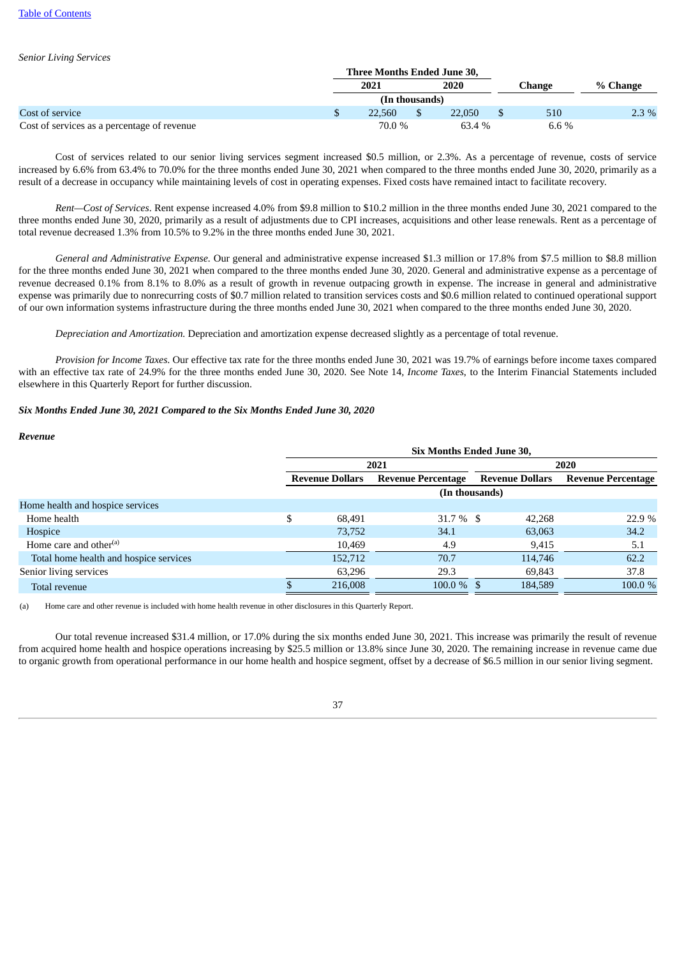## *Senior Living Services*

|                                             |                | Three Months Ended June 30, |      |        |        |          |         |  |  |
|---------------------------------------------|----------------|-----------------------------|------|--------|--------|----------|---------|--|--|
|                                             |                | 2021                        | 2020 |        | Change | % Change |         |  |  |
|                                             | (In thousands) |                             |      |        |        |          |         |  |  |
| Cost of service                             |                | 22,560                      |      | 22,050 |        | 510      | $2.3\%$ |  |  |
| Cost of services as a percentage of revenue |                | 70.0 %                      |      | 63.4 % |        | 6.6 $%$  |         |  |  |

Cost of services related to our senior living services segment increased \$0.5 million, or 2.3%. As a percentage of revenue, costs of service increased by 6.6% from 63.4% to 70.0% for the three months ended June 30, 2021 when compared to the three months ended June 30, 2020, primarily as a result of a decrease in occupancy while maintaining levels of cost in operating expenses. Fixed costs have remained intact to facilitate recovery.

*Rent—Cost of Services*. Rent expense increased 4.0% from \$9.8 million to \$10.2 million in the three months ended June 30, 2021 compared to the three months ended June 30, 2020, primarily as a result of adjustments due to CPI increases, acquisitions and other lease renewals. Rent as a percentage of total revenue decreased 1.3% from 10.5% to 9.2% in the three months ended June 30, 2021.

*General and Administrative Expense.* Our general and administrative expense increased \$1.3 million or 17.8% from \$7.5 million to \$8.8 million for the three months ended June 30, 2021 when compared to the three months ended June 30, 2020. General and administrative expense as a percentage of revenue decreased 0.1% from 8.1% to 8.0% as a result of growth in revenue outpacing growth in expense. The increase in general and administrative expense was primarily due to nonrecurring costs of \$0.7 million related to transition services costs and \$0.6 million related to continued operational support of our own information systems infrastructure during the three months ended June 30, 2021 when compared to the three months ended June 30, 2020.

*Depreciation and Amortization.* Depreciation and amortization expense decreased slightly as a percentage of total revenue.

*Provision for Income Taxes*. Our effective tax rate for the three months ended June 30, 2021 was 19.7% of earnings before income taxes compared with an effective tax rate of 24.9% for the three months ended June 30, 2020. See Note 14*, Income Taxes*, to the Interim Financial Statements included elsewhere in this Quarterly Report for further discussion.

#### *Six Months Ended June 30, 2021 Compared to the Six Months Ended June 30, 2020*

| Revenue                                |                           |                        |                           |  |                        |                           |  |  |  |  |  |  |
|----------------------------------------|---------------------------|------------------------|---------------------------|--|------------------------|---------------------------|--|--|--|--|--|--|
|                                        | Six Months Ended June 30, |                        |                           |  |                        |                           |  |  |  |  |  |  |
|                                        |                           | 2021<br>2020           |                           |  |                        |                           |  |  |  |  |  |  |
|                                        |                           | <b>Revenue Dollars</b> | <b>Revenue Percentage</b> |  | <b>Revenue Dollars</b> | <b>Revenue Percentage</b> |  |  |  |  |  |  |
|                                        |                           |                        | (In thousands)            |  |                        |                           |  |  |  |  |  |  |
| Home health and hospice services       |                           |                        |                           |  |                        |                           |  |  |  |  |  |  |
| Home health                            | S                         | 68.491                 | $31.7\%$ \$               |  | 42.268                 | 22.9 %                    |  |  |  |  |  |  |
| Hospice                                |                           | 73,752                 | 34.1                      |  | 63,063                 | 34.2                      |  |  |  |  |  |  |
| Home care and other $(a)$              |                           | 10,469                 | 4.9                       |  | 9,415                  | 5.1                       |  |  |  |  |  |  |
| Total home health and hospice services |                           | 152,712                | 70.7                      |  | 114,746                | 62.2                      |  |  |  |  |  |  |
| Senior living services                 |                           | 63,296                 | 29.3                      |  | 69,843                 | 37.8                      |  |  |  |  |  |  |
| Total revenue                          |                           | 216,008                | $100.0 \%$ \$             |  | 184,589                | 100.0%                    |  |  |  |  |  |  |

(a) Home care and other revenue is included with home health revenue in other disclosures in this Quarterly Report.

Our total revenue increased \$31.4 million, or 17.0% during the six months ended June 30, 2021. This increase was primarily the result of revenue from acquired home health and hospice operations increasing by \$25.5 million or 13.8% since June 30, 2020. The remaining increase in revenue came due to organic growth from operational performance in our home health and hospice segment, offset by a decrease of \$6.5 million in our senior living segment.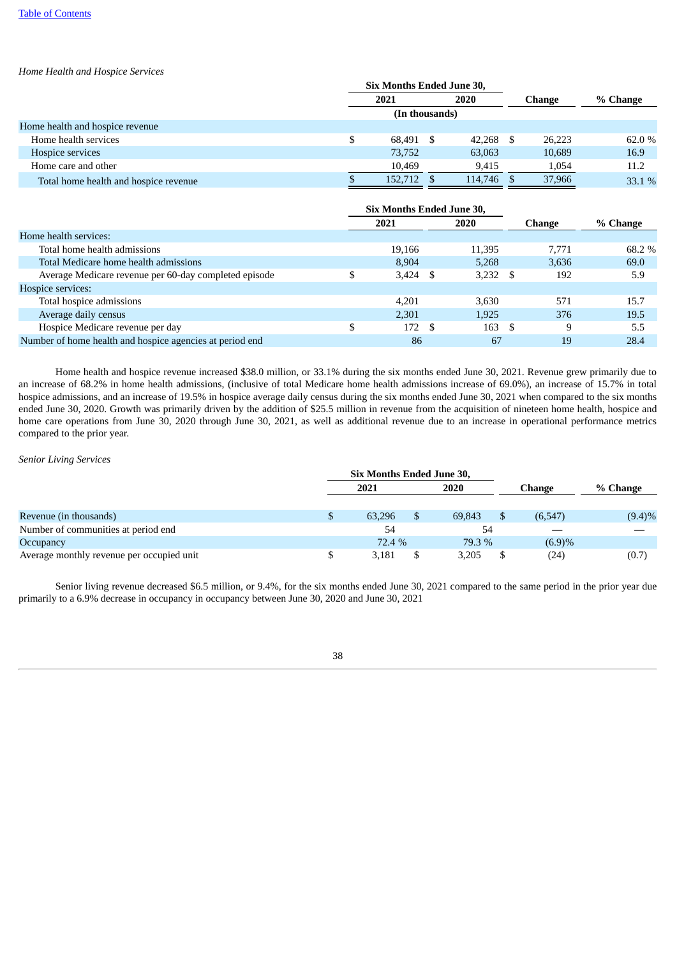# *Home Health and Hospice Services*

|                                       |                | Six Months Ended June 30, |  |               |      |          |        |  |
|---------------------------------------|----------------|---------------------------|--|---------------|------|----------|--------|--|
|                                       |                | 2020<br>2021              |  | <b>Change</b> |      | % Change |        |  |
|                                       | (In thousands) |                           |  |               |      |          |        |  |
| Home health and hospice revenue       |                |                           |  |               |      |          |        |  |
| Home health services                  |                | 68.491 \$                 |  | 42.268        | - \$ | 26.223   | 62.0 % |  |
| Hospice services                      |                | 73,752                    |  | 63,063        |      | 10,689   | 16.9   |  |
| Home care and other                   |                | 10.469                    |  | 9.415         |      | 1,054    | 11.2   |  |
| Total home health and hospice revenue |                | 152,712                   |  | 114,746       |      | 37,966   | 33.1 % |  |

|                                                          |            | Six Months Ended June 30, |               |          |
|----------------------------------------------------------|------------|---------------------------|---------------|----------|
|                                                          | 2021       | 2020                      | <b>Change</b> | % Change |
| Home health services:                                    |            |                           |               |          |
| Total home health admissions                             | 19,166     | 11.395                    | 7.771         | 68.2 %   |
| Total Medicare home health admissions                    | 8.904      | 5.268                     | 3,636         | 69.0     |
| Average Medicare revenue per 60-day completed episode    | $3,424$ \$ | $3,232$ \$                | 192           | 5.9      |
| Hospice services:                                        |            |                           |               |          |
| Total hospice admissions                                 | 4.201      | 3.630                     | 571           | 15.7     |
| Average daily census                                     | 2.301      | 1,925                     | 376           | 19.5     |
| Hospice Medicare revenue per day                         | 172        | 163<br>- \$               | 9<br>- \$     | 5.5      |
| Number of home health and hospice agencies at period end | 86         | 67                        | 19            | 28.4     |

Home health and hospice revenue increased \$38.0 million, or 33.1% during the six months ended June 30, 2021. Revenue grew primarily due to an increase of 68.2% in home health admissions, (inclusive of total Medicare home health admissions increase of 69.0%), an increase of 15.7% in total hospice admissions, and an increase of 19.5% in hospice average daily census during the six months ended June 30, 2021 when compared to the six months ended June 30, 2020. Growth was primarily driven by the addition of \$25.5 million in revenue from the acquisition of nineteen home health, hospice and home care operations from June 30, 2020 through June 30, 2021, as well as additional revenue due to an increase in operational performance metrics compared to the prior year.

#### *Senior Living Services*

|                                           |   | Six Months Ended June 30, |  |        |  |         |           |  |
|-------------------------------------------|---|---------------------------|--|--------|--|---------|-----------|--|
|                                           |   | 2021                      |  | 2020   |  | Change  | % Change  |  |
|                                           |   |                           |  |        |  |         |           |  |
| Revenue (in thousands)                    | S | 63.296                    |  | 69.843 |  | (6,547) | $(9.4)\%$ |  |
| Number of communities at period end       |   | 54                        |  | 54     |  |         |           |  |
| Occupancy                                 |   | 72.4 %                    |  | 79.3 % |  | (6.9)%  |           |  |
| Average monthly revenue per occupied unit |   | 3.181                     |  | 3,205  |  | (24)    | (0.7)     |  |

Senior living revenue decreased \$6.5 million, or 9.4%, for the six months ended June 30, 2021 compared to the same period in the prior year due primarily to a 6.9% decrease in occupancy in occupancy between June 30, 2020 and June 30, 2021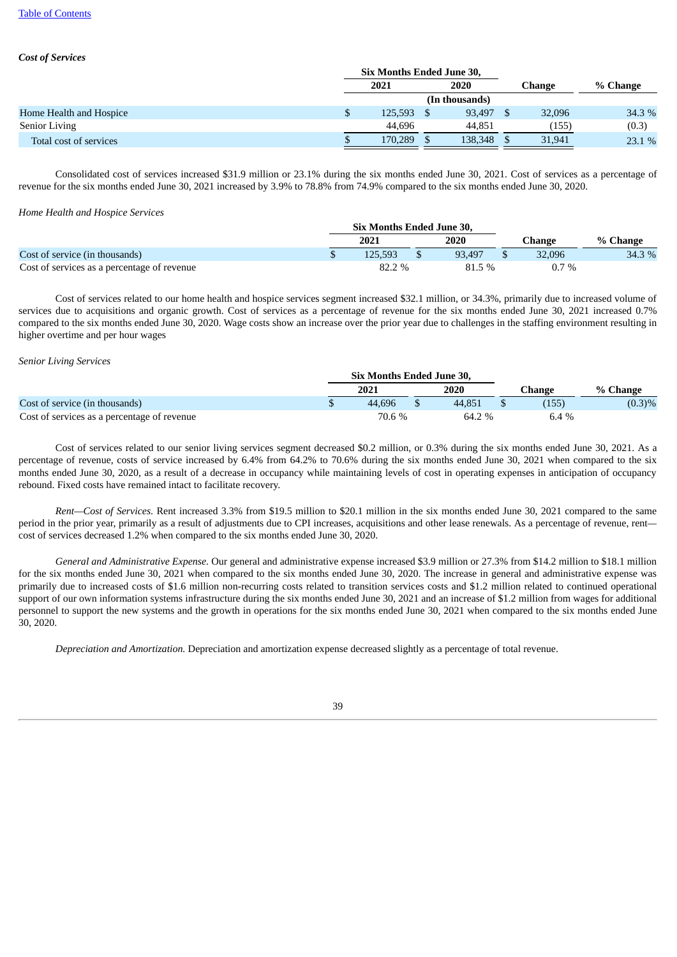#### Table of [Contents](#page-0-0)

| <b>Cost of Services</b> |               |                           |               |          |
|-------------------------|---------------|---------------------------|---------------|----------|
|                         |               | Six Months Ended June 30, |               |          |
|                         | 2021          | 2020                      | <b>Change</b> | % Change |
|                         |               | (In thousands)            |               |          |
| Home Health and Hospice | \$<br>125,593 | 93,497<br>- \$            | 32,096        | 34.3 %   |
| Senior Living           | 44.696        | 44,851                    | (155)         | (0.3)    |
| Total cost of services  | 170,289       | 138,348                   | 31,941        | 23.1 %   |

Consolidated cost of services increased \$31.9 million or 23.1% during the six months ended June 30, 2021. Cost of services as a percentage of revenue for the six months ended June 30, 2021 increased by 3.9% to 78.8% from 74.9% compared to the six months ended June 30, 2020.

#### *Home Health and Hospice Services*

|                                             | Six Months Ended June 30. |  |        |  |         |          |
|---------------------------------------------|---------------------------|--|--------|--|---------|----------|
|                                             | 2021                      |  | 2020   |  | Change  | % Change |
| Cost of service (in thousands)              | 125,593                   |  | 93.497 |  | 32,096  | 34.3 %   |
| Cost of services as a percentage of revenue | 82.2 %                    |  | 81.5 % |  | $0.7\%$ |          |

Cost of services related to our home health and hospice services segment increased \$32.1 million, or 34.3%, primarily due to increased volume of services due to acquisitions and organic growth. Cost of services as a percentage of revenue for the six months ended June 30, 2021 increased 0.7% compared to the six months ended June 30, 2020. Wage costs show an increase over the prior year due to challenges in the staffing environment resulting in higher overtime and per hour wages

#### *Senior Living Services*

|                                             | Six Months Ended June 30. |  |        |  |        |          |
|---------------------------------------------|---------------------------|--|--------|--|--------|----------|
|                                             | 2021                      |  | 2020   |  | Change | % Change |
| Cost of service (in thousands)              | 44.696                    |  | 44.851 |  | (155)  | (0.3)%   |
| Cost of services as a percentage of revenue | 70.6 %                    |  | 64.2 % |  | 6.4%   |          |

Cost of services related to our senior living services segment decreased \$0.2 million, or 0.3% during the six months ended June 30, 2021. As a percentage of revenue, costs of service increased by 6.4% from 64.2% to 70.6% during the six months ended June 30, 2021 when compared to the six months ended June 30, 2020, as a result of a decrease in occupancy while maintaining levels of cost in operating expenses in anticipation of occupancy rebound. Fixed costs have remained intact to facilitate recovery.

*Rent—Cost of Services*. Rent increased 3.3% from \$19.5 million to \$20.1 million in the six months ended June 30, 2021 compared to the same period in the prior year, primarily as a result of adjustments due to CPI increases, acquisitions and other lease renewals. As a percentage of revenue, rent cost of services decreased 1.2% when compared to the six months ended June 30, 2020.

*General and Administrative Expense.* Our general and administrative expense increased \$3.9 million or 27.3% from \$14.2 million to \$18.1 million for the six months ended June 30, 2021 when compared to the six months ended June 30, 2020. The increase in general and administrative expense was primarily due to increased costs of \$1.6 million non-recurring costs related to transition services costs and \$1.2 million related to continued operational support of our own information systems infrastructure during the six months ended June 30, 2021 and an increase of \$1.2 million from wages for additional personnel to support the new systems and the growth in operations for the six months ended June 30, 2021 when compared to the six months ended June 30, 2020.

*Depreciation and Amortization.* Depreciation and amortization expense decreased slightly as a percentage of total revenue.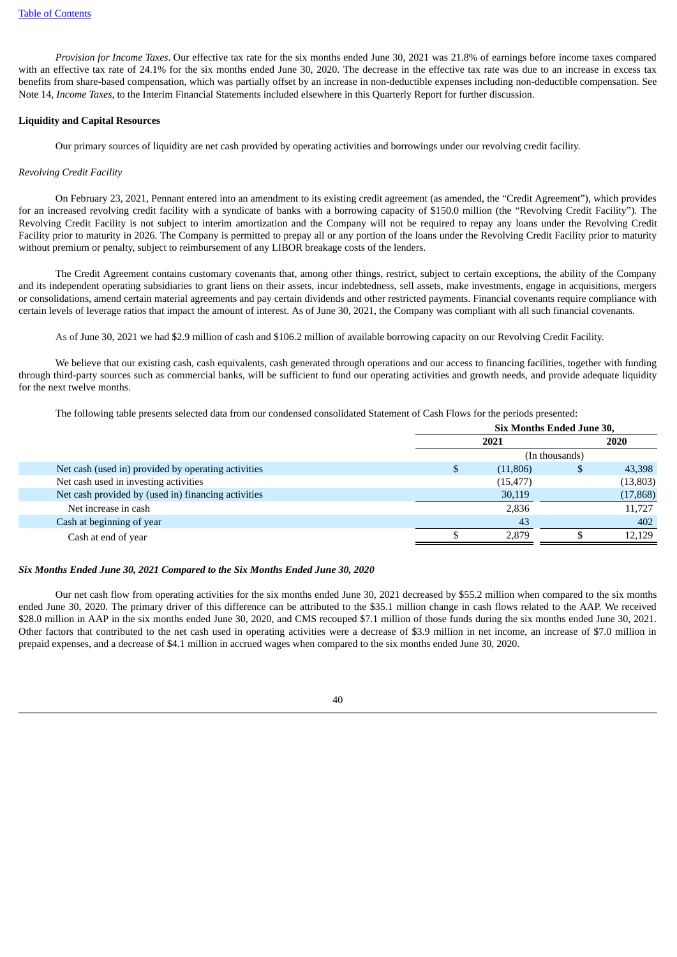*Provision for Income Taxes*. Our effective tax rate for the six months ended June 30, 2021 was 21.8% of earnings before income taxes compared with an effective tax rate of 24.1% for the six months ended June 30, 2020. The decrease in the effective tax rate was due to an increase in excess tax benefits from share-based compensation, which was partially offset by an increase in non-deductible expenses including non-deductible compensation. See Note 14*, Income Taxes*, to the Interim Financial Statements included elsewhere in this Quarterly Report for further discussion.

## **Liquidity and Capital Resources**

Our primary sources of liquidity are net cash provided by operating activities and borrowings under our revolving credit facility.

#### *Revolving Credit Facility*

On February 23, 2021, Pennant entered into an amendment to its existing credit agreement (as amended, the "Credit Agreement"), which provides for an increased revolving credit facility with a syndicate of banks with a borrowing capacity of \$150.0 million (the "Revolving Credit Facility"). The Revolving Credit Facility is not subject to interim amortization and the Company will not be required to repay any loans under the Revolving Credit Facility prior to maturity in 2026. The Company is permitted to prepay all or any portion of the loans under the Revolving Credit Facility prior to maturity without premium or penalty, subject to reimbursement of any LIBOR breakage costs of the lenders.

The Credit Agreement contains customary covenants that, among other things, restrict, subject to certain exceptions, the ability of the Company and its independent operating subsidiaries to grant liens on their assets, incur indebtedness, sell assets, make investments, engage in acquisitions, mergers or consolidations, amend certain material agreements and pay certain dividends and other restricted payments. Financial covenants require compliance with certain levels of leverage ratios that impact the amount of interest. As of June 30, 2021, the Company was compliant with all such financial covenants.

As of June 30, 2021 we had \$2.9 million of cash and \$106.2 million of available borrowing capacity on our Revolving Credit Facility.

We believe that our existing cash, cash equivalents, cash generated through operations and our access to financing facilities, together with funding through third-party sources such as commercial banks, will be sufficient to fund our operating activities and growth needs, and provide adequate liquidity for the next twelve months.

The following table presents selected data from our condensed consolidated Statement of Cash Flows for the periods presented:

|                                                     | Six Months Ended June 30, |           |    |           |  |
|-----------------------------------------------------|---------------------------|-----------|----|-----------|--|
|                                                     | 2020<br>2021              |           |    |           |  |
|                                                     | (In thousands)            |           |    |           |  |
| Net cash (used in) provided by operating activities | S                         | (11,806)  | \$ | 43,398    |  |
| Net cash used in investing activities               |                           | (15, 477) |    | (13,803)  |  |
| Net cash provided by (used in) financing activities |                           | 30,119    |    | (17, 868) |  |
| Net increase in cash                                |                           | 2,836     |    | 11,727    |  |
| Cash at beginning of year                           |                           | 43        |    | 402       |  |
| Cash at end of year                                 |                           | 2.879     |    | 12.129    |  |

#### *Six Months Ended June 30, 2021 Compared to the Six Months Ended June 30, 2020*

Our net cash flow from operating activities for the six months ended June 30, 2021 decreased by \$55.2 million when compared to the six months ended June 30, 2020. The primary driver of this difference can be attributed to the \$35.1 million change in cash flows related to the AAP. We received \$28.0 million in AAP in the six months ended June 30, 2020, and CMS recouped \$7.1 million of those funds during the six months ended June 30, 2021. Other factors that contributed to the net cash used in operating activities were a decrease of \$3.9 million in net income, an increase of \$7.0 million in prepaid expenses, and a decrease of \$4.1 million in accrued wages when compared to the six months ended June 30, 2020.

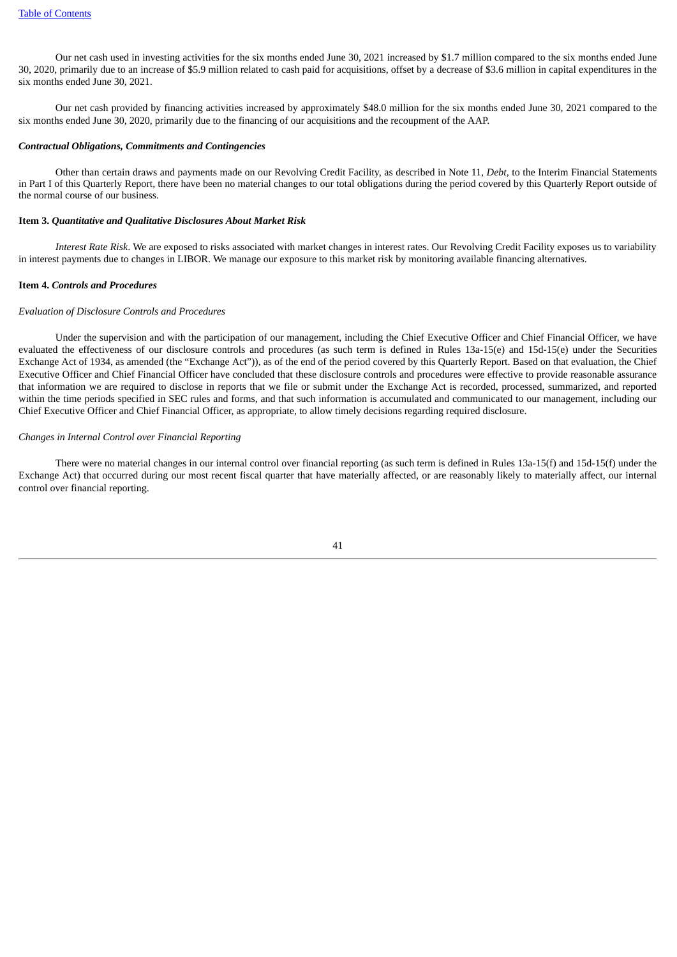Our net cash used in investing activities for the six months ended June 30, 2021 increased by \$1.7 million compared to the six months ended June 30, 2020, primarily due to an increase of \$5.9 million related to cash paid for acquisitions, offset by a decrease of \$3.6 million in capital expenditures in the six months ended June 30, 2021.

Our net cash provided by financing activities increased by approximately \$48.0 million for the six months ended June 30, 2021 compared to the six months ended June 30, 2020, primarily due to the financing of our acquisitions and the recoupment of the AAP.

#### *Contractual Obligations, Commitments and Contingencies*

Other than certain draws and payments made on our Revolving Credit Facility, as described in Note 11, *Debt*, to the Interim Financial Statements in Part I of this Quarterly Report, there have been no material changes to our total obligations during the period covered by this Quarterly Report outside of the normal course of our business.

#### <span id="page-42-0"></span>**Item 3.** *Quantitative and Qualitative Disclosures About Market Risk*

*Interest Rate Risk*. We are exposed to risks associated with market changes in interest rates. Our Revolving Credit Facility exposes us to variability in interest payments due to changes in LIBOR. We manage our exposure to this market risk by monitoring available financing alternatives.

#### <span id="page-42-1"></span>**Item 4.** *Controls and Procedures*

#### *Evaluation of Disclosure Controls and Procedures*

Under the supervision and with the participation of our management, including the Chief Executive Officer and Chief Financial Officer, we have evaluated the effectiveness of our disclosure controls and procedures (as such term is defined in Rules 13a-15(e) and 15d-15(e) under the Securities Exchange Act of 1934, as amended (the "Exchange Act")), as of the end of the period covered by this Quarterly Report. Based on that evaluation, the Chief Executive Officer and Chief Financial Officer have concluded that these disclosure controls and procedures were effective to provide reasonable assurance that information we are required to disclose in reports that we file or submit under the Exchange Act is recorded, processed, summarized, and reported within the time periods specified in SEC rules and forms, and that such information is accumulated and communicated to our management, including our Chief Executive Officer and Chief Financial Officer, as appropriate, to allow timely decisions regarding required disclosure.

#### *Changes in Internal Control over Financial Reporting*

<span id="page-42-2"></span>There were no material changes in our internal control over financial reporting (as such term is defined in Rules 13a-15(f) and 15d-15(f) under the Exchange Act) that occurred during our most recent fiscal quarter that have materially affected, or are reasonably likely to materially affect, our internal control over financial reporting.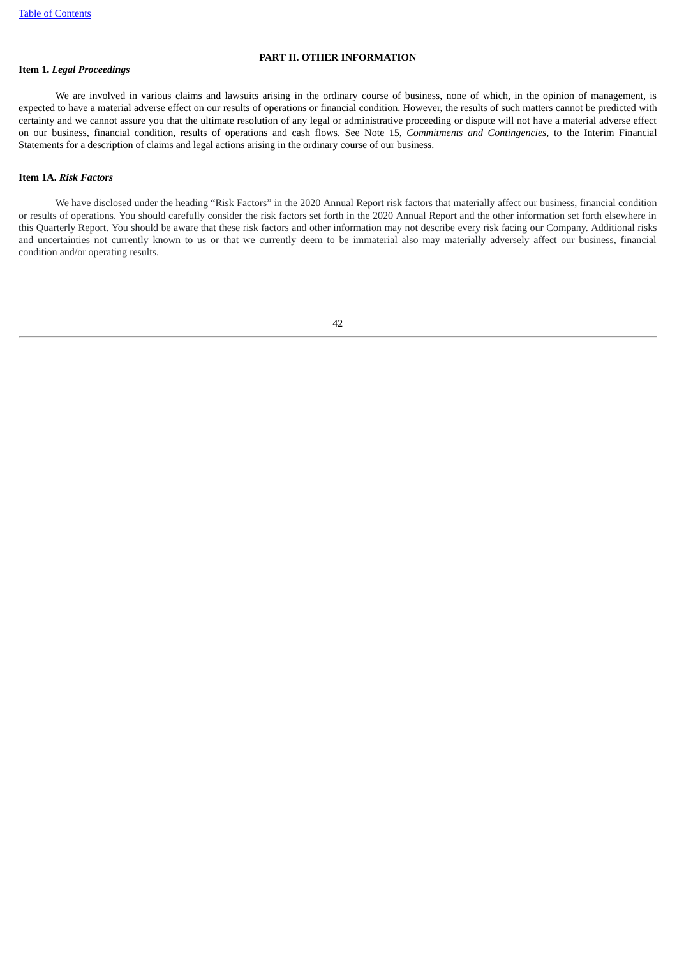## **PART II. OTHER INFORMATION**

## <span id="page-43-0"></span>**Item 1.** *Legal Proceedings*

We are involved in various claims and lawsuits arising in the ordinary course of business, none of which, in the opinion of management, is expected to have a material adverse effect on our results of operations or financial condition. However, the results of such matters cannot be predicted with certainty and we cannot assure you that the ultimate resolution of any legal or administrative proceeding or dispute will not have a material adverse effect on our business, financial condition, results of operations and cash flows. See Note 15, *Commitments and Contingencies*, to the Interim Financial Statements for a description of claims and legal actions arising in the ordinary course of our business.

#### <span id="page-43-1"></span>**Item 1A.** *Risk Factors*

<span id="page-43-2"></span>We have disclosed under the heading "Risk Factors" in the 2020 Annual Report risk factors that materially affect our business, financial condition or results of operations. You should carefully consider the risk factors set forth in the 2020 Annual Report and the other information set forth elsewhere in this Quarterly Report. You should be aware that these risk factors and other information may not describe every risk facing our Company. Additional risks and uncertainties not currently known to us or that we currently deem to be immaterial also may materially adversely affect our business, financial condition and/or operating results.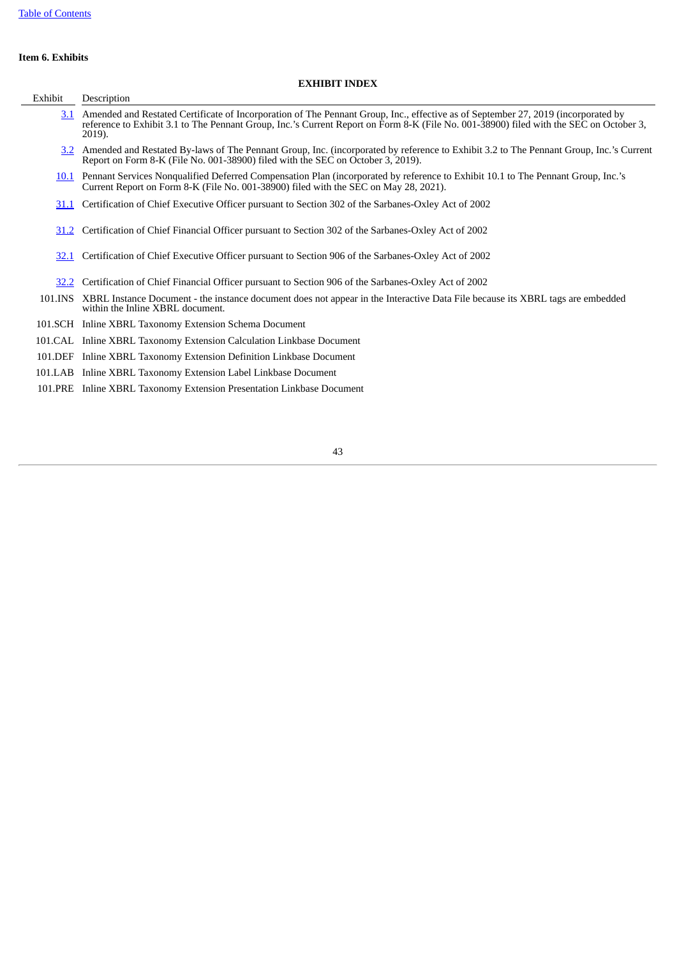# **Item 6. Exhibits**

Exhibit Description

## **EXHIBIT INDEX**

- [3.1](https://www.sec.gov/Archives/edgar/data/1766400/000119312519235824/d693607dex31.htm) Amended and Restated Certificate of Incorporation of The Pennant Group, Inc., effective as of September 27, 2019 (incorporated by reference to Exhibit 3.1 to The Pennant Group, Inc.'s Current Report on Form 8-K (File No. 001-38900) filed with the SEC on October 3, 2019).
	- [3.2](https://www.sec.gov/Archives/edgar/data/1766400/000119312519235824/d693607dex32.htm) Amended and Restated By-laws of The Pennant Group, Inc. (incorporated by reference to Exhibit 3.2 to The Pennant Group, Inc.'s Current Report on Form 8-K (File No. 001-38900) filed with the SEC on October 3, 2019).
	- [10.1](https://www.sec.gov/Archives/edgar/data/1766400/000176640021000081/pennantservicedcplandoc.htm) Pennant Services Nonqualified Deferred Compensation Plan (incorporated by reference to Exhibit 10.1 to The Pennant Group, Inc.'s Current Report on Form 8-K (File No. 001-38900) filed with the SEC on May 28, 2021).
	- [31.1](#page-46-0) Certification of Chief Executive Officer pursuant to Section 302 of the Sarbanes-Oxley Act of 2002
	- [31.2](#page-47-0) Certification of Chief Financial Officer pursuant to Section 302 of the Sarbanes-Oxley Act of 2002
	- [32.1](#page-48-0) Certification of Chief Executive Officer pursuant to Section 906 of the Sarbanes-Oxley Act of 2002
	- [32.2](#page-49-0) Certification of Chief Financial Officer pursuant to Section 906 of the Sarbanes-Oxley Act of 2002
- 101.INS XBRL Instance Document the instance document does not appear in the Interactive Data File because its XBRL tags are embedded within the Inline XBRL document.
- 101.SCH Inline XBRL Taxonomy Extension Schema Document
- 101.CAL Inline XBRL Taxonomy Extension Calculation Linkbase Document
- 101.DEF Inline XBRL Taxonomy Extension Definition Linkbase Document
- 101.LAB Inline XBRL Taxonomy Extension Label Linkbase Document
- <span id="page-44-0"></span>101.PRE Inline XBRL Taxonomy Extension Presentation Linkbase Document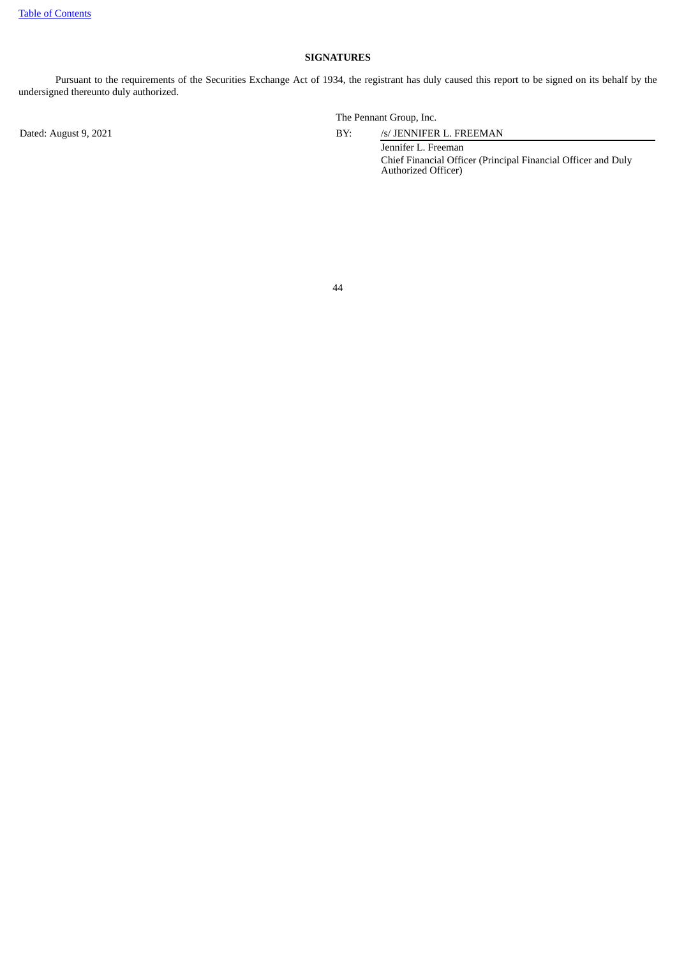## **SIGNATURES**

Pursuant to the requirements of the Securities Exchange Act of 1934, the registrant has duly caused this report to be signed on its behalf by the undersigned thereunto duly authorized.

The Pennant Group, Inc.

## Dated: August 9, 2021 BY: /s/ JENNIFER L. FREEMAN

Jennifer L. Freeman Chief Financial Officer (Principal Financial Officer and Duly Authorized Officer)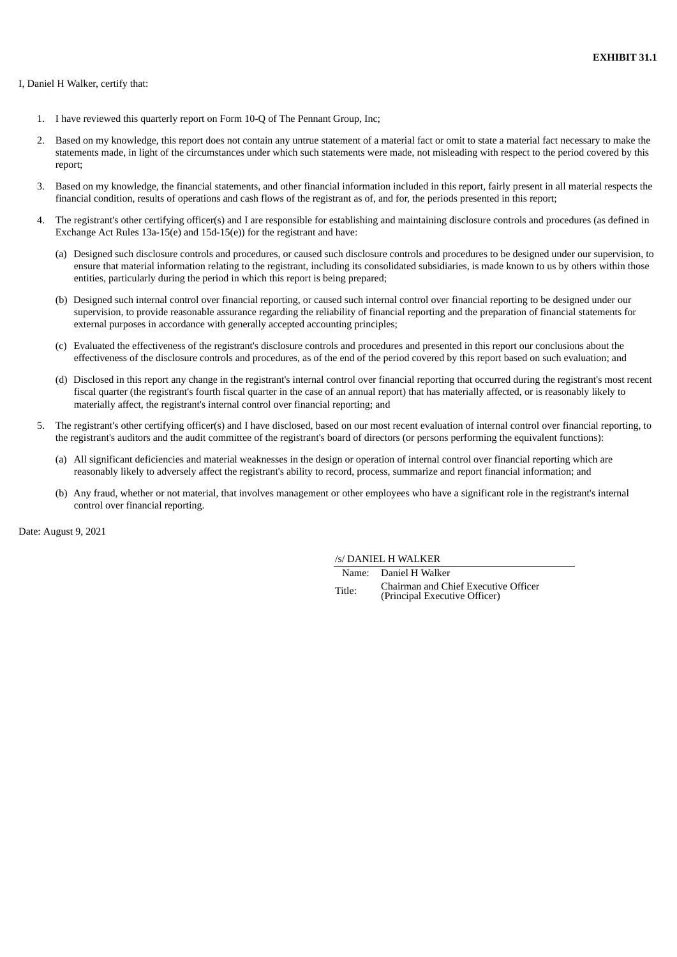## <span id="page-46-0"></span>I, Daniel H Walker, certify that:

- 1. I have reviewed this quarterly report on Form 10-Q of The Pennant Group, Inc;
- 2. Based on my knowledge, this report does not contain any untrue statement of a material fact or omit to state a material fact necessary to make the statements made, in light of the circumstances under which such statements were made, not misleading with respect to the period covered by this report;
- 3. Based on my knowledge, the financial statements, and other financial information included in this report, fairly present in all material respects the financial condition, results of operations and cash flows of the registrant as of, and for, the periods presented in this report;
- 4. The registrant's other certifying officer(s) and I are responsible for establishing and maintaining disclosure controls and procedures (as defined in Exchange Act Rules 13a-15(e) and 15d-15(e)) for the registrant and have:
	- (a) Designed such disclosure controls and procedures, or caused such disclosure controls and procedures to be designed under our supervision, to ensure that material information relating to the registrant, including its consolidated subsidiaries, is made known to us by others within those entities, particularly during the period in which this report is being prepared;
	- (b) Designed such internal control over financial reporting, or caused such internal control over financial reporting to be designed under our supervision, to provide reasonable assurance regarding the reliability of financial reporting and the preparation of financial statements for external purposes in accordance with generally accepted accounting principles;
	- (c) Evaluated the effectiveness of the registrant's disclosure controls and procedures and presented in this report our conclusions about the effectiveness of the disclosure controls and procedures, as of the end of the period covered by this report based on such evaluation; and
	- (d) Disclosed in this report any change in the registrant's internal control over financial reporting that occurred during the registrant's most recent fiscal quarter (the registrant's fourth fiscal quarter in the case of an annual report) that has materially affected, or is reasonably likely to materially affect, the registrant's internal control over financial reporting; and
- 5. The registrant's other certifying officer(s) and I have disclosed, based on our most recent evaluation of internal control over financial reporting, to the registrant's auditors and the audit committee of the registrant's board of directors (or persons performing the equivalent functions):
	- (a) All significant deficiencies and material weaknesses in the design or operation of internal control over financial reporting which are reasonably likely to adversely affect the registrant's ability to record, process, summarize and report financial information; and
	- (b) Any fraud, whether or not material, that involves management or other employees who have a significant role in the registrant's internal control over financial reporting.

Date: August 9, 2021

/s/ DANIEL H WALKER

Name: Daniel H Walker Title: Chairman and Chief Executive Officer (Principal Executive Officer)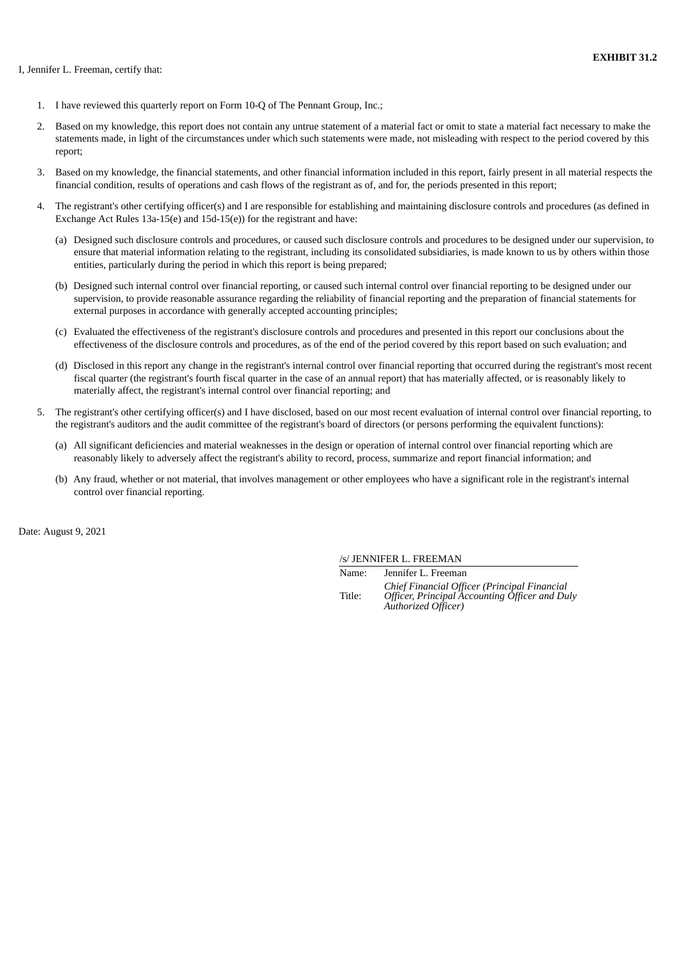- <span id="page-47-0"></span>1. I have reviewed this quarterly report on Form 10-Q of The Pennant Group, Inc.;
- 2. Based on my knowledge, this report does not contain any untrue statement of a material fact or omit to state a material fact necessary to make the statements made, in light of the circumstances under which such statements were made, not misleading with respect to the period covered by this report;
- 3. Based on my knowledge, the financial statements, and other financial information included in this report, fairly present in all material respects the financial condition, results of operations and cash flows of the registrant as of, and for, the periods presented in this report;
- 4. The registrant's other certifying officer(s) and I are responsible for establishing and maintaining disclosure controls and procedures (as defined in Exchange Act Rules 13a-15(e) and 15d-15(e)) for the registrant and have:
	- (a) Designed such disclosure controls and procedures, or caused such disclosure controls and procedures to be designed under our supervision, to ensure that material information relating to the registrant, including its consolidated subsidiaries, is made known to us by others within those entities, particularly during the period in which this report is being prepared;
	- (b) Designed such internal control over financial reporting, or caused such internal control over financial reporting to be designed under our supervision, to provide reasonable assurance regarding the reliability of financial reporting and the preparation of financial statements for external purposes in accordance with generally accepted accounting principles;
	- (c) Evaluated the effectiveness of the registrant's disclosure controls and procedures and presented in this report our conclusions about the effectiveness of the disclosure controls and procedures, as of the end of the period covered by this report based on such evaluation; and
	- (d) Disclosed in this report any change in the registrant's internal control over financial reporting that occurred during the registrant's most recent fiscal quarter (the registrant's fourth fiscal quarter in the case of an annual report) that has materially affected, or is reasonably likely to materially affect, the registrant's internal control over financial reporting; and
- 5. The registrant's other certifying officer(s) and I have disclosed, based on our most recent evaluation of internal control over financial reporting, to the registrant's auditors and the audit committee of the registrant's board of directors (or persons performing the equivalent functions):
	- (a) All significant deficiencies and material weaknesses in the design or operation of internal control over financial reporting which are reasonably likely to adversely affect the registrant's ability to record, process, summarize and report financial information; and
	- (b) Any fraud, whether or not material, that involves management or other employees who have a significant role in the registrant's internal control over financial reporting.

Date: August 9, 2021

/s/ JENNIFER L. FREEMAN

| Name:  | Jennifer L. Freeman                                                                                                   |
|--------|-----------------------------------------------------------------------------------------------------------------------|
| Title: | Chief Financial Officer (Principal Financial<br>Officer, Principal Accounting Officer and Duly<br>Authorized Officer) |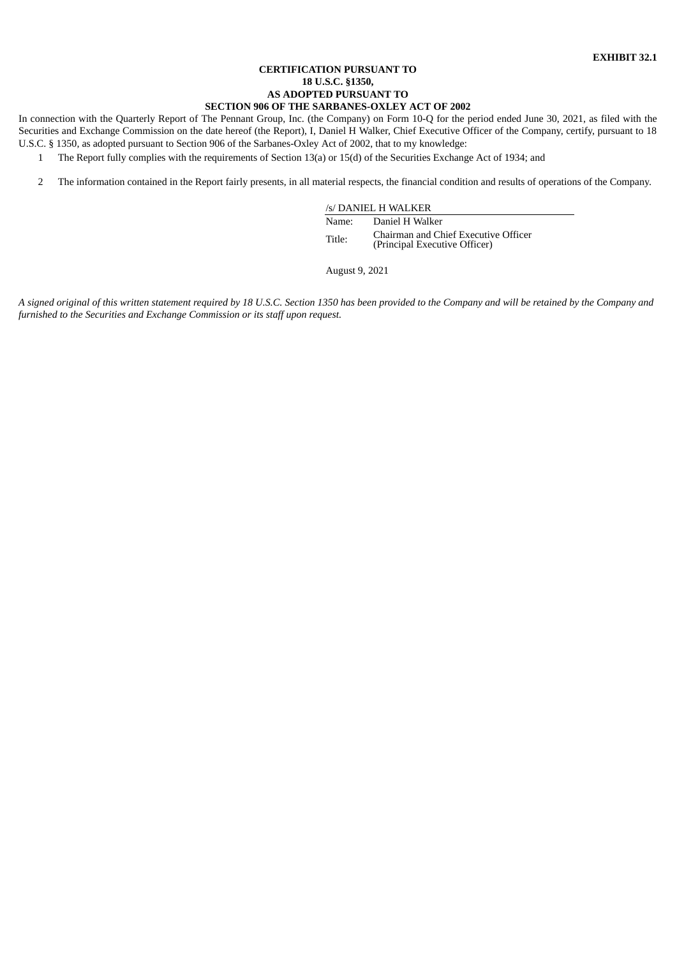## **CERTIFICATION PURSUANT TO 18 U.S.C. §1350, AS ADOPTED PURSUANT TO SECTION 906 OF THE SARBANES-OXLEY ACT OF 2002**

<span id="page-48-0"></span>In connection with the Quarterly Report of The Pennant Group, Inc. (the Company) on Form 10-Q for the period ended June 30, 2021, as filed with the Securities and Exchange Commission on the date hereof (the Report), I, Daniel H Walker, Chief Executive Officer of the Company, certify, pursuant to 18 U.S.C. § 1350, as adopted pursuant to Section 906 of the Sarbanes-Oxley Act of 2002, that to my knowledge:

- 1 The Report fully complies with the requirements of Section 13(a) or 15(d) of the Securities Exchange Act of 1934; and
- 2 The information contained in the Report fairly presents, in all material respects, the financial condition and results of operations of the Company.

| /s/ DANIEL H WALKER |                 |  |  |  |
|---------------------|-----------------|--|--|--|
| Name:               | Daniel H Walker |  |  |  |

Title: Chairman and Chief Executive Officer (Principal Executive Officer)

August 9, 2021

A signed original of this written statement required by 18 U.S.C. Section 1350 has been provided to the Company and will be retained by the Company and *furnished to the Securities and Exchange Commission or its staff upon request.*